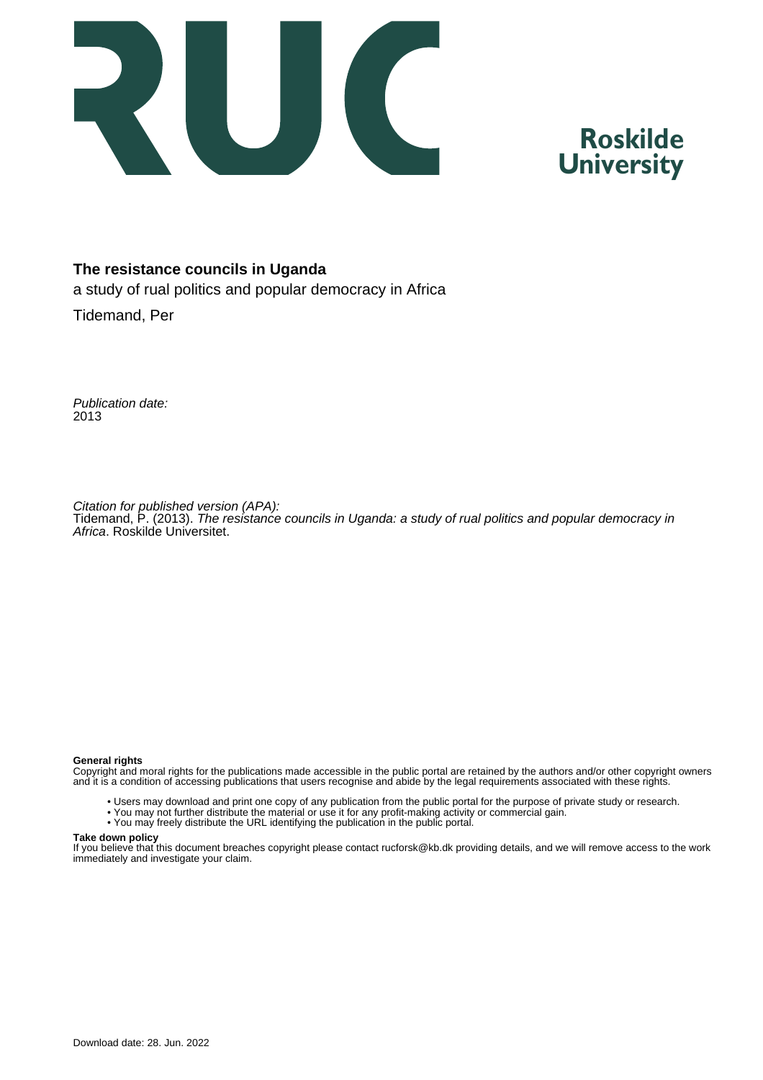

# **Roskilde University**

#### **The resistance councils in Uganda**

a study of rual politics and popular democracy in Africa

Tidemand, Per

Publication date: 2013

Citation for published version (APA): Tidemand, P. (2013). The resistance councils in Uganda: a study of rual politics and popular democracy in Africa. Roskilde Universitet.

#### **General rights**

Copyright and moral rights for the publications made accessible in the public portal are retained by the authors and/or other copyright owners and it is a condition of accessing publications that users recognise and abide by the legal requirements associated with these rights.

- Users may download and print one copy of any publication from the public portal for the purpose of private study or research.
- You may not further distribute the material or use it for any profit-making activity or commercial gain.
- You may freely distribute the URL identifying the publication in the public portal.

#### **Take down policy**

If you believe that this document breaches copyright please contact rucforsk@kb.dk providing details, and we will remove access to the work immediately and investigate your claim.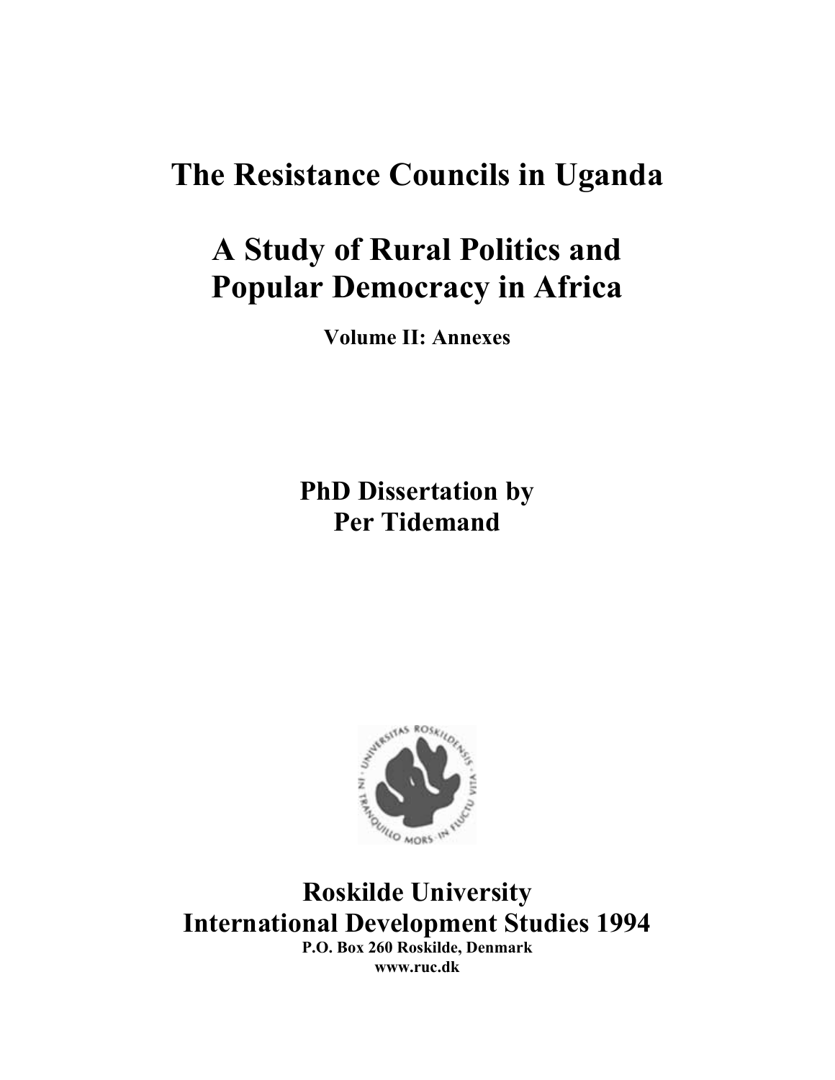# **The Resistance Councils in Uganda**

# **A Study of Rural Politics and Popular Democracy in Africa**

**Volume II: Annexes** 

**PhD Dissertation by Per Tidemand** 



**International Development Studies 1994 P.O. Box 260 Roskilde, Denmark** 

**www.ruc.dk**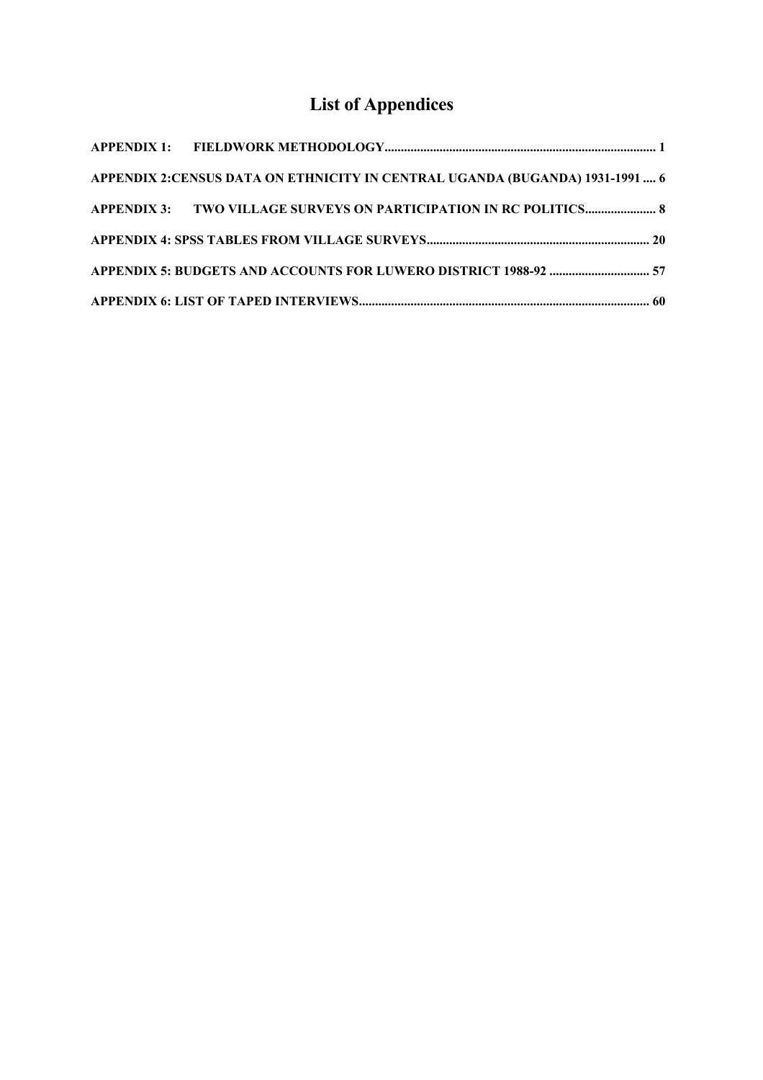# **List of Appendices**

| APPENDIX 2:CENSUS DATA ON ETHNICITY IN CENTRAL UGANDA (BUGANDA) 1931-1991  6 |  |
|------------------------------------------------------------------------------|--|
| APPENDIX 3: TWO VILLAGE SURVEYS ON PARTICIPATION IN RC POLITICS 8            |  |
|                                                                              |  |
|                                                                              |  |
|                                                                              |  |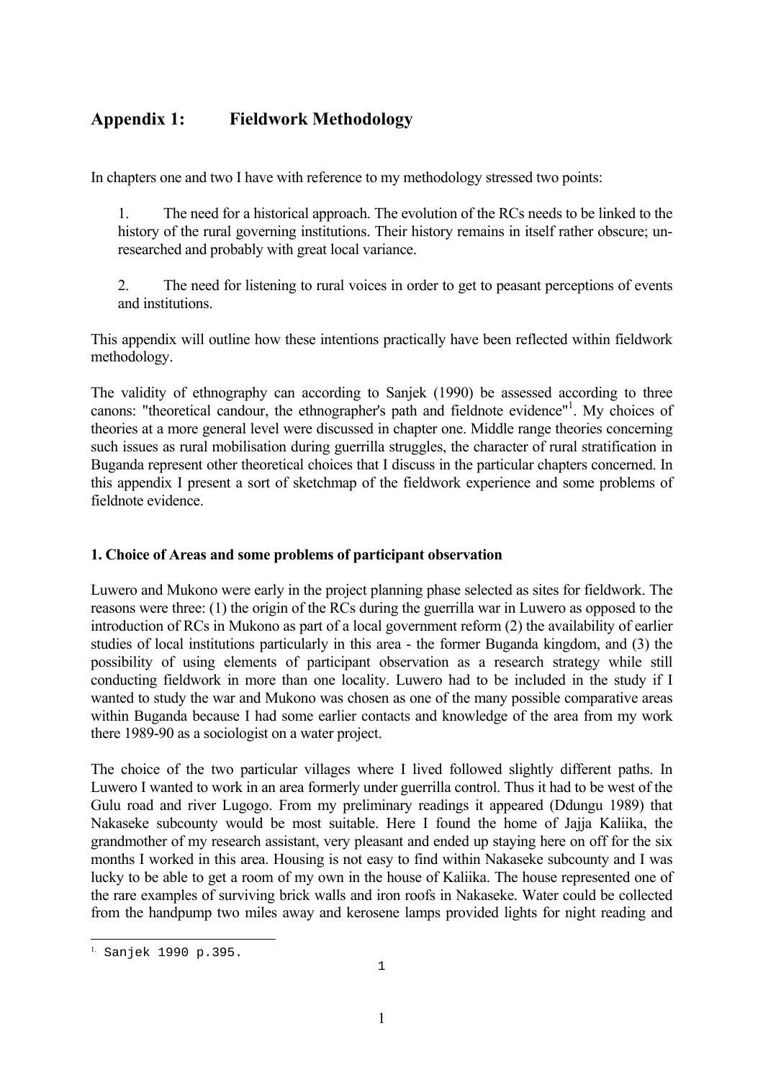## <span id="page-3-0"></span>**Appendix 1: Fieldwork Methodology**

In chapters one and two I have with reference to my methodology stressed two points:

1. The need for a historical approach. The evolution of the RCs needs to be linked to the history of the rural governing institutions. Their history remains in itself rather obscure; unresearched and probably with great local variance.

2. The need for listening to rural voices in order to get to peasant perceptions of events and institutions.

This appendix will outline how these intentions practically have been reflected within fieldwork methodology.

The validity of ethnography can according to Sanjek (1990) be assessed according to three canons: "theoretical candour, the ethnographer's path and fieldnote evidence"<sup>1</sup>. My choices of theories at a more general level were discussed in chapter one. Middle range theories concerning such issues as rural mobilisation during guerrilla struggles, the character of rural stratification in Buganda represent other theoretical choices that I discuss in the particular chapters concerned. In this appendix I present a sort of sketchmap of the fieldwork experience and some problems of fieldnote evidence.

#### **1. Choice of Areas and some problems of participant observation**

Luwero and Mukono were early in the project planning phase selected as sites for fieldwork. The reasons were three: (1) the origin of the RCs during the guerrilla war in Luwero as opposed to the introduction of RCs in Mukono as part of a local government reform (2) the availability of earlier studies of local institutions particularly in this area - the former Buganda kingdom, and (3) the possibility of using elements of participant observation as a research strategy while still conducting fieldwork in more than one locality. Luwero had to be included in the study if I wanted to study the war and Mukono was chosen as one of the many possible comparative areas within Buganda because I had some earlier contacts and knowledge of the area from my work there 1989-90 as a sociologist on a water project.

The choice of the two particular villages where I lived followed slightly different paths. In Luwero I wanted to work in an area formerly under guerrilla control. Thus it had to be west of the Gulu road and river Lugogo. From my preliminary readings it appeared (Ddungu 1989) that Nakaseke subcounty would be most suitable. Here I found the home of Jajja Kaliika, the grandmother of my research assistant, very pleasant and ended up staying here on off for the six months I worked in this area. Housing is not easy to find within Nakaseke subcounty and I was lucky to be able to get a room of my own in the house of Kaliika. The house represented one of the rare examples of surviving brick walls and iron roofs in Nakaseke. Water could be collected from the handpump two miles away and kerosene lamps provided lights for night reading and

<span id="page-3-1"></span>i<br>L 1. Sanjek 1990 p.395.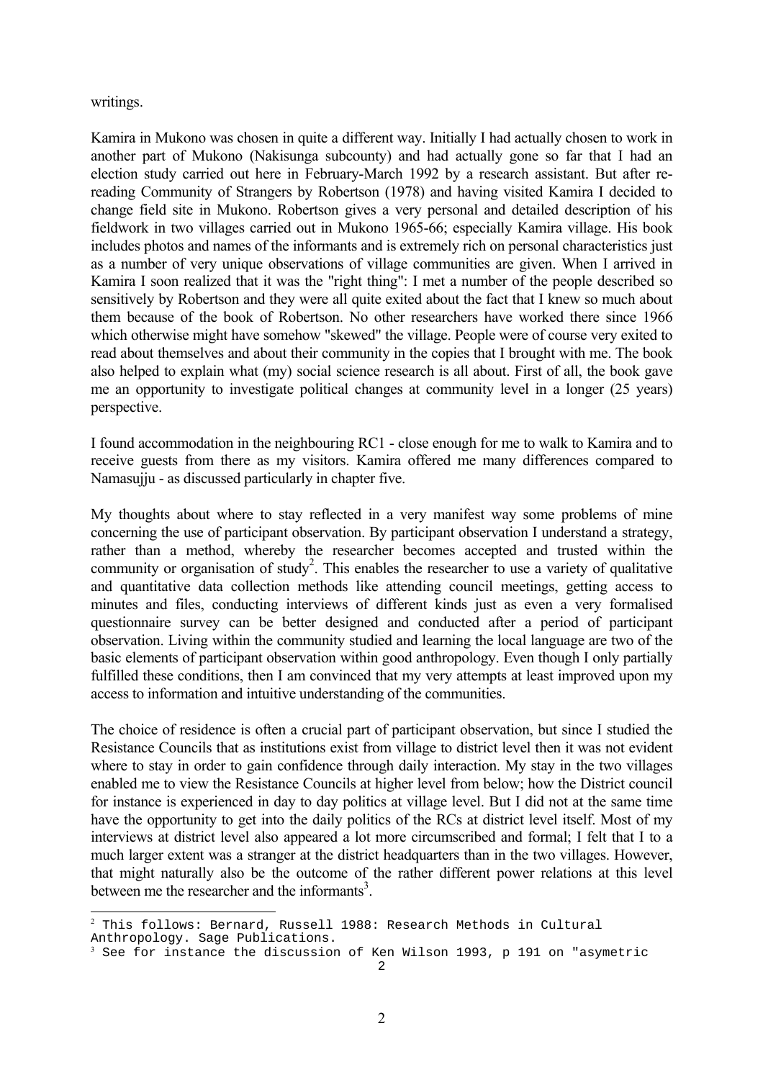#### <span id="page-4-1"></span>writings.

÷,

Kamira in Mukono was chosen in quite a different way. Initially I had actually chosen to work in another part of Mukono (Nakisunga subcounty) and had actually gone so far that I had an election study carried out here in February-March 1992 by a research assistant. But after rereading Community of Strangers by Robertson (1978) and having visited Kamira I decided to change field site in Mukono. Robertson gives a very personal and detailed description of his fieldwork in two villages carried out in Mukono 1965-66; especially Kamira village. His book includes photos and names of the informants and is extremely rich on personal characteristics just as a number of very unique observations of village communities are given. When I arrived in Kamira I soon realized that it was the "right thing": I met a number of the people described so sensitively by Robertson and they were all quite exited about the fact that I knew so much about them because of the book of Robertson. No other researchers have worked there since 1966 which otherwise might have somehow "skewed" the village. People were of course very exited to read about themselves and about their community in the copies that I brought with me. The book also helped to explain what (my) social science research is all about. First of all, the book gave me an opportunity to investigate political changes at community level in a longer (25 years) perspective.

I found accommodation in the neighbouring RC1 - close enough for me to walk to Kamira and to receive guests from there as my visitors. Kamira offered me many differences compared to Namasujju - as discussed particularly in chapter five.

My thoughts about where to stay reflected in a very manifest way some problems of mine concerning the use of participant observation. By participant observation I understand a strategy, rather than a method, whereby the researcher becomes accepted and trusted within the community or organisation of study<sup>2</sup>. This enables the researcher to use a variety of qualitative and quantitative data collection methods like attending council meetings, getting access to minutes and files, conducting interviews of different kinds just as even a very formalised questionnaire survey can be better designed and conducted after a period of participant observation. Living within the community studied and learning the local language are two of the basic elements of participant observation within good anthropology. Even though I only partially fulfilled these conditions, then I am convinced that my very attempts at least improved upon my access to information and intuitive understanding of the communities.

The choice of residence is often a crucial part of participant observation, but since I studied the Resistance Councils that as institutions exist from village to district level then it was not evident where to stay in order to gain confidence through daily interaction. My stay in the two villages enabled me to view the Resistance Councils at higher level from below; how the District council for instance is experienced in day to day politics at village level. But I did not at the same time have the opportunity to get into the daily politics of the RCs at district level itself. Most of my interviews at district level also appeared a lot more circumscribed and formal; I felt that I to a much larger extent was a stranger at the district headquarters than in the two villages. However, that might naturally also be the outcome of the rather different power relations at this level between me the researcher and the informants<sup>[3](#page-4-1)</sup>.

<span id="page-4-0"></span> $^2$  This follows: Bernard, Russell 1988: Research Methods in Cultural Anthropology. Sage Publications.

 $^3$  See for instance the discussion of Ken Wilson 1993, p 191 on "asymetric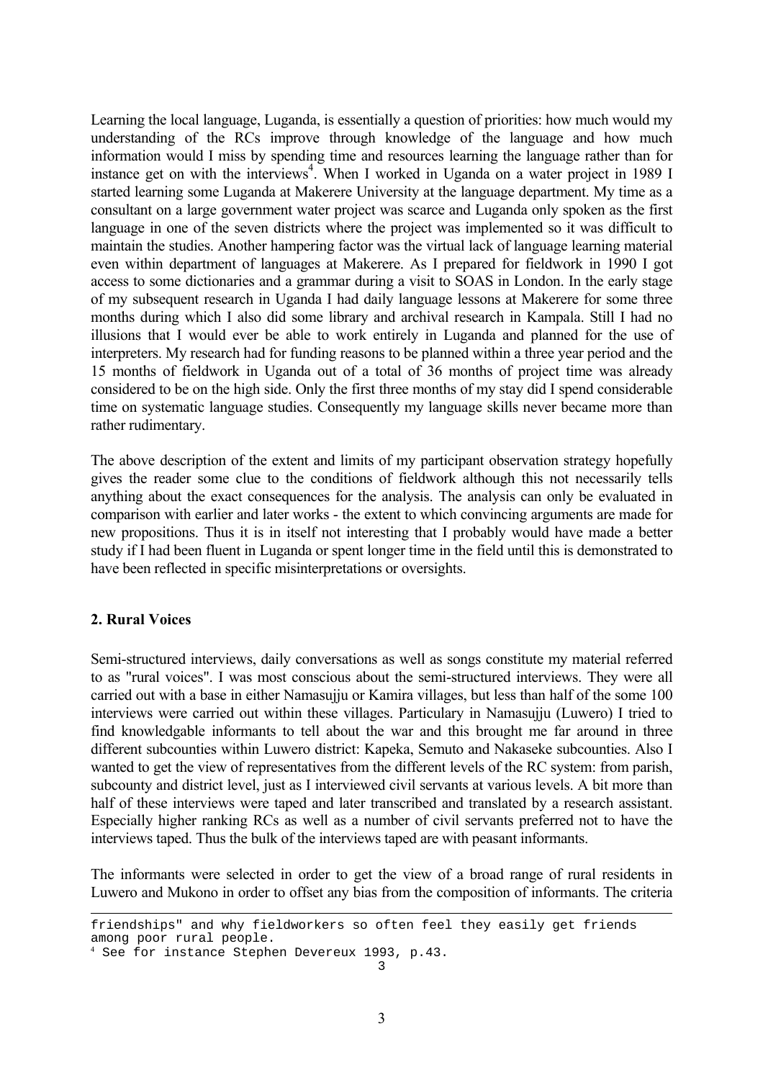Learning the local language, Luganda, is essentially a question of priorities: how much would my understanding of the RCs improve through knowledge of the language and how much information would I miss by spending time and resources learning the language rather than for instance get on with the interviews<sup>4</sup>. When I worked in Uganda on a water project in 1989 I started learning some Luganda at Makerere University at the language department. My time as a consultant on a large government water project was scarce and Luganda only spoken as the first language in one of the seven districts where the project was implemented so it was difficult to maintain the studies. Another hampering factor was the virtual lack of language learning material even within department of languages at Makerere. As I prepared for fieldwork in 1990 I got access to some dictionaries and a grammar during a visit to SOAS in London. In the early stage of my subsequent research in Uganda I had daily language lessons at Makerere for some three months during which I also did some library and archival research in Kampala. Still I had no illusions that I would ever be able to work entirely in Luganda and planned for the use of interpreters. My research had for funding reasons to be planned within a three year period and the 15 months of fieldwork in Uganda out of a total of 36 months of project time was already considered to be on the high side. Only the first three months of my stay did I spend considerable time on systematic language studies. Consequently my language skills never became more than rather rudimentary.

The above description of the extent and limits of my participant observation strategy hopefully gives the reader some clue to the conditions of fieldwork although this not necessarily tells anything about the exact consequences for the analysis. The analysis can only be evaluated in comparison with earlier and later works - the extent to which convincing arguments are made for new propositions. Thus it is in itself not interesting that I probably would have made a better study if I had been fluent in Luganda or spent longer time in the field until this is demonstrated to have been reflected in specific misinterpretations or oversights.

#### **2. Rural Voices**

÷,

Semi-structured interviews, daily conversations as well as songs constitute my material referred to as "rural voices". I was most conscious about the semi-structured interviews. They were all carried out with a base in either Namasujju or Kamira villages, but less than half of the some 100 interviews were carried out within these villages. Particulary in Namasujju (Luwero) I tried to find knowledgable informants to tell about the war and this brought me far around in three different subcounties within Luwero district: Kapeka, Semuto and Nakaseke subcounties. Also I wanted to get the view of representatives from the different levels of the RC system: from parish, subcounty and district level, just as I interviewed civil servants at various levels. A bit more than half of these interviews were taped and later transcribed and translated by a research assistant. Especially higher ranking RCs as well as a number of civil servants preferred not to have the interviews taped. Thus the bulk of the interviews taped are with peasant informants.

The informants were selected in order to get the view of a broad range of rural residents in Luwero and Mukono in order to offset any bias from the composition of informants. The criteria

friendships" and why fieldworkers so often feel they easily get friends among poor rural people.

<span id="page-5-0"></span><sup>3</sup> 4 See for instance Stephen Devereux 1993, p.43.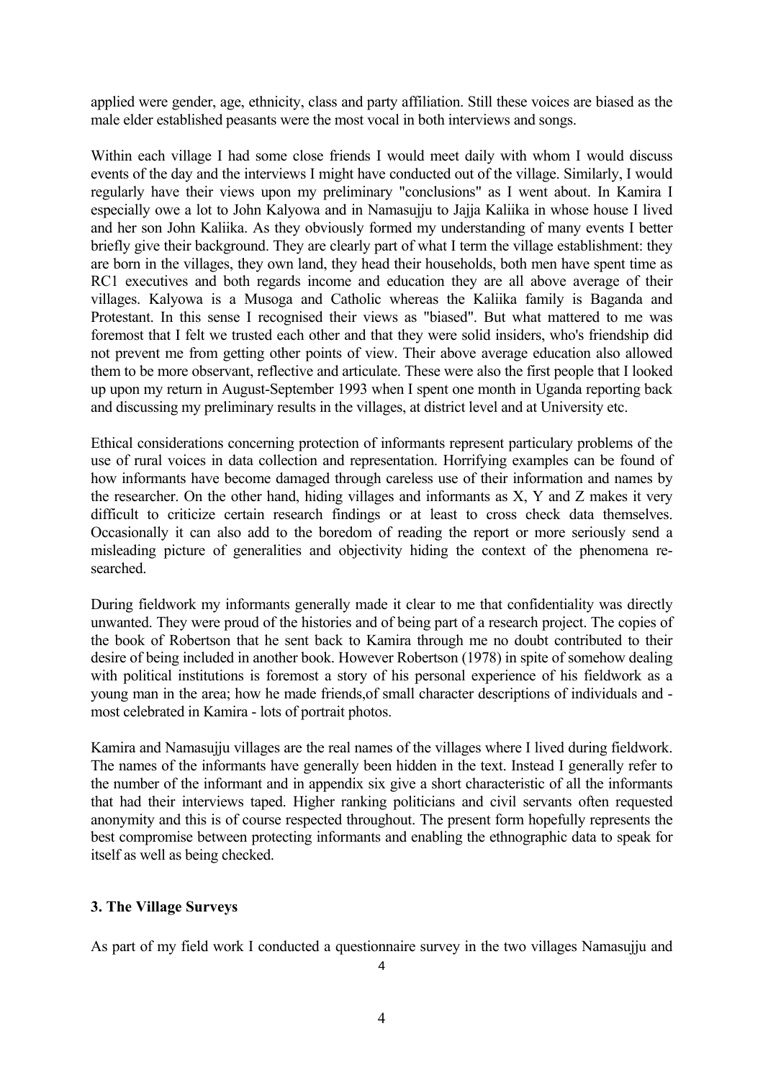applied were gender, age, ethnicity, class and party affiliation. Still these voices are biased as the male elder established peasants were the most vocal in both interviews and songs.

Within each village I had some close friends I would meet daily with whom I would discuss events of the day and the interviews I might have conducted out of the village. Similarly, I would regularly have their views upon my preliminary "conclusions" as I went about. In Kamira I especially owe a lot to John Kalyowa and in Namasujju to Jajja Kaliika in whose house I lived and her son John Kaliika. As they obviously formed my understanding of many events I better briefly give their background. They are clearly part of what I term the village establishment: they are born in the villages, they own land, they head their households, both men have spent time as RC1 executives and both regards income and education they are all above average of their villages. Kalyowa is a Musoga and Catholic whereas the Kaliika family is Baganda and Protestant. In this sense I recognised their views as "biased". But what mattered to me was foremost that I felt we trusted each other and that they were solid insiders, who's friendship did not prevent me from getting other points of view. Their above average education also allowed them to be more observant, reflective and articulate. These were also the first people that I looked up upon my return in August-September 1993 when I spent one month in Uganda reporting back and discussing my preliminary results in the villages, at district level and at University etc.

Ethical considerations concerning protection of informants represent particulary problems of the use of rural voices in data collection and representation. Horrifying examples can be found of how informants have become damaged through careless use of their information and names by the researcher. On the other hand, hiding villages and informants as X, Y and Z makes it very difficult to criticize certain research findings or at least to cross check data themselves. Occasionally it can also add to the boredom of reading the report or more seriously send a misleading picture of generalities and objectivity hiding the context of the phenomena researched.

During fieldwork my informants generally made it clear to me that confidentiality was directly unwanted. They were proud of the histories and of being part of a research project. The copies of the book of Robertson that he sent back to Kamira through me no doubt contributed to their desire of being included in another book. However Robertson (1978) in spite of somehow dealing with political institutions is foremost a story of his personal experience of his fieldwork as a young man in the area; how he made friends,of small character descriptions of individuals and most celebrated in Kamira - lots of portrait photos.

Kamira and Namasujju villages are the real names of the villages where I lived during fieldwork. The names of the informants have generally been hidden in the text. Instead I generally refer to the number of the informant and in appendix six give a short characteristic of all the informants that had their interviews taped. Higher ranking politicians and civil servants often requested anonymity and this is of course respected throughout. The present form hopefully represents the best compromise between protecting informants and enabling the ethnographic data to speak for itself as well as being checked.

#### **3. The Village Surveys**

As part of my field work I conducted a questionnaire survey in the two villages Namasujju and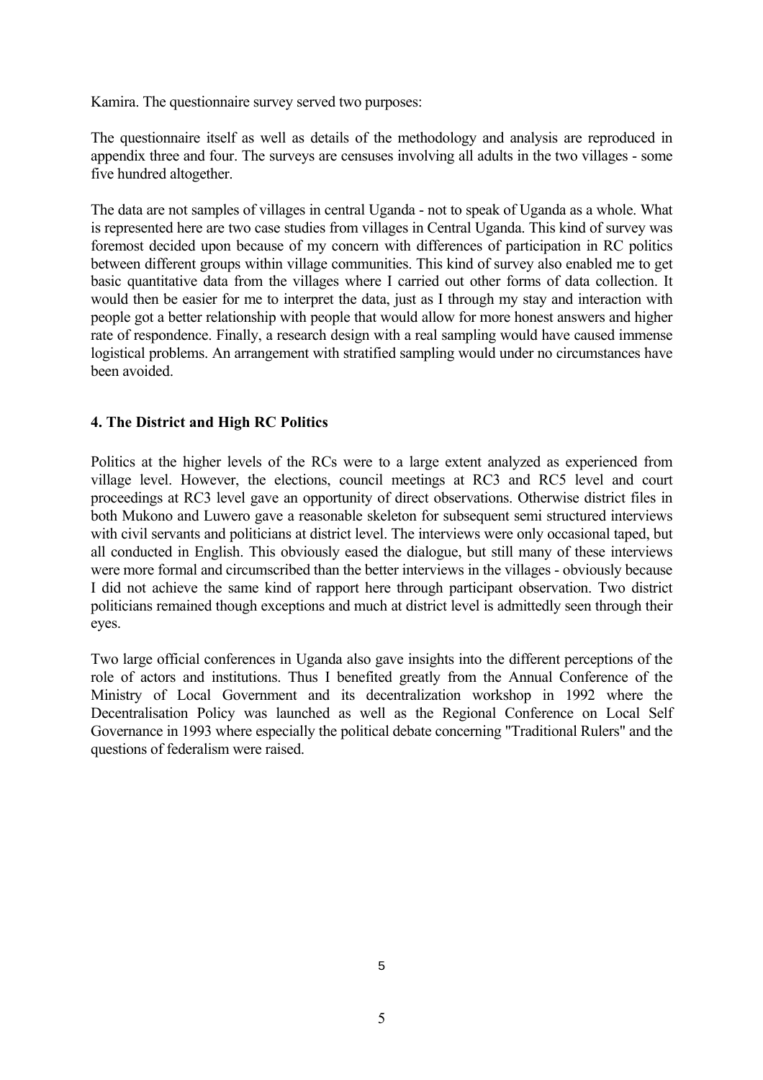Kamira. The questionnaire survey served two purposes:

The questionnaire itself as well as details of the methodology and analysis are reproduced in appendix three and four. The surveys are censuses involving all adults in the two villages - some five hundred altogether.

The data are not samples of villages in central Uganda - not to speak of Uganda as a whole. What is represented here are two case studies from villages in Central Uganda. This kind of survey was foremost decided upon because of my concern with differences of participation in RC politics between different groups within village communities. This kind of survey also enabled me to get basic quantitative data from the villages where I carried out other forms of data collection. It would then be easier for me to interpret the data, just as I through my stay and interaction with people got a better relationship with people that would allow for more honest answers and higher rate of respondence. Finally, a research design with a real sampling would have caused immense logistical problems. An arrangement with stratified sampling would under no circumstances have been avoided.

#### **4. The District and High RC Politics**

Politics at the higher levels of the RCs were to a large extent analyzed as experienced from village level. However, the elections, council meetings at RC3 and RC5 level and court proceedings at RC3 level gave an opportunity of direct observations. Otherwise district files in both Mukono and Luwero gave a reasonable skeleton for subsequent semi structured interviews with civil servants and politicians at district level. The interviews were only occasional taped, but all conducted in English. This obviously eased the dialogue, but still many of these interviews were more formal and circumscribed than the better interviews in the villages - obviously because I did not achieve the same kind of rapport here through participant observation. Two district politicians remained though exceptions and much at district level is admittedly seen through their eyes.

Two large official conferences in Uganda also gave insights into the different perceptions of the role of actors and institutions. Thus I benefited greatly from the Annual Conference of the Ministry of Local Government and its decentralization workshop in 1992 where the Decentralisation Policy was launched as well as the Regional Conference on Local Self Governance in 1993 where especially the political debate concerning "Traditional Rulers" and the questions of federalism were raised.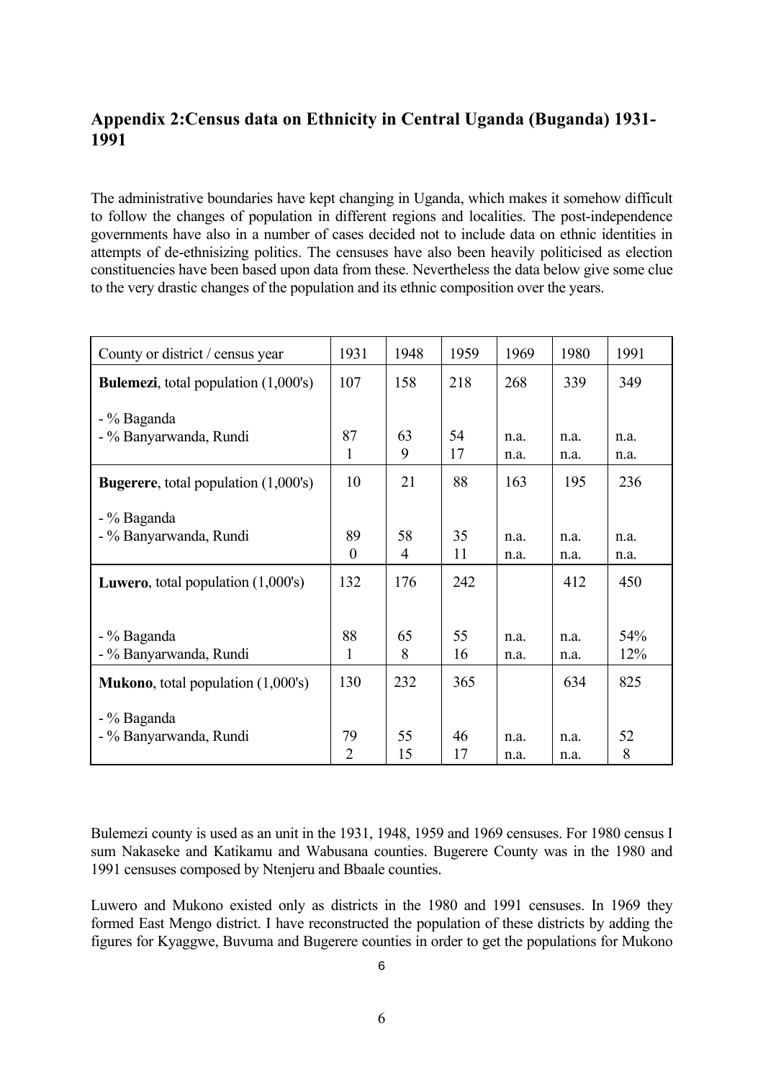## <span id="page-8-0"></span>**Appendix 2:Census data on Ethnicity in Central Uganda (Buganda) 1931- 1991**

The administrative boundaries have kept changing in Uganda, which makes it somehow difficult to follow the changes of population in different regions and localities. The post-independence governments have also in a number of cases decided not to include data on ethnic identities in attempts of de-ethnisizing politics. The censuses have also been heavily politicised as election constituencies have been based upon data from these. Nevertheless the data below give some clue to the very drastic changes of the population and its ethnic composition over the years.

| County or district / census year               | 1931                 | 1948     | 1959     | 1969         | 1980         | 1991    |
|------------------------------------------------|----------------------|----------|----------|--------------|--------------|---------|
| <b>Bulemezi</b> , total population (1,000's)   | 107                  | 158      | 218      | 268          | 339          | 349     |
| - % Baganda                                    |                      |          |          |              |              |         |
| - % Banyarwanda, Rundi                         | 87                   | 63       | 54       | n.a.         | n.a.         | n.a.    |
|                                                | 1                    | 9        | 17       | n.a.         | n.a.         | n.a.    |
| <b>Bugerere</b> , total population (1,000's)   | 10                   | 21       | 88       | 163          | 195          | 236     |
| - % Baganda                                    |                      |          |          |              |              |         |
| - % Banyarwanda, Rundi                         | 89                   | 58       | 35       | n.a.         | n.a.         | n.a.    |
|                                                | $\theta$             | 4        | 11       | n.a.         | n.a.         | n.a.    |
| <b>Luwero</b> , total population $(1,000)$ 's) | 132                  | 176      | 242      |              | 412          | 450     |
|                                                |                      |          |          |              |              |         |
| - % Baganda                                    | 88                   | 65       | 55       | n.a.         | n.a.         | 54%     |
| - % Banyarwanda, Rundi                         | 1                    | 8        | 16       | n.a.         | n.a.         | 12%     |
| <b>Mukono</b> , total population $(1,000)$ 's) | 130                  | 232      | 365      |              | 634          | 825     |
| - % Baganda                                    |                      |          |          |              |              |         |
| - % Banyarwanda, Rundi                         | 79<br>$\overline{2}$ | 55<br>15 | 46<br>17 | n.a.<br>n.a. | n.a.<br>n.a. | 52<br>8 |

Bulemezi county is used as an unit in the 1931, 1948, 1959 and 1969 censuses. For 1980 census I sum Nakaseke and Katikamu and Wabusana counties. Bugerere County was in the 1980 and 1991 censuses composed by Ntenjeru and Bbaale counties.

Luwero and Mukono existed only as districts in the 1980 and 1991 censuses. In 1969 they formed East Mengo district. I have reconstructed the population of these districts by adding the figures for Kyaggwe, Buvuma and Bugerere counties in order to get the populations for Mukono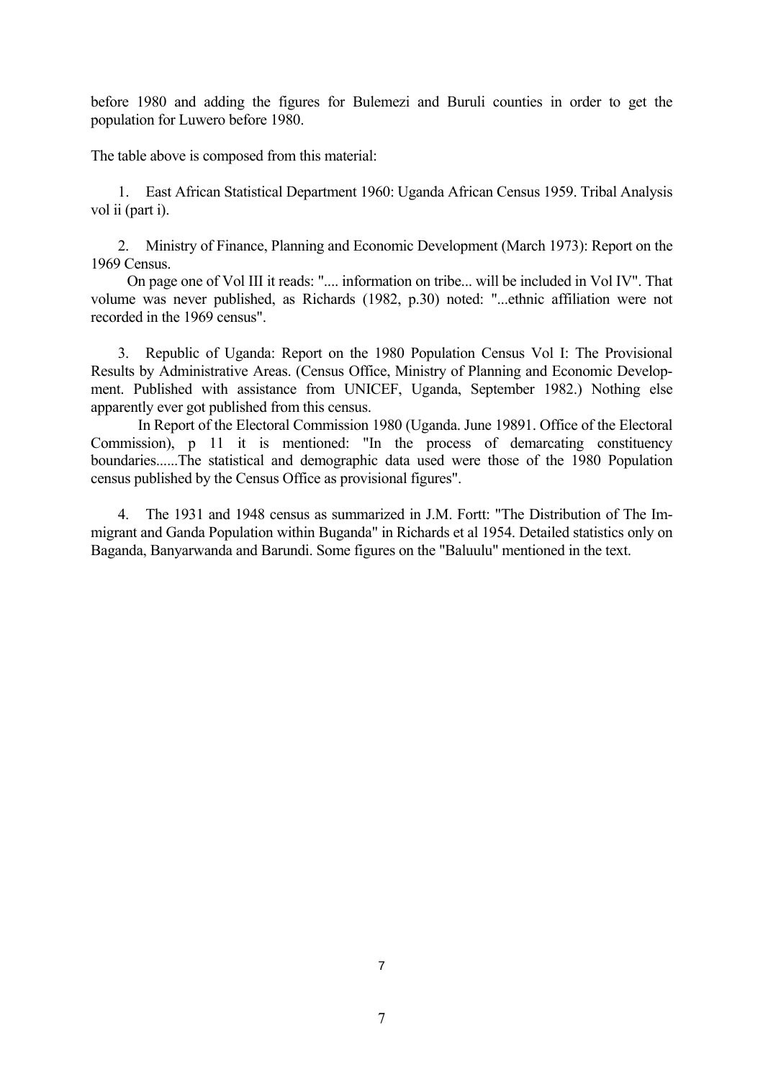before 1980 and adding the figures for Bulemezi and Buruli counties in order to get the population for Luwero before 1980.

The table above is composed from this material:

1. East African Statistical Department 1960: Uganda African Census 1959. Tribal Analysis vol ii (part i).

2. Ministry of Finance, Planning and Economic Development (March 1973): Report on the 1969 Census.

On page one of Vol III it reads: ".... information on tribe... will be included in Vol IV". That volume was never published, as Richards (1982, p.30) noted: "...ethnic affiliation were not recorded in the 1969 census".

3. Republic of Uganda: Report on the 1980 Population Census Vol I: The Provisional Results by Administrative Areas. (Census Office, Ministry of Planning and Economic Development. Published with assistance from UNICEF, Uganda, September 1982.) Nothing else apparently ever got published from this census.

 In Report of the Electoral Commission 1980 (Uganda. June 19891. Office of the Electoral Commission), p 11 it is mentioned: "In the process of demarcating constituency boundaries......The statistical and demographic data used were those of the 1980 Population census published by the Census Office as provisional figures".

4. The 1931 and 1948 census as summarized in J.M. Fortt: "The Distribution of The Immigrant and Ganda Population within Buganda" in Richards et al 1954. Detailed statistics only on Baganda, Banyarwanda and Barundi. Some figures on the "Baluulu" mentioned in the text.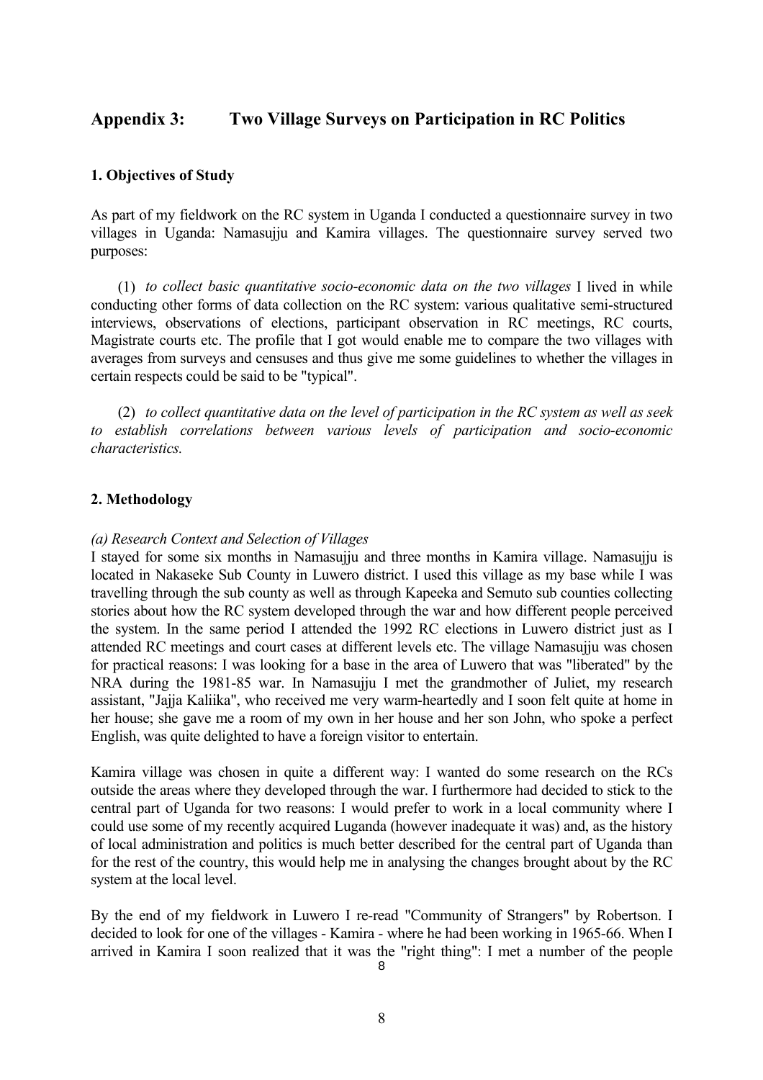## <span id="page-10-0"></span>**Appendix 3: Two Village Surveys on Participation in RC Politics**

#### **1. Objectives of Study**

As part of my fieldwork on the RC system in Uganda I conducted a questionnaire survey in two villages in Uganda: Namasujiu and Kamira villages. The questionnaire survey served two purposes:

 (1) *to collect basic quantitative socio-economic data on the two villages* I lived in while conducting other forms of data collection on the RC system: various qualitative semi-structured interviews, observations of elections, participant observation in RC meetings, RC courts, Magistrate courts etc. The profile that I got would enable me to compare the two villages with averages from surveys and censuses and thus give me some guidelines to whether the villages in certain respects could be said to be "typical".

 (2) *to collect quantitative data on the level of participation in the RC system as well as seek to establish correlations between various levels of participation and socio-economic characteristics.*

#### **2. Methodology**

#### *(a) Research Context and Selection of Villages*

I stayed for some six months in Namasujju and three months in Kamira village. Namasujju is located in Nakaseke Sub County in Luwero district. I used this village as my base while I was travelling through the sub county as well as through Kapeeka and Semuto sub counties collecting stories about how the RC system developed through the war and how different people perceived the system. In the same period I attended the 1992 RC elections in Luwero district just as I attended RC meetings and court cases at different levels etc. The village Namasujju was chosen for practical reasons: I was looking for a base in the area of Luwero that was "liberated" by the NRA during the 1981-85 war. In Namasujju I met the grandmother of Juliet, my research assistant, "Jajja Kaliika", who received me very warm-heartedly and I soon felt quite at home in her house; she gave me a room of my own in her house and her son John, who spoke a perfect English, was quite delighted to have a foreign visitor to entertain.

Kamira village was chosen in quite a different way: I wanted do some research on the RCs outside the areas where they developed through the war. I furthermore had decided to stick to the central part of Uganda for two reasons: I would prefer to work in a local community where I could use some of my recently acquired Luganda (however inadequate it was) and, as the history of local administration and politics is much better described for the central part of Uganda than for the rest of the country, this would help me in analysing the changes brought about by the RC system at the local level.

8 By the end of my fieldwork in Luwero I re-read "Community of Strangers" by Robertson. I decided to look for one of the villages - Kamira - where he had been working in 1965-66. When I arrived in Kamira I soon realized that it was the "right thing": I met a number of the people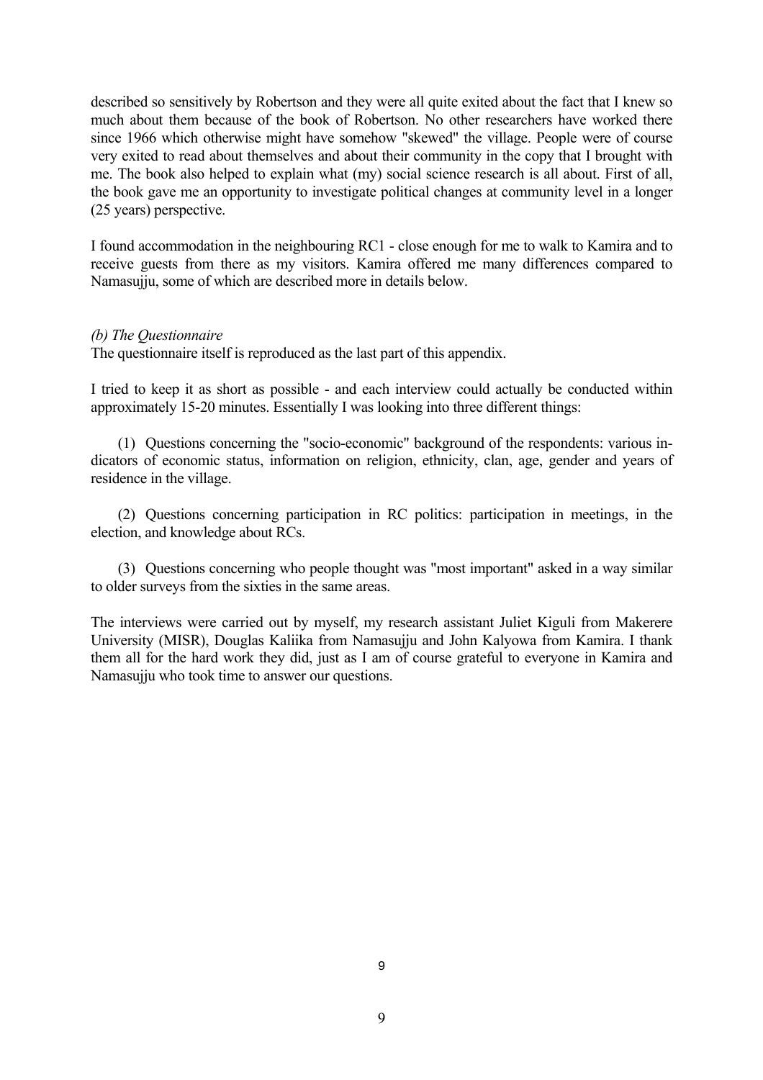described so sensitively by Robertson and they were all quite exited about the fact that I knew so much about them because of the book of Robertson. No other researchers have worked there since 1966 which otherwise might have somehow "skewed" the village. People were of course very exited to read about themselves and about their community in the copy that I brought with me. The book also helped to explain what (my) social science research is all about. First of all, the book gave me an opportunity to investigate political changes at community level in a longer (25 years) perspective.

I found accommodation in the neighbouring RC1 - close enough for me to walk to Kamira and to receive guests from there as my visitors. Kamira offered me many differences compared to Namasujju, some of which are described more in details below.

#### *(b) The Questionnaire*

The questionnaire itself is reproduced as the last part of this appendix.

I tried to keep it as short as possible - and each interview could actually be conducted within approximately 15-20 minutes. Essentially I was looking into three different things:

(1) Questions concerning the "socio-economic" background of the respondents: various indicators of economic status, information on religion, ethnicity, clan, age, gender and years of residence in the village.

(2) Questions concerning participation in RC politics: participation in meetings, in the election, and knowledge about RCs.

(3) Questions concerning who people thought was "most important" asked in a way similar to older surveys from the sixties in the same areas.

The interviews were carried out by myself, my research assistant Juliet Kiguli from Makerere University (MISR), Douglas Kaliika from Namasujju and John Kalyowa from Kamira. I thank them all for the hard work they did, just as I am of course grateful to everyone in Kamira and Namasujju who took time to answer our questions.

9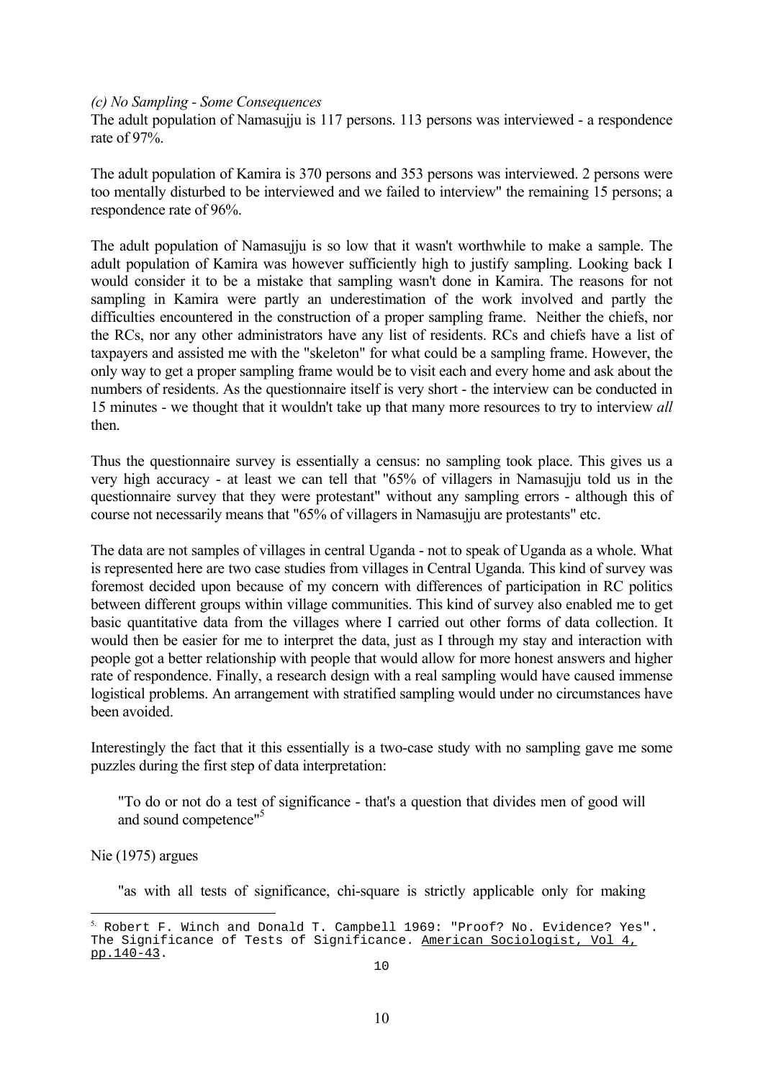#### *(c) No Sampling - Some Consequences*

The adult population of Namasujju is 117 persons. 113 persons was interviewed - a respondence rate of 97%.

The adult population of Kamira is 370 persons and 353 persons was interviewed. 2 persons were too mentally disturbed to be interviewed and we failed to interview" the remaining 15 persons; a respondence rate of 96%.

The adult population of Namasujju is so low that it wasn't worthwhile to make a sample. The adult population of Kamira was however sufficiently high to justify sampling. Looking back I would consider it to be a mistake that sampling wasn't done in Kamira. The reasons for not sampling in Kamira were partly an underestimation of the work involved and partly the difficulties encountered in the construction of a proper sampling frame. Neither the chiefs, nor the RCs, nor any other administrators have any list of residents. RCs and chiefs have a list of taxpayers and assisted me with the "skeleton" for what could be a sampling frame. However, the only way to get a proper sampling frame would be to visit each and every home and ask about the numbers of residents. As the questionnaire itself is very short - the interview can be conducted in 15 minutes - we thought that it wouldn't take up that many more resources to try to interview *all* then.

Thus the questionnaire survey is essentially a census: no sampling took place. This gives us a very high accuracy - at least we can tell that "65% of villagers in Namasujju told us in the questionnaire survey that they were protestant" without any sampling errors - although this of course not necessarily means that "65% of villagers in Namasujju are protestants" etc.

The data are not samples of villages in central Uganda - not to speak of Uganda as a whole. What is represented here are two case studies from villages in Central Uganda. This kind of survey was foremost decided upon because of my concern with differences of participation in RC politics between different groups within village communities. This kind of survey also enabled me to get basic quantitative data from the villages where I carried out other forms of data collection. It would then be easier for me to interpret the data, just as I through my stay and interaction with people got a better relationship with people that would allow for more honest answers and higher rate of respondence. Finally, a research design with a real sampling would have caused immense logistical problems. An arrangement with stratified sampling would under no circumstances have been avoided.

Interestingly the fact that it this essentially is a two-case study with no sampling gave me some puzzles during the first step of data interpretation:

"To do or not do a test of significance - that's a question that divides men of good will and sound competence"<sup>5</sup>

#### Nie (1975) argues

÷,

"as with all tests of significance, chi-square is strictly applicable only for making

<span id="page-12-0"></span><sup>5.</sup> Robert F. Winch and Donald T. Campbell 1969: "Proof? No. Evidence? Yes". The Significance of Tests of Significance. American Sociologist, Vol 4, pp.140-43.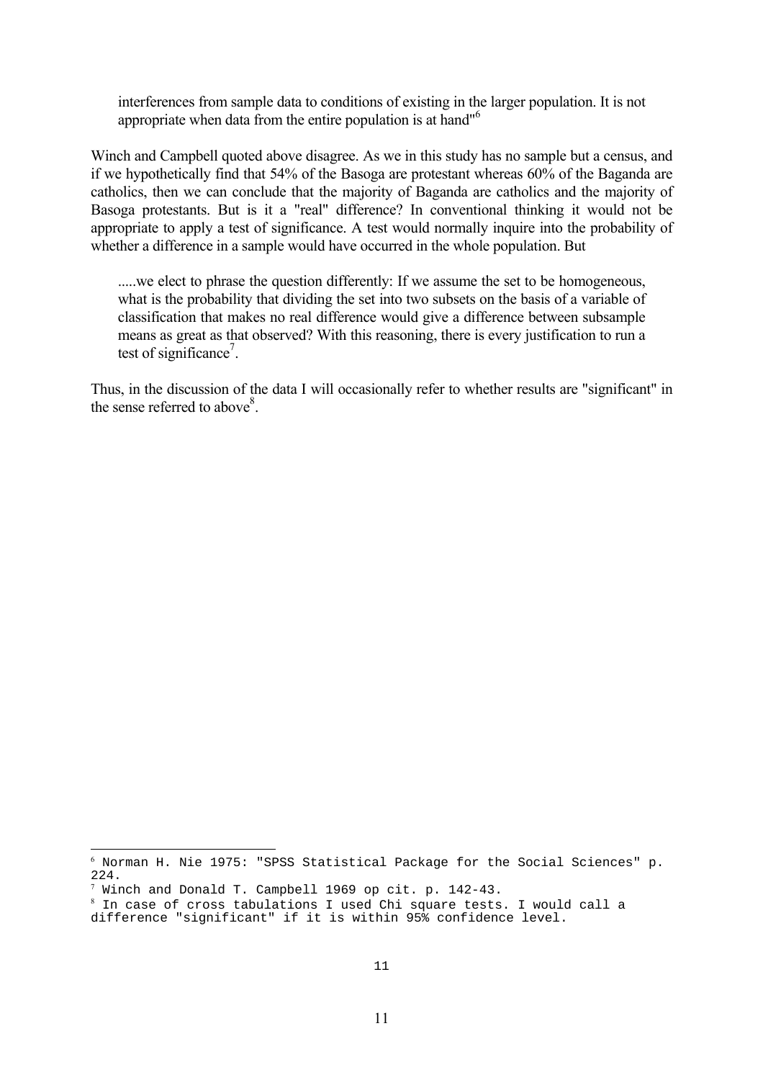interferences from sample data to conditions of existing in the larger population. It is not appropriate when data from the entire population is at hand"<sup>[6](#page-13-0)</sup>

Winch and Campbell quoted above disagree. As we in this study has no sample but a census, and if we hypothetically find that 54% of the Basoga are protestant whereas 60% of the Baganda are catholics, then we can conclude that the majority of Baganda are catholics and the majority of Basoga protestants. But is it a "real" difference? In conventional thinking it would not be appropriate to apply a test of significance. A test would normally inquire into the probability of whether a difference in a sample would have occurred in the whole population. But

.....we elect to phrase the question differently: If we assume the set to be homogeneous, what is the probability that dividing the set into two subsets on the basis of a variable of classification that makes no real difference would give a difference between subsample means as great as that observed? With this reasoning, there is every justification to run a test of significance<sup>7</sup>.

Thus, in the discussion of the data I will occasionally refer to whether results are "significant" in the sense referred to above $8$ .

÷,

<span id="page-13-0"></span> $^6$  Norman H. Nie 1975: "SPSS Statistical Package for the Social Sciences" p. 224.

<span id="page-13-1"></span><sup>7</sup> Winch and Donald T. Campbell 1969 op cit. p. 142-43.

<span id="page-13-2"></span> $^8$  In case of cross tabulations I used Chi square tests. I would call a difference "significant" if it is within 95% confidence level.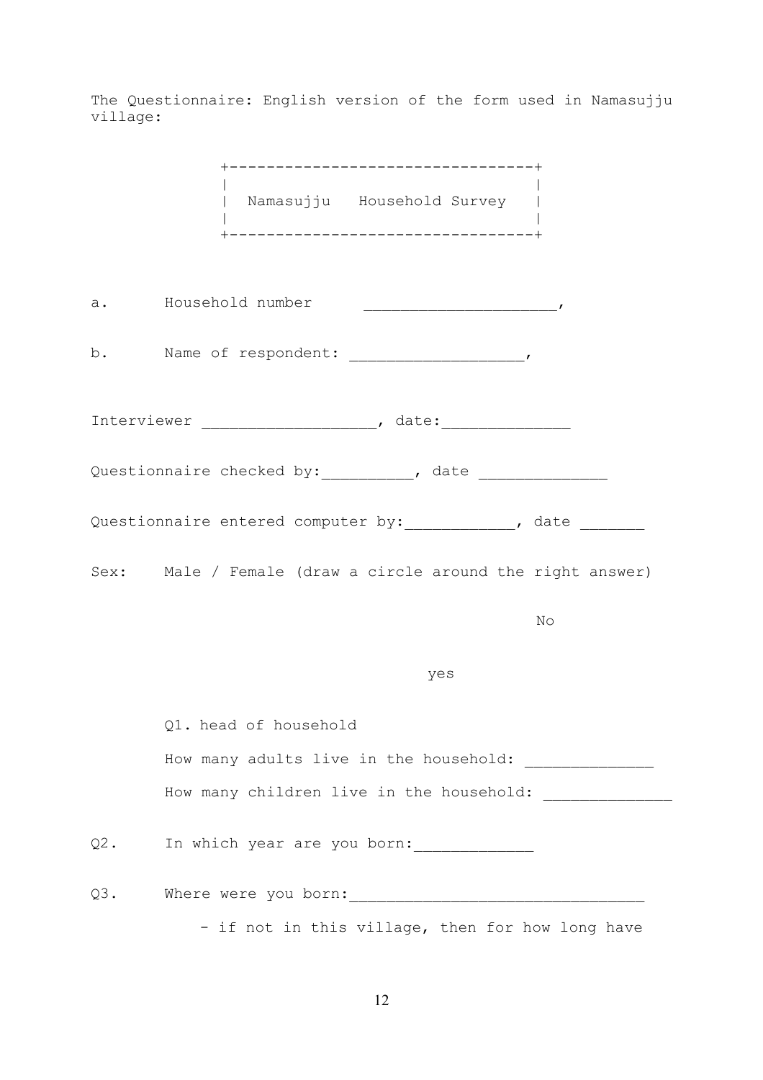The Questionnaire: English version of the form used in Namasujju village:

|        | _________________________________<br>  Namasujju Household Survey  <br> <br>+-----------------------------------+ |
|--------|-------------------------------------------------------------------------------------------------------------------|
|        | a. Household number                                                                                               |
| b.     |                                                                                                                   |
|        |                                                                                                                   |
|        |                                                                                                                   |
|        | Questionnaire entered computer by: ____________, date ________                                                    |
|        | Sex: Male / Female (draw a circle around the right answer)                                                        |
|        | No                                                                                                                |
|        | yes                                                                                                               |
|        | Q1. head of household                                                                                             |
|        | How many adults live in the household: ________________                                                           |
|        | How many children live in the household: ________________                                                         |
| $Q2$ . | In which year are you born:                                                                                       |
| $Q3$ . |                                                                                                                   |
|        | - if not in this village, then for how long have                                                                  |

12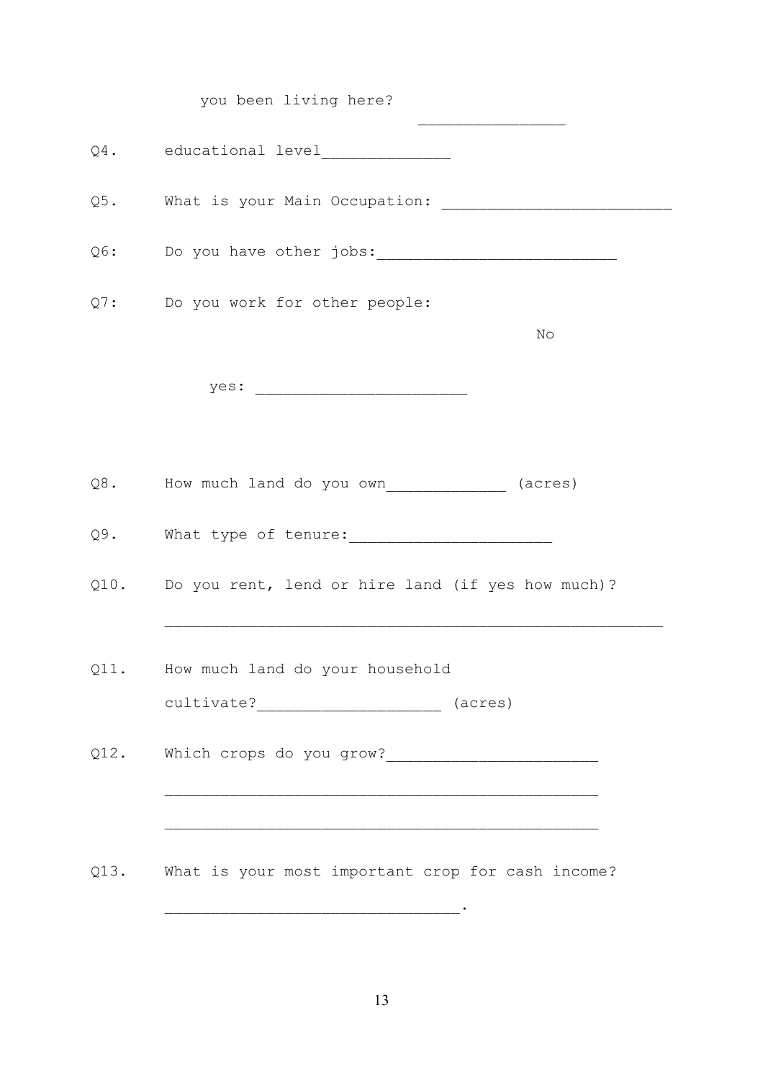|        | you been living here?                                  |
|--------|--------------------------------------------------------|
|        | Q4. educational level_______________                   |
| $Q5$ . | What is your Main Occupation:                          |
|        |                                                        |
|        | Q7: Do you work for other people:                      |
|        | No                                                     |
|        |                                                        |
|        |                                                        |
|        | Q8. How much land do you own_____________ (acres)      |
| Q9.    |                                                        |
|        | Q10. Do you rent, lend or hire land (if yes how much)? |
|        | Q11. How much land do your household                   |
|        | cultivate?___________________________ (acres)          |
|        |                                                        |
|        |                                                        |
|        | Q13. What is your most important crop for cash income? |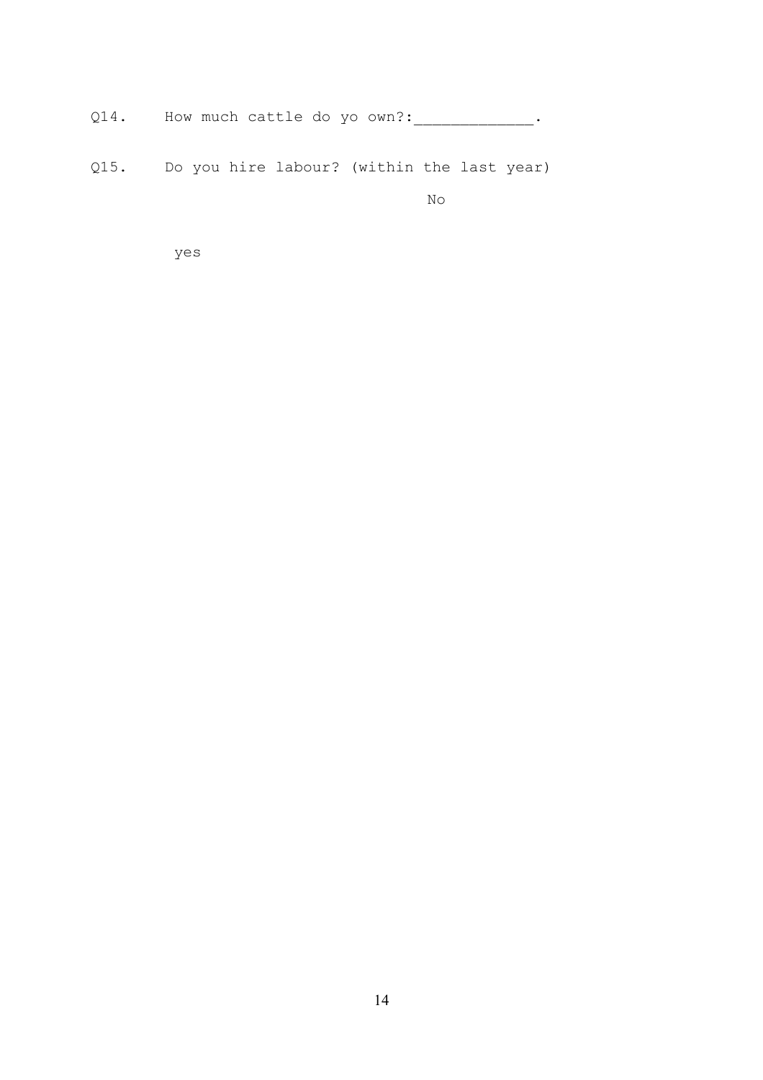Q14. How much cattle do yo own?: \_\_\_\_\_\_\_\_\_\_\_\_\_\_\_.

Q15. Do you hire labour? (within the last year)

No

yes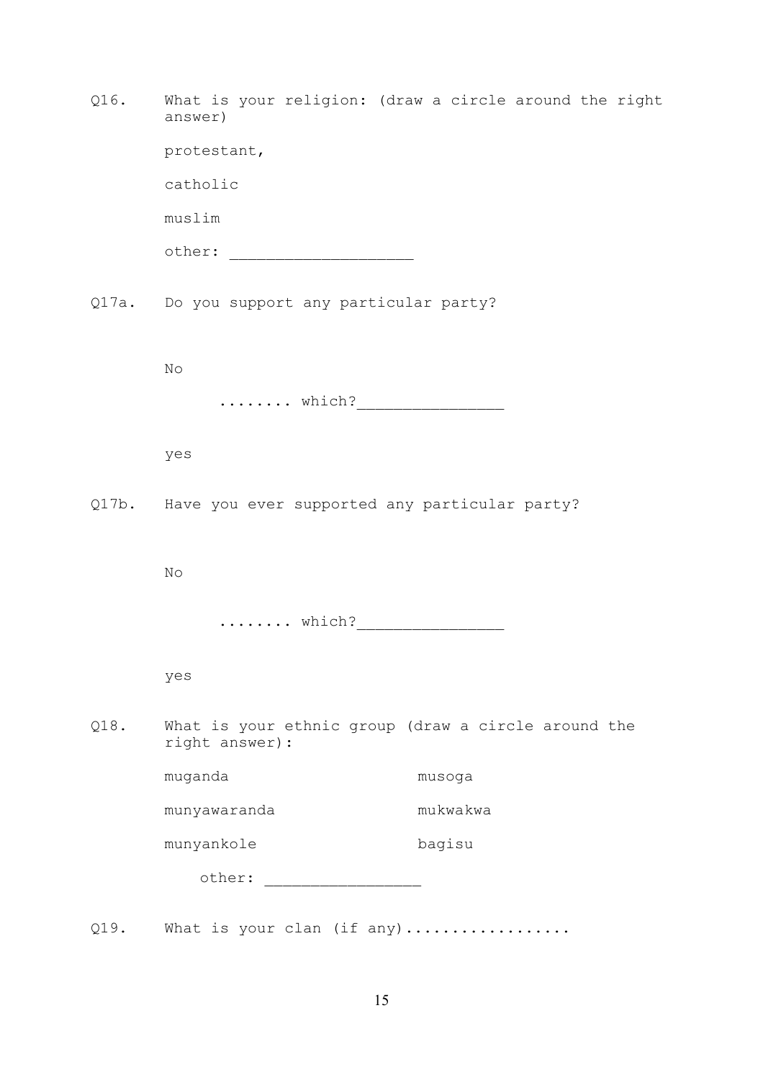| Q16. | answer)                                                                | What is your religion: (draw a circle around the right |
|------|------------------------------------------------------------------------|--------------------------------------------------------|
|      | protestant,                                                            |                                                        |
|      | catholic                                                               |                                                        |
|      | muslim                                                                 |                                                        |
|      |                                                                        |                                                        |
|      | Q17a. Do you support any particular party?                             |                                                        |
|      | $\mathop{\rm No}\nolimits$                                             |                                                        |
|      |                                                                        |                                                        |
|      | yes                                                                    |                                                        |
|      | Q17b. Have you ever supported any particular party?                    |                                                        |
|      | $\rm No$                                                               |                                                        |
|      |                                                                        |                                                        |
|      | yes                                                                    |                                                        |
| Q18. | What is your ethnic group (draw a circle around the<br>right answer) : |                                                        |
|      | muganda                                                                | musoga                                                 |
|      | munyawaranda                                                           | mukwakwa                                               |
|      | munyankole                                                             | bagisu                                                 |
|      | other:                                                                 |                                                        |
|      |                                                                        |                                                        |

Q19. What is your clan (if any).................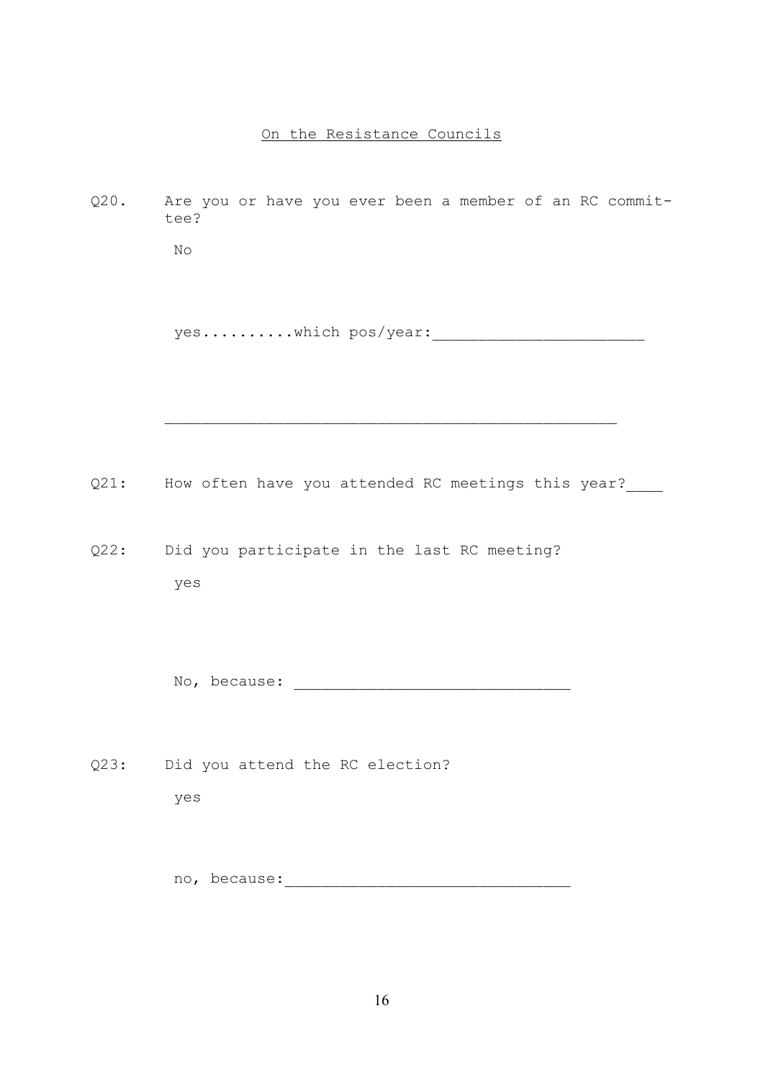#### On the Resistance Councils

Q20. Are you or have you ever been a member of an RC committee? No yes..........which pos/year:

Q21: How often have you attended RC meetings this year?

 $\mathcal{L}_\text{max} = \frac{1}{2} \sum_{i=1}^{n} \frac{1}{2} \sum_{i=1}^{n} \frac{1}{2} \sum_{i=1}^{n} \frac{1}{2} \sum_{i=1}^{n} \frac{1}{2} \sum_{i=1}^{n} \frac{1}{2} \sum_{i=1}^{n} \frac{1}{2} \sum_{i=1}^{n} \frac{1}{2} \sum_{i=1}^{n} \frac{1}{2} \sum_{i=1}^{n} \frac{1}{2} \sum_{i=1}^{n} \frac{1}{2} \sum_{i=1}^{n} \frac{1}{2} \sum_{i=1}^{n} \frac{1$ 

Q22: Did you participate in the last RC meeting? yes

No, because: \_\_\_\_\_\_\_\_\_\_\_\_\_\_\_\_\_\_\_\_\_\_\_\_\_\_\_\_\_\_

Q23: Did you attend the RC election? yes

no, because:\_\_\_\_\_\_\_\_\_\_\_\_\_\_\_\_\_\_\_\_\_\_\_\_\_\_\_\_\_\_\_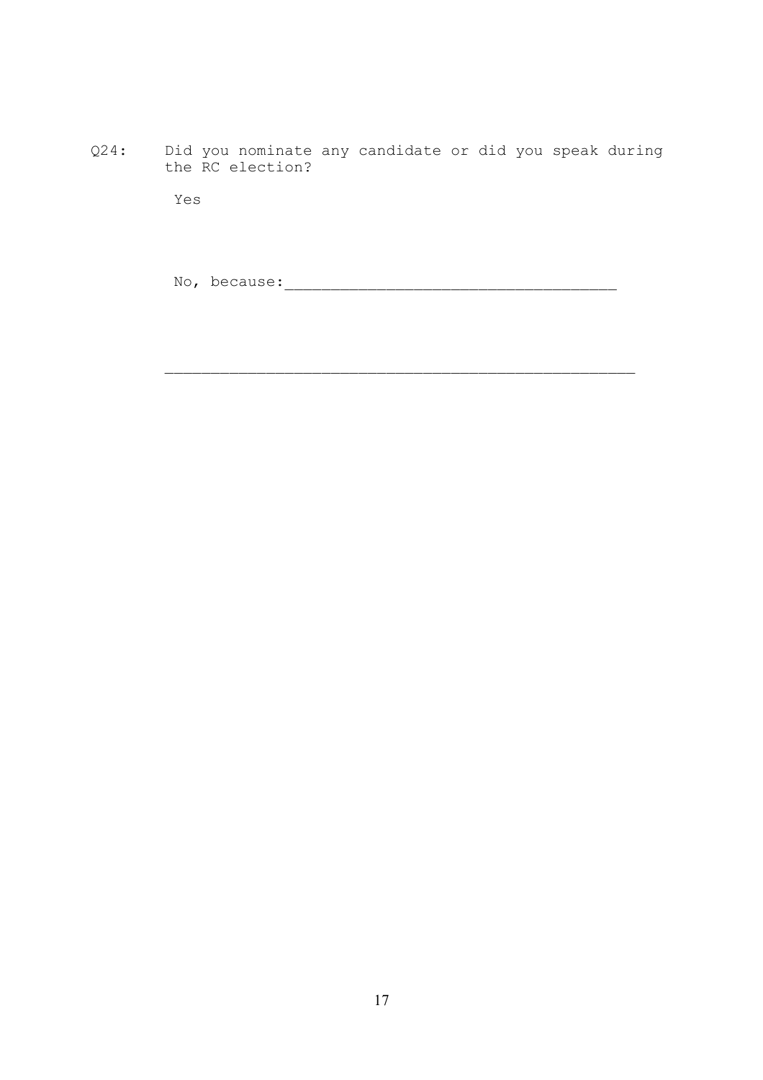Q24: Did you nominate any candidate or did you speak during the RC election?

Yes

No, because:\_\_\_\_\_\_\_\_\_\_\_\_\_\_\_\_\_\_\_\_\_\_\_\_\_\_\_\_\_\_\_\_\_\_\_\_

 $\mathcal{L}_\text{max}$  , and the contract of the contract of the contract of the contract of the contract of the contract of the contract of the contract of the contract of the contract of the contract of the contract of the contr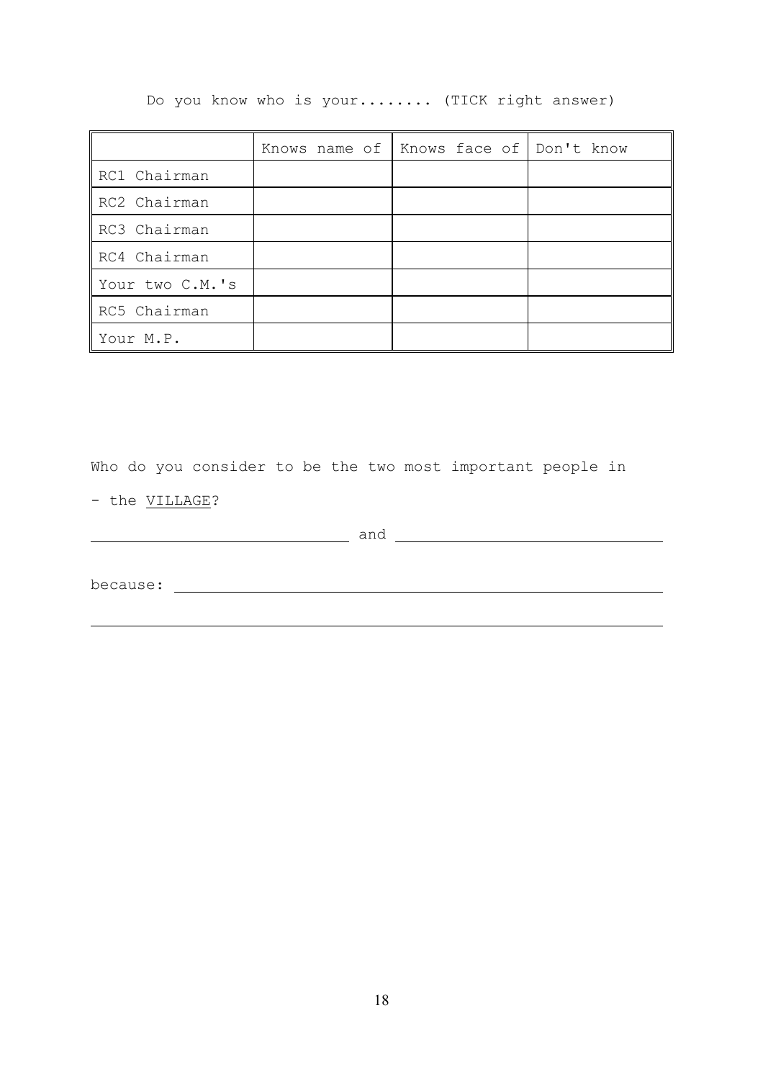Do you know who is your........ (TICK right answer)

|                 | Knows name of   Knows face of   Don't know |  |
|-----------------|--------------------------------------------|--|
| RC1 Chairman    |                                            |  |
| RC2 Chairman    |                                            |  |
| RC3 Chairman    |                                            |  |
| RC4 Chairman    |                                            |  |
| Your two C.M.'s |                                            |  |
| RC5 Chairman    |                                            |  |
| Your M.P.       |                                            |  |

Who do you consider to be the two most important people in

- the VILLAGE?

|          | and |
|----------|-----|
|          |     |
| because: |     |
|          |     |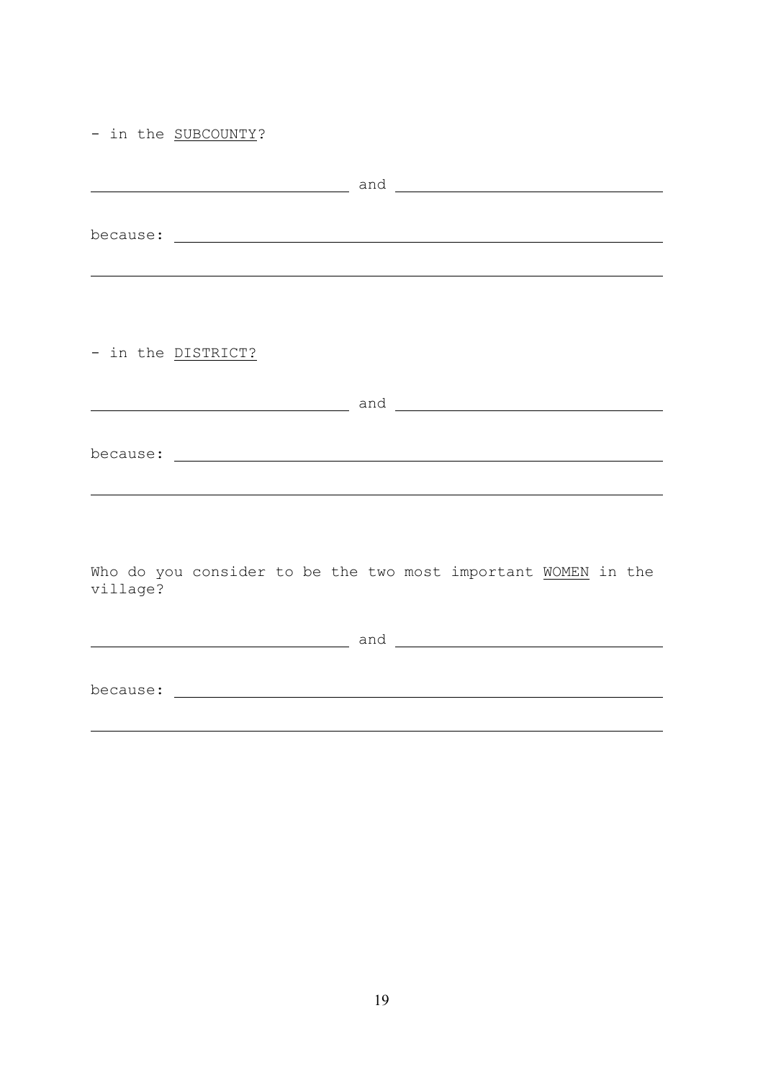|  |  |  | in the SUBCOUNTY? |
|--|--|--|-------------------|
|--|--|--|-------------------|

| - in the DISTRICT?                                                        |  |
|---------------------------------------------------------------------------|--|
|                                                                           |  |
| Who do you consider to be the two most important WOMEN in the<br>village? |  |
|                                                                           |  |
|                                                                           |  |
|                                                                           |  |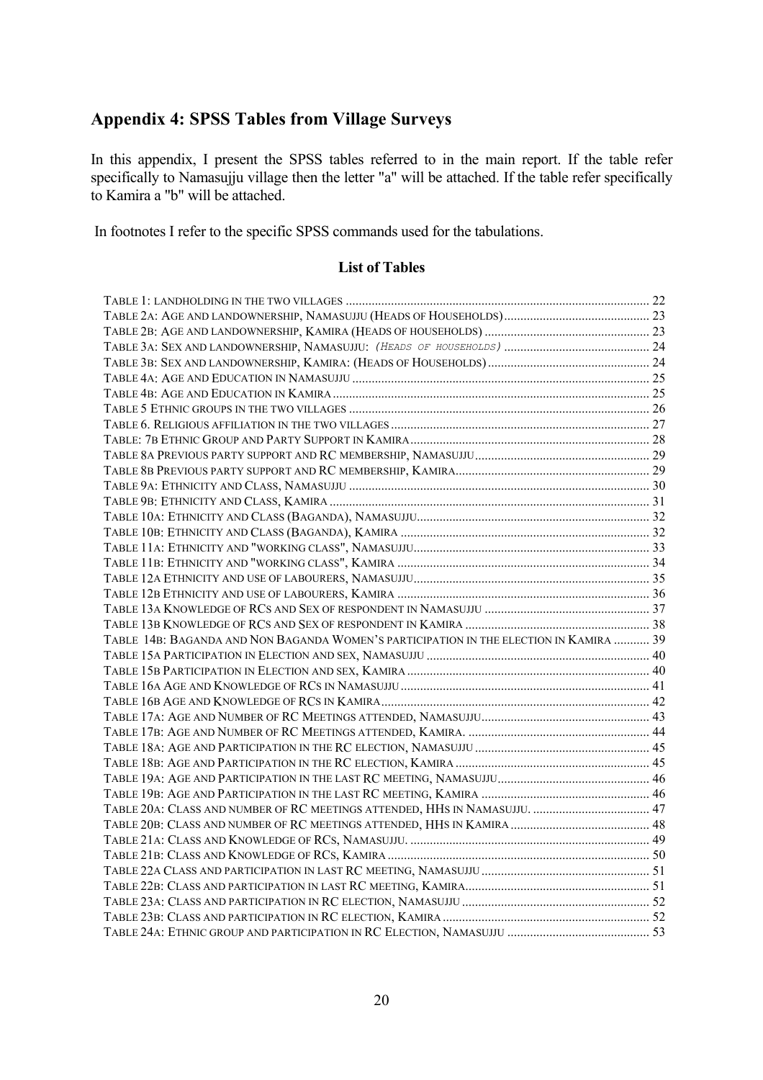# <span id="page-22-0"></span>**Appendix 4: SPSS Tables from Village Surveys**

In this appendix, I present the SPSS tables referred to in the main report. If the table refer specifically to Namasujju village then the letter "a" will be attached. If the table refer specifically to Kamira a "b" will be attached.

In footnotes I refer to the specific SPSS commands used for the tabulations.

#### **List of Tables**

| TABLE 14B: BAGANDA AND NON BAGANDA WOMEN'S PARTICIPATION IN THE ELECTION IN KAMIRA  39 |  |
|----------------------------------------------------------------------------------------|--|
|                                                                                        |  |
|                                                                                        |  |
|                                                                                        |  |
|                                                                                        |  |
|                                                                                        |  |
|                                                                                        |  |
|                                                                                        |  |
|                                                                                        |  |
|                                                                                        |  |
|                                                                                        |  |
|                                                                                        |  |
|                                                                                        |  |
|                                                                                        |  |
|                                                                                        |  |
|                                                                                        |  |
|                                                                                        |  |
|                                                                                        |  |
|                                                                                        |  |
|                                                                                        |  |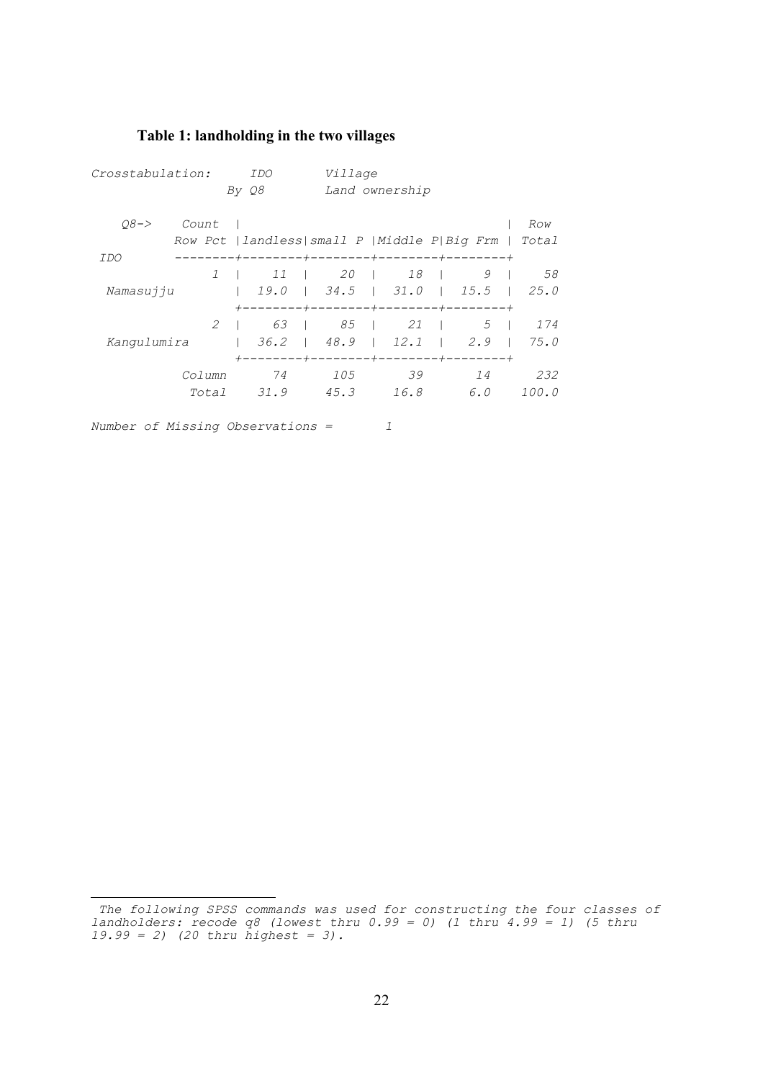## <span id="page-24-0"></span>**Table 1: landholding in the two village[s](#page-24-1)**

| Crosstabulation: |               | IDO   |                         | Village                                         |                  |       |  |
|------------------|---------------|-------|-------------------------|-------------------------------------------------|------------------|-------|--|
|                  |               | By Q8 |                         | Land ownership                                  |                  |       |  |
| $08 - >$         | Count         |       |                         |                                                 |                  | Row   |  |
|                  |               |       |                         | Row Pct   landless  small P   Middle P  Big Frm |                  | Total |  |
| IDO              |               |       | $--- + --- --- --- + -$ | -------                                         |                  |       |  |
|                  | 1             | 11    | 20                      | $18$                                            | 9                | 58    |  |
| Namasujju        |               | 19.0  |                         | $\vert$ 34.5 $\vert$ 31.0                       | 1 15.5           | 125.0 |  |
|                  |               |       | —————+——                | $--- + -$                                       | $-+ - - - - - -$ |       |  |
|                  | $\mathcal{L}$ | 63    | 85                      | 21                                              | .5               | 174   |  |
| Kangulumira      |               | 36.2  | 148.9                   | $1 \quad 12.1$                                  | 2.9              | 75.0  |  |
|                  |               |       |                         | -------+--------+--------+-------+              |                  |       |  |
|                  | Column        | 74    | 105                     | 39                                              | 14               | 232   |  |
|                  | Total         | 31.9  | 45.3                    | 16.8                                            | 6.0              | 100.0 |  |

*Number of Missing Observations = 1* 

÷,

<span id="page-24-1"></span>*The following SPSS commands was used for constructing the four classes of landholders: recode q8 (lowest thru 0.99 = 0) (1 thru 4.99 = 1) (5 thru 19.99 = 2) (20 thru highest = 3).*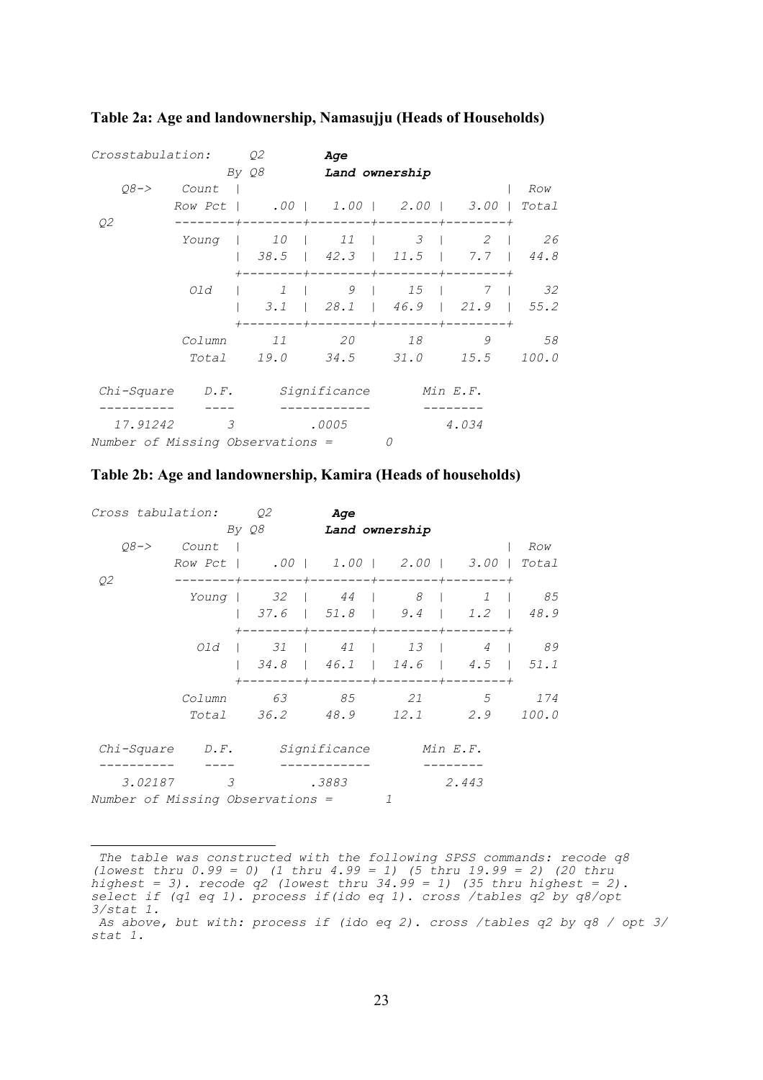| Crosstabulation:                 |                                    | Q2                                         | Age   |                                           |            |              |
|----------------------------------|------------------------------------|--------------------------------------------|-------|-------------------------------------------|------------|--------------|
|                                  |                                    | By Q8                                      |       | Land ownership                            |            |              |
| $08 - >$                         | Count                              |                                            |       |                                           |            | Row          |
|                                  | Row Pct   .00   1.00   2.00   3.00 |                                            |       |                                           |            | Total        |
| Q2                               |                                    |                                            |       |                                           |            |              |
|                                  | Young                              |                                            |       | $10$   $11$   $3$                         | $2 \mid$   | 26           |
|                                  |                                    |                                            |       | $38.5$   $42.3$   $11.5$   $7.7$   $44.8$ |            |              |
|                                  |                                    |                                            |       | $---+------$                              | $--+-----$ |              |
|                                  | Old                                |                                            |       | 1   9   15   7   32                       |            |              |
|                                  |                                    |                                            |       | $3.1$   28.1   46.9   21.9   55.2         |            |              |
|                                  | Column                             | +--------+--------+--------+-------+<br>11 | 20    |                                           | 9          | 58           |
|                                  |                                    | Total 19.0 34.5 31.0 15.5                  |       |                                           |            | <i>100.0</i> |
|                                  |                                    |                                            |       |                                           |            |              |
| Chi-Square D.F. Significance     |                                    |                                            |       |                                           | Min E.F.   |              |
| 17.91242                         | $\mathcal{E}$                      |                                            | .0005 |                                           | 4.034      |              |
| Number of Missing Observations = |                                    |                                            |       | 0                                         |            |              |

#### <span id="page-25-0"></span>**Table 2a: Age and landownership, Namasujju (Heads of Household[s\)](#page-25-1)**

| Table 2b: Age and landownership, Kamira (Heads of households) |
|---------------------------------------------------------------|
|---------------------------------------------------------------|

| Cross tabulation:                |                          | Q2    | Aqe                                    |                |                   |        |
|----------------------------------|--------------------------|-------|----------------------------------------|----------------|-------------------|--------|
|                                  |                          | By Q8 |                                        | Land ownership |                   |        |
| $08 - >$                         | Count                    |       |                                        |                |                   | Row    |
|                                  |                          |       | Row Pct   .00   1.00   2.00   3.00     |                |                   | Total  |
| Q2                               |                          |       | +--------+--------+-------+-----       |                |                   |        |
|                                  | Young                    |       | 32   44   8                            |                | $1 \quad \square$ | 85     |
|                                  |                          |       | 37.6   51.8   9.4   1.2   48.9         |                |                   |        |
|                                  |                          |       | +--------+---------+--------+--------+ |                |                   |        |
|                                  | Old                      |       |                                        |                |                   | 4   89 |
|                                  |                          |       | 34.8   46.1   14.6   4.5   51.1        |                |                   |        |
|                                  | Column                   | 63    | ----+--------+--------+-------<br>85   | 21             | $5^{\circ}$       | 174    |
|                                  |                          |       | Total 36.2 48.9 12.1 2.9               |                |                   | 100.0  |
|                                  |                          |       |                                        |                |                   |        |
| Chi-Square                       |                          |       | <i>D.F. Significance</i>               |                | Min E.F.          |        |
| 3.02187                          | $\overline{\mathcal{E}}$ |       | .3883                                  |                | 2.443             |        |
| Number of Missing Observations = |                          |       |                                        |                |                   |        |

<span id="page-25-1"></span><sup>÷,</sup>  *The table was constructed with the following SPSS commands: recode q8 (lowest thru 0.99 = 0) (1 thru 4.99 = 1) (5 thru 19.99 = 2) (20 thru highest = 3). recode q2 (lowest thru 34.99 = 1) (35 thru highest = 2). select if (q1 eq 1). process if(ido eq 1). cross /tables q2 by q8/opt 3/stat 1.*

<span id="page-25-2"></span>*As above, but with: process if (ido eq 2). cross /tables q2 by q8 / opt 3/ stat 1.*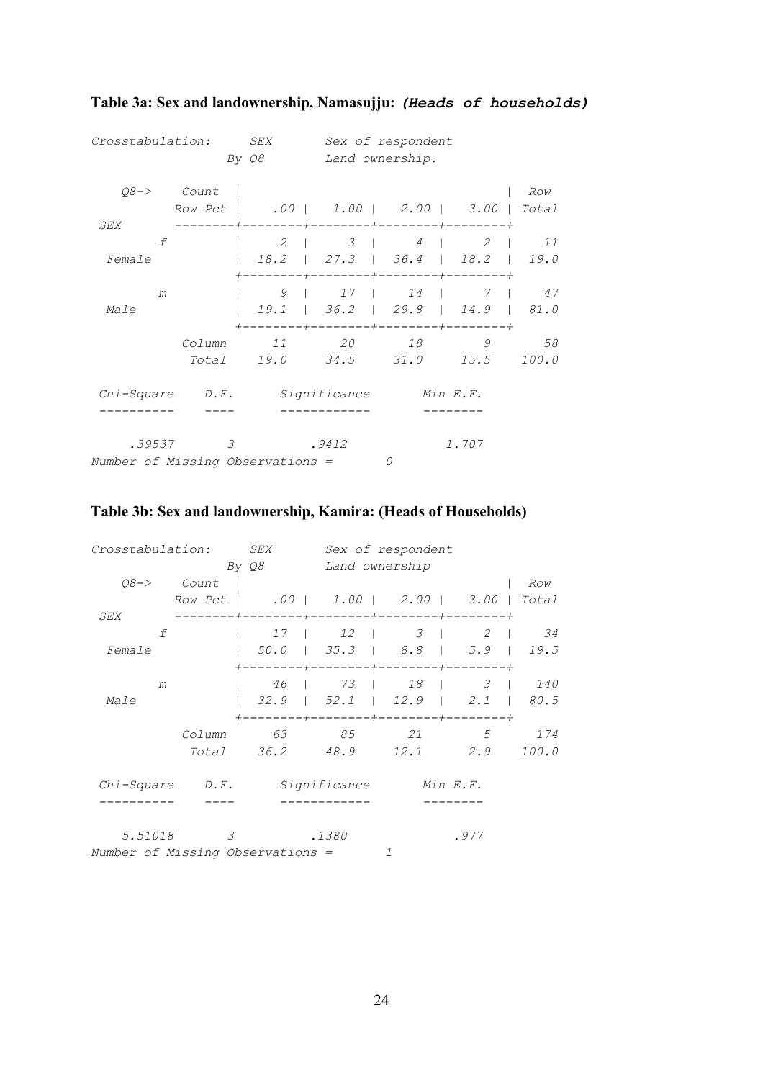| Crosstabulation:                      |                                    | <i>SEX</i><br>By Q8 |                  | Sex of respondent<br>Land ownership.                                            |             |       |
|---------------------------------------|------------------------------------|---------------------|------------------|---------------------------------------------------------------------------------|-------------|-------|
|                                       | $Q8->$ Count                       |                     |                  |                                                                                 |             | Row   |
|                                       | Row Pct   .00   1.00   2.00   3.00 |                     |                  |                                                                                 |             | Total |
| SEX<br>f                              |                                    |                     | $2 \mid$         | -+--------+--------+-------+-----<br>3   4   2                                  |             | 11    |
| Female                                |                                    | 18.2                |                  | $\vert$ 27.3   36.4   18.2   19.0                                               |             |       |
| m                                     |                                    |                     | $9 \mid 17 \mid$ | ----+--------+--------+--------+                                                | 14   7   47 |       |
| Male                                  |                                    |                     |                  | $1 \t19.1$   36.2   29.8   14.9   81.0<br>+--------+--------+---------+-------+ |             |       |
|                                       | Column                             | 11                  | 20               | 18                                                                              | 9           | 58    |
|                                       | Total                              |                     |                  | 19.0 34.5 31.0 15.5 100.0                                                       |             |       |
| Chi-Square D.F. Significance Min E.F. |                                    |                     |                  |                                                                                 |             |       |
|                                       |                                    |                     |                  |                                                                                 |             |       |
| .39537                                | $\overline{3}$                     |                     | .9412            |                                                                                 | 1.707       |       |
| Number of Missing Observations =      |                                    |                     |                  |                                                                                 |             |       |

## <span id="page-26-0"></span>**Table 3a: Sex and landownership, Namasujju:** *(Heads of households)*

### **Table 3b: Sex and landownership, Kamira: (Heads of Households)**

| Crosstabulation:                 | <i>SEX</i>                         |                    | Sex of respondent               |                |         |
|----------------------------------|------------------------------------|--------------------|---------------------------------|----------------|---------|
|                                  | By Q8                              | Land ownership     |                                 |                |         |
| $08 - >$<br>Count                |                                    |                    |                                 |                | Row     |
| Row Pct                          | .00   1.00   2.00   3.00           |                    |                                 |                | Total   |
| SEX                              |                                    |                    | -----+--------+-------+-----    | $-+$           |         |
| f                                | 17                                 | $12 \quad \square$ | $3 \mid$                        | 2              | 34      |
| Female                           | 1, 50, 0                           |                    | $\vert$ 35.3   8.8   5.9   19.5 |                |         |
|                                  | $- - + - - - -$                    |                    | ----+--------+--------+         |                |         |
| m                                | 46                                 | 73                 | 18                              |                | 3   140 |
| Male                             | 32.9                               | 52.1               |                                 | $12.9$   $2.1$ | 80.5    |
|                                  | --------+--------+--------+------+ |                    |                                 |                |         |
| Column                           | 63                                 | 85                 | 21                              | .5             | 174     |
| Total                            | 36.2                               | 48.9               | 12.1                            | 2.9            | 100.0   |
|                                  |                                    |                    |                                 |                |         |
| Chi-Square<br>$D \cdot F$ .      |                                    | Significance       |                                 | Min E.F.       |         |
|                                  |                                    |                    |                                 |                |         |
|                                  |                                    |                    |                                 |                |         |
| 5.51018<br>3                     |                                    | .1380              |                                 | .977           |         |
| Number of Missing Observations = |                                    |                    | 7                               |                |         |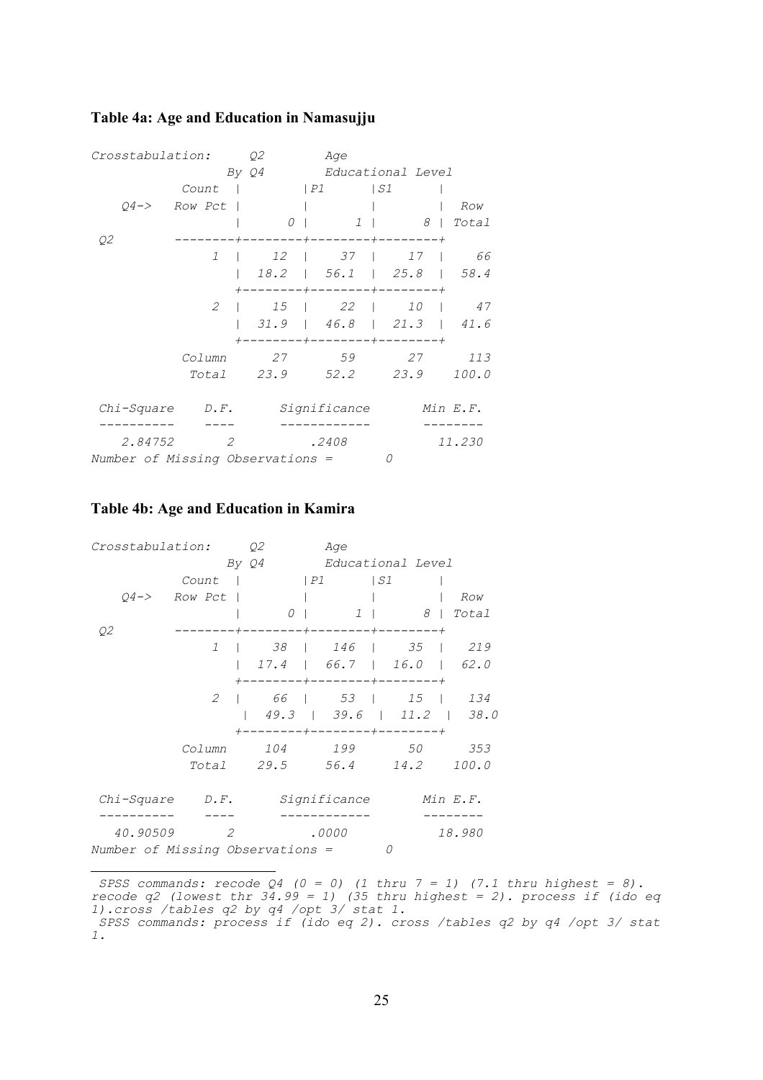#### <span id="page-27-0"></span>**Table 4a: Age and Education in Namasujj[u](#page-27-1)**

| Crosstabulation:                 |               | Q2      | Age          |                      |          |  |
|----------------------------------|---------------|---------|--------------|----------------------|----------|--|
|                                  |               | By $Q4$ |              | Educational Level    |          |  |
|                                  | Count         |         | P1           | S1                   |          |  |
| $04 - >$                         | Row Pct       |         |              |                      | Row      |  |
|                                  |               | 0       | 1<br>$\Box$  | 8                    | Total    |  |
| Q2                               |               |         | $^{+}$       | $+$                  |          |  |
|                                  | 1             | 12      | 37<br>$\Box$ | 17                   | 66       |  |
|                                  |               | 18.2    | 56.1         | 25.8                 | 58.4     |  |
|                                  |               |         |              | $+ - - -$            |          |  |
|                                  | 2             | 15      | 22           | <i>10</i>            | 47       |  |
|                                  |               | 31.9    | 46.8         | 21.3                 | 41.6     |  |
|                                  |               |         | $+-$         | $+ - - -$<br>$--- +$ |          |  |
|                                  | Column        | 27      | 59           | 27                   | 113      |  |
|                                  | Total         | 23.9    | 52.2         | 23.9                 | 100.0    |  |
| Chi-Square                       | $D \cdot F$ . |         | Significance |                      | Min E.F. |  |
| 2.84752                          | 2             |         | .2408        |                      | 11.230   |  |
| Number of Missing Observations = |               |         |              | 0                    |          |  |

#### **Table 4b: Age and Education in Kamir[a](#page-27-2)**

i

| Crosstabulation:                 |               | Q2      | Age                                          |                                      |          |  |
|----------------------------------|---------------|---------|----------------------------------------------|--------------------------------------|----------|--|
|                                  |               | By $Q4$ |                                              | Educational Level                    |          |  |
|                                  | Count         |         | P1                                           | S1                                   |          |  |
| $04 - >$                         | Row Pct       |         |                                              |                                      | Row      |  |
|                                  |               | 0       | $1 \mid$                                     | 8 <sup>1</sup>                       | Total    |  |
| Q2                               |               |         | $- + - -$<br>----+---                        | $- - +$                              |          |  |
|                                  | 1             | 38      | $\begin{array}{ccc} \vert & 146 \end{array}$ | 35                                   | 219      |  |
|                                  |               |         | $17.4$   66.7   16.0                         |                                      | 62.0     |  |
|                                  |               |         | ---+--------+--------+                       |                                      |          |  |
|                                  | 2             |         | 66   53                                      | 15                                   | 134      |  |
|                                  |               | 49.3    | 139.6                                        | $11.2$  <br><b>Contract Contract</b> | 38.0     |  |
|                                  |               |         | -----+--------+--------+                     |                                      |          |  |
|                                  | Column        | 104     | 199                                          | 50                                   | 353      |  |
|                                  | Total         | 29.5    | 56.4                                         | 14.2                                 | 100.0    |  |
| Chi-Square                       | $D \cdot F$ . |         | Significance                                 |                                      | Min E.F. |  |
| 40.90509                         | 2             |         | .0000                                        |                                      | 18.980   |  |
| Number of Missing Observations = |               |         |                                              |                                      |          |  |

<span id="page-27-1"></span> *SPSS commands: recode Q4 (0 = 0) (1 thru 7 = 1) (7.1 thru highest = 8). recode q2 (lowest thr 34.99 = 1) (35 thru highest = 2). process if (ido eq 1).cross /tables q2 by q4 /opt 3/ stat 1. SPSS commands: process if (ido eq 2). cross /tables q2 by q4 /opt 3/ stat* 

<span id="page-27-2"></span>*<sup>1.</sup>*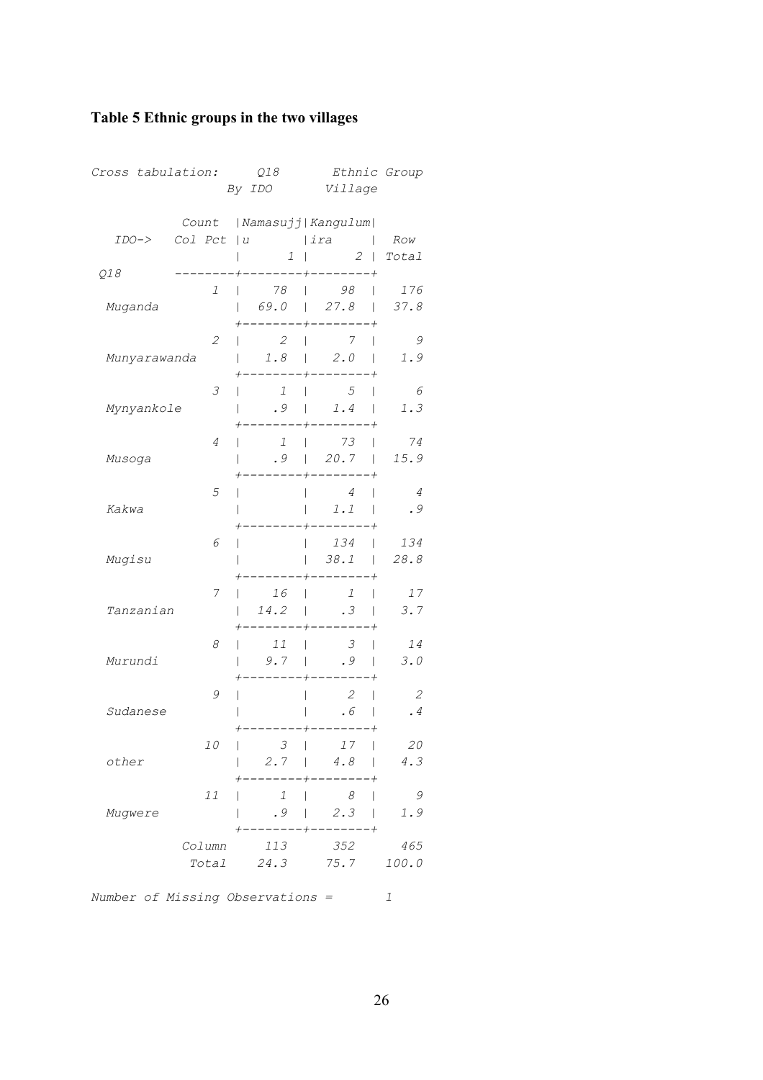## <span id="page-28-0"></span>**Table 5 Ethnic groups in the two villages**

| Cross tabulation: |                 | Q18<br>By IDO                                  | Ethnic Group<br>Village                                                                    |                      |  |  |
|-------------------|-----------------|------------------------------------------------|--------------------------------------------------------------------------------------------|----------------------|--|--|
| $IDO->$           | Col Pct         | $ u $ $ ira $<br>$1 \mid$                      | Count   Namasujj   Kangulum  <br>$2$   Total                                               | Row                  |  |  |
| Q18<br>Muganda    | 1               | 78  <br>$\mathbf{L}$                           | $--- + --- --- - - - +$<br>$98$                                                            | 176                  |  |  |
| Munyarawanda      | 2               | 2<br>$\mathbf{L}$<br>L                         | $+ - - - - - - -$<br>$\overline{7}$<br>$\mathbf{L}$<br>$\overline{1}$<br>$1.8$   $2.0$     | - 9<br>1.9           |  |  |
| Mynyankole        | 3               | -----<br>$\overline{1}$<br>.9                  | $- - - - -$<br>$5\overline{}$<br>$\mathbf{L}$<br>L<br>$\begin{array}{ccc} \end{array}$ 1.4 | 6<br>1.3             |  |  |
| Musoga            | 4               | $1 \mid$<br>L                                  | $+$ $-$<br>$^{+}$<br>73<br>L<br>$.9$   20.7   15.9                                         | 74                   |  |  |
| Kakwa             | 5               | T                                              | $\overline{4}$<br>$\mathbf{I}$<br>$\mathsf{I}$<br>1.1<br>L<br>-------                      | $\overline{4}$<br>.9 |  |  |
| Mugisu            | 6               | I                                              | $\begin{array}{ccc} \vert & 134 \end{array}$<br>$38.1$  <br>$\mathbf{L}$                   | 134<br>28.8          |  |  |
| Tanzanian         | 7               | 16<br>I<br>14.2<br>L<br>------+-               | $\overline{1}$<br>$\mathbf{L}$<br>$\mathbf{I}$<br>.3 <sub>1</sub><br>$--- +$               | 17<br>3.7            |  |  |
| Murundi           | 8               | 11<br>L<br>9.7                                 | $\mathcal{Z}$<br>$\overline{1}$<br>$\mathbf{L}$<br>.9<br>$\mathbf{I}$<br>$\mathbf{L}$      | 14<br>3.0            |  |  |
| Sudanese          | 9               |                                                | 2<br>I<br>$\mathsf{I}$<br>.6                                                               | 2<br>.4              |  |  |
| other             | 10              | $\mathcal{S}$<br>$\mathsf{I}$<br>$2.7 \quad  $ | 17<br>4.8<br>$\mathbf{I}$                                                                  | ${\it 20}$<br>4.3    |  |  |
| Mugwere           | 11              | 1<br>.9                                        | - 8<br>$\mathbf{I}$<br>2.3<br>$\Box$<br>$\mathbf{L}$                                       | 9<br>1.9             |  |  |
|                   | Column<br>Total | 113<br>24.3                                    | 352<br>75.7                                                                                | 465<br>100.0         |  |  |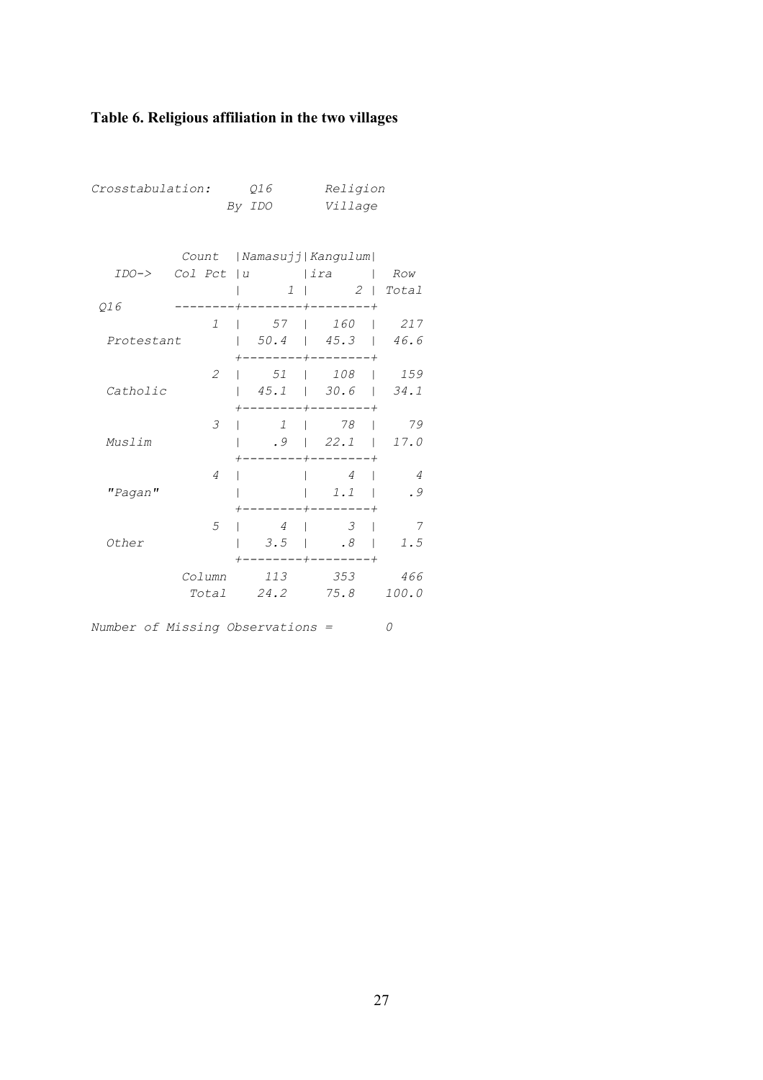## <span id="page-29-0"></span>**Table 6. Religious affiliation in the two villages**

*Crosstabulation: Q16 Religion* 

|            |                | By IDO             | <i>Village</i>                                                                       |                |  |  |
|------------|----------------|--------------------|--------------------------------------------------------------------------------------|----------------|--|--|
|            |                |                    |                                                                                      |                |  |  |
|            |                |                    |                                                                                      |                |  |  |
|            | Count          |                    | Namasujj  Kangulum                                                                   |                |  |  |
| $IDO->$    |                |                    | Col Pct   u   ira   Row                                                              |                |  |  |
|            |                |                    | $1 \mid 2 \mid \text{Total}$                                                         |                |  |  |
| Q16        |                |                    | +--------+--------+                                                                  |                |  |  |
|            | $\mathcal{I}$  | $\mathbf{L}$       | 57   160   217                                                                       |                |  |  |
| Protestant |                |                    | $\vert$ 50.4   45.3   46.6                                                           |                |  |  |
|            |                |                    | $-----+------+$                                                                      |                |  |  |
|            | $\mathcal{L}$  |                    | $\vert$ 51   108   159                                                               |                |  |  |
| Catholic   |                |                    | $\begin{array}{ c c c c c c c c c } \hline 45.1 & 30.6 & 34.1 \\ \hline \end{array}$ |                |  |  |
|            |                |                    | $----+-----$                                                                         |                |  |  |
|            | 3              |                    | 1   78   79                                                                          |                |  |  |
| Muslim     |                |                    | $.9$   22.1                                                                          | 17.0           |  |  |
|            |                | +--------+-------- |                                                                                      |                |  |  |
|            | $\overline{4}$ |                    | $\overline{4}$                                                                       | $\overline{4}$ |  |  |
| "Pagan"    |                |                    | 1.1                                                                                  | .9             |  |  |
|            |                |                    | $^{+}$                                                                               |                |  |  |
|            | 5              | $\overline{4}$     | $\overline{3}$                                                                       | - 7            |  |  |
| Other      |                | $3.5$              | .8 <sub>1</sub>                                                                      | 1.5            |  |  |
|            |                |                    | ------+--------+                                                                     |                |  |  |
|            | Column         | 113                | 353                                                                                  | 466            |  |  |
|            |                |                    | Total 24.2 75.8 100.0                                                                |                |  |  |
|            |                |                    |                                                                                      |                |  |  |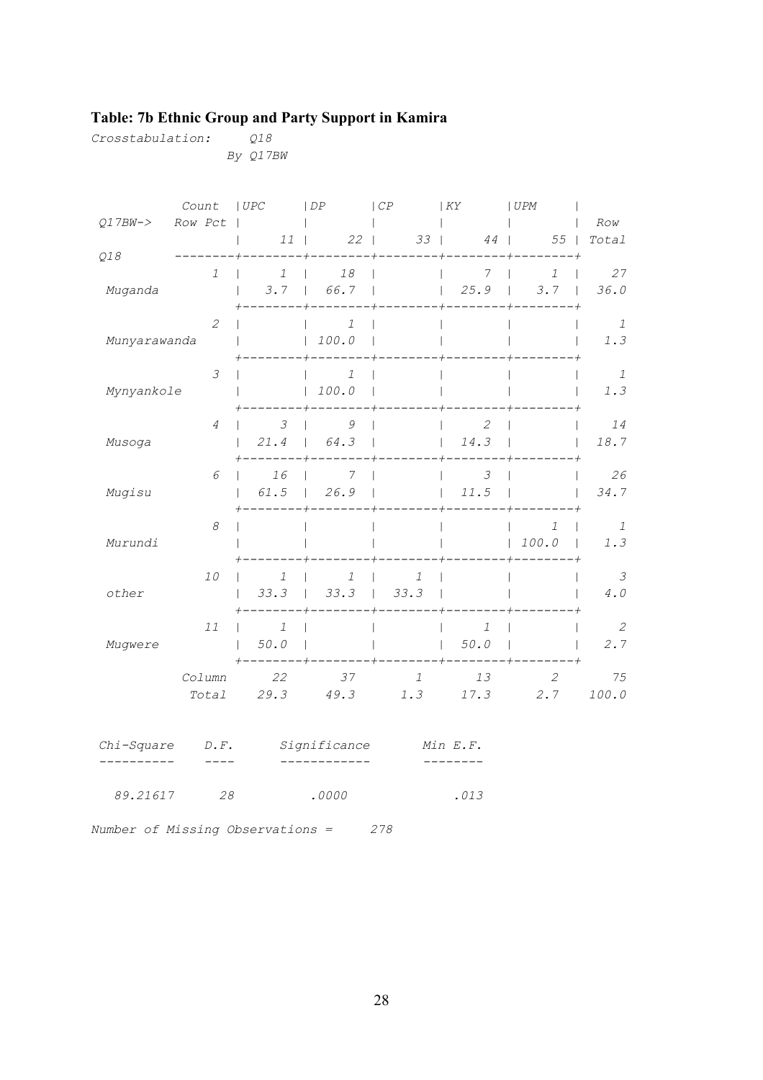## <span id="page-30-0"></span>**Table: 7b Ethnic Group and Party Support in Kamira**

*Crosstabulation: Q18* 

 *By Q17BW* 

|                     | Count                       | ~UPC                 | $\vert DF$                  | $\vert CP$                                  | $ $ KY               | UPM                           |                          |
|---------------------|-----------------------------|----------------------|-----------------------------|---------------------------------------------|----------------------|-------------------------------|--------------------------|
| Q17BW->             | Row Pct                     |                      |                             |                                             |                      |                               | Row                      |
|                     |                             |                      | 11   22                     |                                             | $33 \mid$<br>44      | 55                            | Total                    |
| Q18                 | 1                           | 1                    | 18<br>$\mathbf{I}$          | -------+-------                             | 7                    | $\mathcal{I}$                 | 27<br>$\mathbf{I}$       |
| Muganda             |                             | 3.7<br>$\mathbf{I}$  | 66.7<br>$\sim$ 1.000 $\sim$ | $\mathbf{I}$                                | 25.9<br>$\mathbf{L}$ | 3.7<br>$\Box$<br>$\mathbf{I}$ | 36.0                     |
|                     |                             |                      |                             |                                             |                      |                               |                          |
|                     | $\mathcal{L}_{\mathcal{L}}$ |                      | 1                           |                                             |                      |                               | $\mathbf{1}$             |
| Munyarawanda        |                             | $\mathbf{L}$         | 100.0<br>$\mathbf{L}$       |                                             |                      |                               | 1.3                      |
|                     | 3                           |                      | 1                           |                                             |                      |                               | $\overline{1}$           |
| Mynyankole          |                             |                      | 100.0                       |                                             |                      |                               | 1.3                      |
|                     |                             |                      |                             |                                             |                      |                               |                          |
|                     | 4                           | $\mathcal{Z}$        | 9                           |                                             | 2                    |                               | 14                       |
| Musoga              |                             | 21.4                 | 64.3<br>$\mathbf{L}$        |                                             | 14.3<br>$\mathbf{L}$ |                               | 18.7                     |
|                     | 6                           | 16                   | 7                           |                                             | $\mathcal{S}$        |                               | 26                       |
| Mugisu              |                             | 61.5                 | 26.9<br>$\mathbf{L}$        |                                             | 11.5<br>$\mathbf{L}$ |                               | 34.7                     |
|                     |                             |                      |                             |                                             |                      |                               |                          |
|                     | 8                           |                      |                             |                                             |                      | 1                             | $\overline{1}$           |
| Murundi             |                             |                      |                             | $\perp$ and $\perp$ and $\perp$ and $\perp$ |                      | 100.0<br>+--------            | 1.3<br>$\mathbf{I}$      |
|                     | 10                          | 1                    | 1                           | $\mathcal{I}$                               |                      |                               | $\overline{\mathcal{Z}}$ |
| other               |                             | 33.3                 | 33.3<br>$\mathbf{L}$        | $33.3$  <br>$\mathbf{L}$                    |                      |                               | 4.0                      |
|                     |                             |                      |                             |                                             |                      |                               |                          |
|                     | 11                          | 1<br>$\mathbf{I}$    |                             |                                             | 1                    |                               | $\overline{\phantom{a}}$ |
| Mugwere             |                             | 50.0<br>$\mathbb{R}$ | $\overline{1}$              |                                             | 50.0<br>$\mathbf{L}$ |                               | 2.7                      |
|                     | Column                      | 22                   | 37                          | $\mathbf{1}$                                | 13                   | $\mathcal{Z}_{\mathcal{C}}$   | 75                       |
|                     |                             | Total 29.3           | 49.3                        |                                             |                      | $1.3$ $17.3$ $2.7$            | 100.0                    |
|                     |                             |                      |                             |                                             |                      |                               |                          |
|                     |                             |                      |                             |                                             |                      |                               |                          |
| $Chi-Square$ $D.F.$ |                             |                      |                             | Significance Min E.F.                       |                      |                               |                          |
|                     |                             |                      |                             |                                             |                      |                               |                          |
| 89.21617            | 28                          |                      | .0000                       |                                             | .013                 |                               |                          |
|                     |                             |                      |                             |                                             |                      |                               |                          |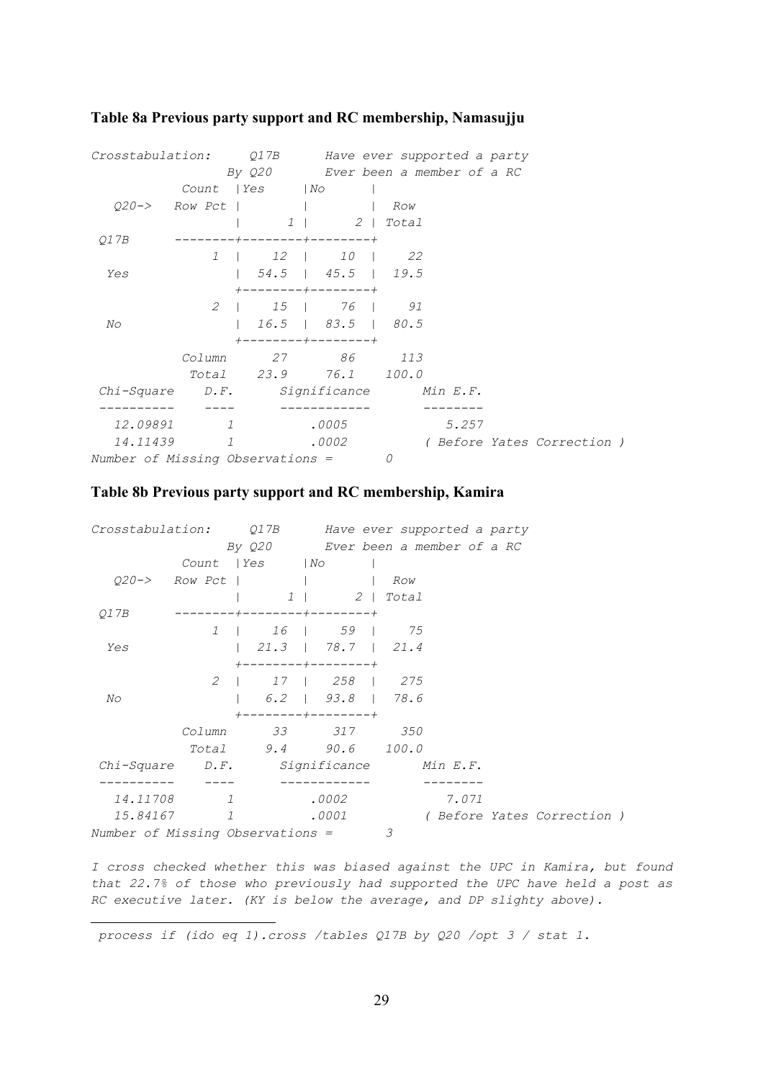| Crosstabulation: Q17B                   |            | By Q20 Ever been a member of a RC                       |               |   | Have ever supported a party |                             |  |
|-----------------------------------------|------------|---------------------------------------------------------|---------------|---|-----------------------------|-----------------------------|--|
|                                         |            | Count   Yes   No                                        |               |   |                             |                             |  |
|                                         |            | $Q20->$ Row Pct       Row                               |               |   |                             |                             |  |
|                                         |            |                                                         | 1   2   Total |   |                             |                             |  |
| 01 7 B                                  |            | --------+--------+-------+                              |               |   |                             |                             |  |
|                                         |            | 1   12   10   22                                        |               |   |                             |                             |  |
| Yes                                     |            | $\vert$ 54.5   45.5   19.5                              |               |   |                             |                             |  |
|                                         |            | $+ - - - - - - - + - - - - - - - +$<br>2   15   76   91 |               |   |                             |                             |  |
| No                                      |            | $1\quad 16.5$   83.5   80.5                             |               |   |                             |                             |  |
|                                         |            | $+$ - - - - - - - - + - - - - - - - - +                 |               |   |                             |                             |  |
|                                         |            | Column 27 86 113                                        |               |   |                             |                             |  |
|                                         |            | Total 23.9 76.1 100.0                                   |               |   |                             |                             |  |
| Chi-Square D.F. Significance Min E.F.   |            |                                                         |               |   |                             |                             |  |
|                                         |            |                                                         |               |   |                             |                             |  |
|                                         | 12.09891 1 |                                                         | .0005         |   | 5.257                       |                             |  |
|                                         | 14.11439 1 |                                                         | .0002         |   |                             | ( Before Yates Correction ) |  |
| <i>Number of Missing Observations =</i> |            |                                                         |               | 0 |                             |                             |  |

#### <span id="page-31-0"></span>**Table 8a Previous party support and RC membership, Namasujj[u](#page-31-1)**

#### **Table 8b Previous party support and RC membership, Kamira**

| Crosstabulation: Q17B            |               |                                          |                       |     | Have ever supported a party |                           |  |
|----------------------------------|---------------|------------------------------------------|-----------------------|-----|-----------------------------|---------------------------|--|
|                                  |               | By Q20 Ever been a member of a RC        |                       |     |                             |                           |  |
|                                  |               | Count   Yes   No                         |                       |     |                             |                           |  |
|                                  | 020-> Row Pct |                                          |                       | Row |                             |                           |  |
|                                  |               |                                          | 1   2   Total         |     |                             |                           |  |
| 01 7 B                           |               | $-+ - - - - - - - - + - - - - - - - - +$ |                       |     |                             |                           |  |
|                                  |               | 1   16   59   75                         |                       |     |                             |                           |  |
| Yes                              |               |                                          |                       |     |                             |                           |  |
|                                  |               | $+ - - - - - - - - + - - - - - - - +$    |                       |     |                             |                           |  |
|                                  |               | 2   17   258   275                       |                       |     |                             |                           |  |
| No                               |               |                                          | $6.2$   $93.8$   78.6 |     |                             |                           |  |
|                                  |               | $+ - - - - - - - - + - - - - - - - +$    |                       |     |                             |                           |  |
|                                  | Column        | 33 317 350                               |                       |     |                             |                           |  |
|                                  |               | Total 9.4 90.6 100.0                     |                       |     |                             |                           |  |
| Chi-Square                       |               | D.F. Significance Min E.F.               |                       |     |                             |                           |  |
| 14.11708                         | $\mathcal{I}$ |                                          | .0002                 |     | 7.071                       |                           |  |
| 15.84167                         | 1             |                                          | .0001                 |     |                             | (Before Yates Correction) |  |
| Number of Missing Observations = |               |                                          |                       | 3   |                             |                           |  |

*I cross checked whether this was biased against the UPC in Kamira, but found that 22.7% of those who previously had supported the UPC have held a post as RC executive later. (KY is below the average, and DP slighty above).* 

<span id="page-31-1"></span> *process if (ido eq 1).cross /tables Q17B by Q20 /opt 3 / stat 1.*

i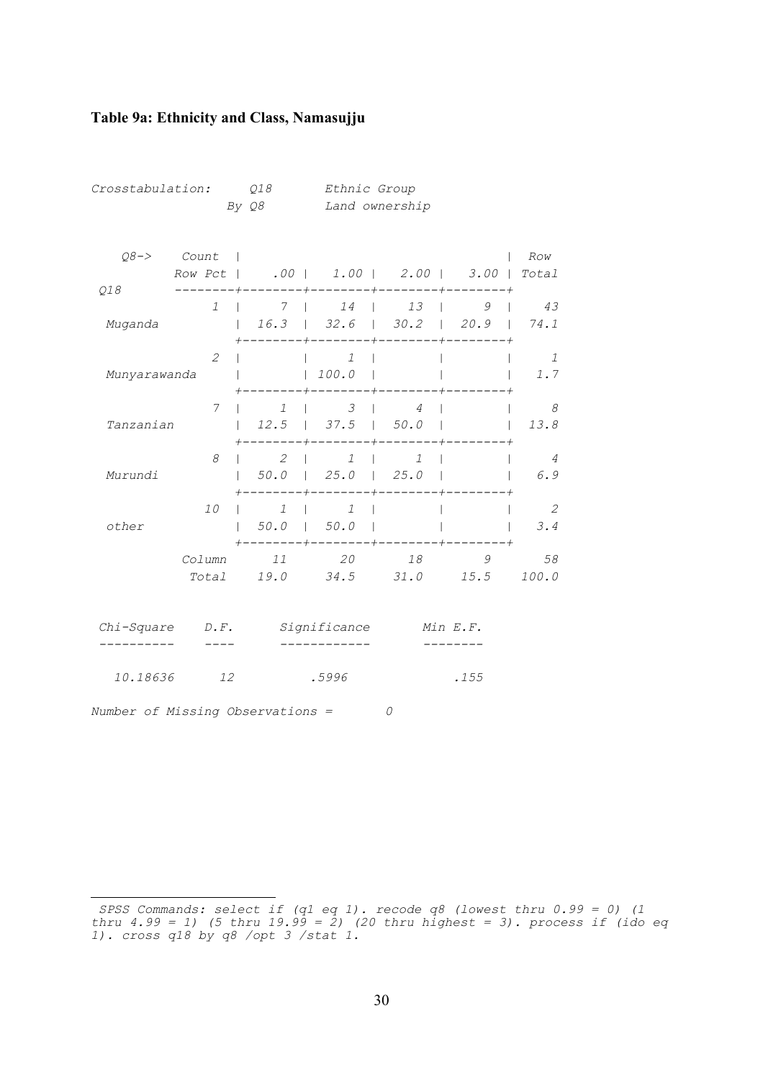#### <span id="page-32-0"></span>**Table 9a: Ethnicity and Class, Namasujj[u](#page-32-1)**

*Number of Missing Observations = 0* 

÷,

| Crosstabulation: |                 | Q18<br>By Q8      | Ethnic Group<br>Land ownership                     |                                                                          |           |                       |
|------------------|-----------------|-------------------|----------------------------------------------------|--------------------------------------------------------------------------|-----------|-----------------------|
| $Q8 - >$         | Count           |                   | Row Pct   .00   1.00   2.00   3.00                 |                                                                          |           | Row<br>Total          |
| Q18<br>Muganda   | 1               | 7<br>$\mathbf{L}$ | 14<br>$16.3$   32.6   30.2   20.9                  | 13<br>$\mathbf{L}$<br>$\mathbf{L}$                                       | 9         | 43<br>74.1            |
| Munyarawanda     | $\overline{2}$  |                   | $\mathcal{I}$<br>$100.0$  <br>$\mathbf{L}$         |                                                                          |           | 1<br>1.7              |
| Tanzanian        | 7               | 1<br>12.5         | 3<br>$1 \quad 37.5$                                | $\overline{4}$<br>1 50.0                                                 |           | 8<br>13.8             |
| Murundi          | 8               | 2<br>50.0         | 1<br>$25.0$   $25.0$<br>$\mathbf{L}$               | $\mathcal{I}$<br>$\mathbf{I}$<br>$\mathbf{I}$<br>--------+--------+----- |           | $\overline{4}$<br>6.9 |
| other            | 10              | 1                 | 1<br>$50.0$   $50.0$  <br>----+--------+--------+- |                                                                          |           | 2<br>3.4              |
|                  | Column<br>Total | 11                | 20<br>19.0 34.5 31.0                               | 18                                                                       | 9<br>15.5 | 58<br>100.0           |
| Chi-Square       | $D \cdot F$ .   |                   | Significance                                       |                                                                          | Min E.F.  |                       |
| 10.18636         | 12              |                   | .5996                                              |                                                                          | .155      |                       |

<span id="page-32-1"></span>*SPSS Commands: select if (q1 eq 1). recode q8 (lowest thru 0.99 = 0) (1 thru 4.99 = 1) (5 thru 19.99 = 2) (20 thru highest = 3). process if (ido eq 1). cross q18 by q8 /opt 3 /stat 1.*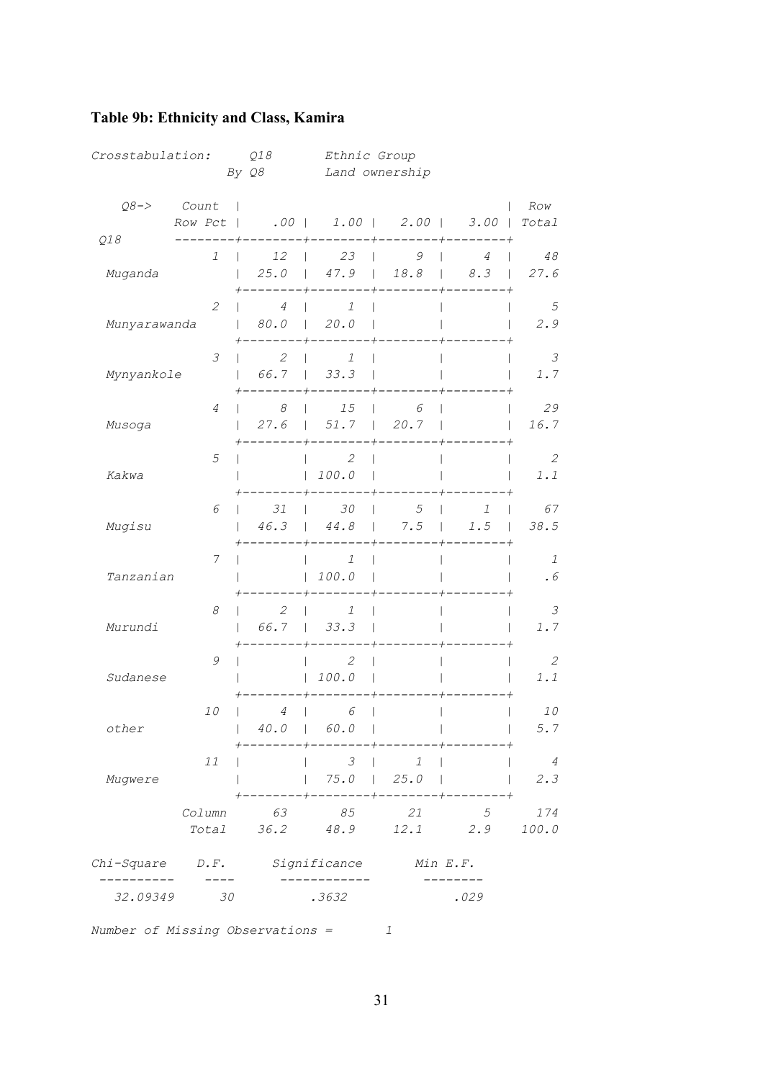| 32.09349         | 30                          |                                     | .3632                  |                                           | .029                   |                                            |
|------------------|-----------------------------|-------------------------------------|------------------------|-------------------------------------------|------------------------|--------------------------------------------|
| Chi-Square       | $D \cdot F$ .               |                                     | Significance           | Min E.F.                                  |                        |                                            |
|                  | Column<br>Total             | 63<br>36.2                          | 85<br>48.9             | 21<br>12.1                                | 5<br>2.9               | 174<br>100.0                               |
| Mugwere          | 11                          |                                     | 3<br>75.0              | $\mathcal{I}$<br>25.0                     |                        | $\overline{4}$<br>2.3                      |
| other            | 10                          | $\ensuremath{4}$<br>40.0<br>$\perp$ | 6<br>60.0              |                                           |                        | 10<br>5.7                                  |
| Sudanese         | 9                           |                                     | 2<br>100.0             |                                           |                        | 2<br>1.1                                   |
| Murundi          | 8                           | $\overline{2}$<br>66.7              | 1<br>33.3              |                                           |                        | 3<br>1.7                                   |
| Tanzanian        | 7                           |                                     | $\mathcal{I}$<br>100.0 |                                           |                        | 1<br>$\boldsymbol{\cdot}$ $\boldsymbol{6}$ |
| Mugisu           | 6                           | 31<br>46.3                          | 30<br>$44.8\,$         | 5<br>7.5                                  | $\mathcal{I}$<br>$1.5$ | 67<br>38.5                                 |
| Kakwa            | 5                           |                                     | 2<br>100.0             |                                           |                        | 2<br>1.1                                   |
| Musoga           | $\overline{4}$              | 8<br>27.6<br>$\perp$                | 15<br>51.7             | 6<br>20.7<br>$\mathbf{I}$                 |                        | 29<br>16.7                                 |
| Mynyankole       | $\mathcal{S}$               | $\mathcal{L}_{\mathcal{L}}$<br>66.7 | 1<br>33.3              |                                           |                        | 3<br>1.7                                   |
| Munyarawanda     | $\mathcal{Z}_{\mathcal{C}}$ | $\overline{4}$<br>80.0              | $\mathcal{I}$<br>20.0  |                                           |                        | 5<br>2.9                                   |
| Muganda          | 1                           | 12<br>25.0<br>$\mathbf{I}$          | 23<br>47.9             | 9<br>18.8<br>$\mathbf{I}$<br>$\mathbf{L}$ | 4<br>8.3               | 48<br>27.6                                 |
| $Q8->$<br>Q18    | Count<br>Row Pct            |                                     |                        | $.00$   1.00   2.00                       | $3.00$                 | Row<br>Total                               |
| Crosstabulation: |                             | Q18<br>By Q8                        | Ethnic Group           | Land ownership                            |                        |                                            |

## <span id="page-33-0"></span>**Table 9b: Ethnicity and Class, Kamira**

*Number of Missing Observations = 1* 

31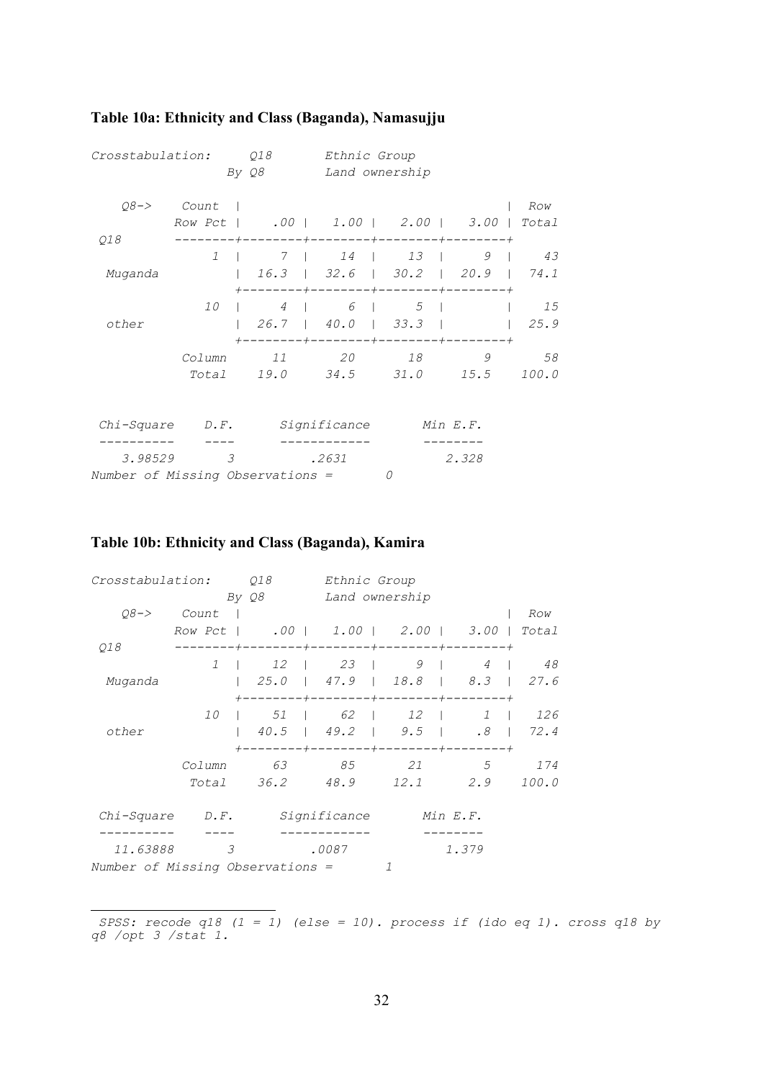| Crosstabulation:                                             | Q18<br>By Q8               | Ethnic Group<br>Land ownership           |                                                  |                                           |            |
|--------------------------------------------------------------|----------------------------|------------------------------------------|--------------------------------------------------|-------------------------------------------|------------|
| $08 - >$<br>Count                                            |                            |                                          |                                                  |                                           | Row        |
| Row Pct                                                      | $.00$   1.00   2.00   3.00 |                                          |                                                  |                                           | Total      |
| Q18                                                          |                            | -+-------                                | $-+ - - - -$                                     |                                           |            |
| $\mathcal{I}$<br>Muganda                                     | 7<br>16.3                  | $14$  <br>$32.6$   $30.2$<br>$+$ - - - - | $13 \quad  $                                     | 9<br>20.9<br>$----+--------++----------+$ | 43<br>74.1 |
| 10                                                           | 4                          | 6                                        | 5                                                |                                           | 15         |
| other                                                        | -------+----               |                                          | $26.7$   $40.0$   $33.3$  <br>$-+ - - - - - - -$ |                                           | 25.9       |
| Column                                                       | 11                         | 20                                       | 18                                               | 9                                         | 58         |
| Total                                                        | 19.0                       | 34.5                                     | 31.0                                             | 15.5                                      | 100.0      |
|                                                              |                            |                                          |                                                  |                                           |            |
| Chi-Square<br>$D \cdot F$ .                                  |                            | Significance                             |                                                  | Min E.F.                                  |            |
| 3.98529<br>$\mathcal{E}$<br>Number of Missing Observations = |                            | .2631                                    | 0                                                | 2.328                                     |            |

## <span id="page-34-0"></span>**Table 10a: Ethnicity and Class (Baganda), Namasujj[u](#page-34-1)**

### **Table 10b: Ethnicity and Class (Baganda), Kamira**

| Crosstabulation:                 |                   | 018<br>Ethnic Group |                         |                                                             |                |                 |
|----------------------------------|-------------------|---------------------|-------------------------|-------------------------------------------------------------|----------------|-----------------|
|                                  |                   | By Q8               | Land ownership          |                                                             |                |                 |
| $08 - >$                         | Count             |                     |                         |                                                             |                | Row             |
|                                  |                   |                     |                         | Row Pct   .00   1.00   2.00   3.00                          |                | Total           |
| 018                              |                   |                     | +--------+--------+---- |                                                             | $-+ - - - - -$ |                 |
|                                  | $1 \quad \square$ |                     |                         | 12   23   9                                                 | $4 \mid$       | 48              |
| Muganda                          |                   | 125.0               |                         | $1$ 47.9 $1$ 18.8 $1$ 8.3 $1$ 27.6                          |                |                 |
|                                  |                   |                     |                         | ----+--------+--------+------                               |                |                 |
|                                  | 10                |                     |                         | 1 51 62 1 12 1                                              |                | $1 \t 126$      |
| other                            |                   |                     |                         | $1 \quad 40.5 \quad 1 \quad 49.2 \quad 1 \quad 9.5 \quad 1$ |                | $.8 \quad 72.4$ |
|                                  |                   |                     |                         | +--------+--------+--------+-------+                        |                |                 |
|                                  | Column            |                     |                         | 63 85 21                                                    |                | 5 174           |
|                                  |                   |                     |                         | Total 36.2 48.9 12.1 2.9                                    |                | 100.0           |
| Chi-Square D.F.                  |                   |                     | Significance            |                                                             | Min E.F.       |                 |
| 11.63888                         | $\mathcal{F}$     |                     | .0087                   |                                                             | 1.379          |                 |
| Number of Missing Observations = |                   |                     |                         | 1                                                           |                |                 |

<span id="page-34-1"></span>i  *SPSS: recode q18 (1 = 1) (else = 10). process if (ido eq 1). cross q18 by q8 /opt 3 /stat 1.*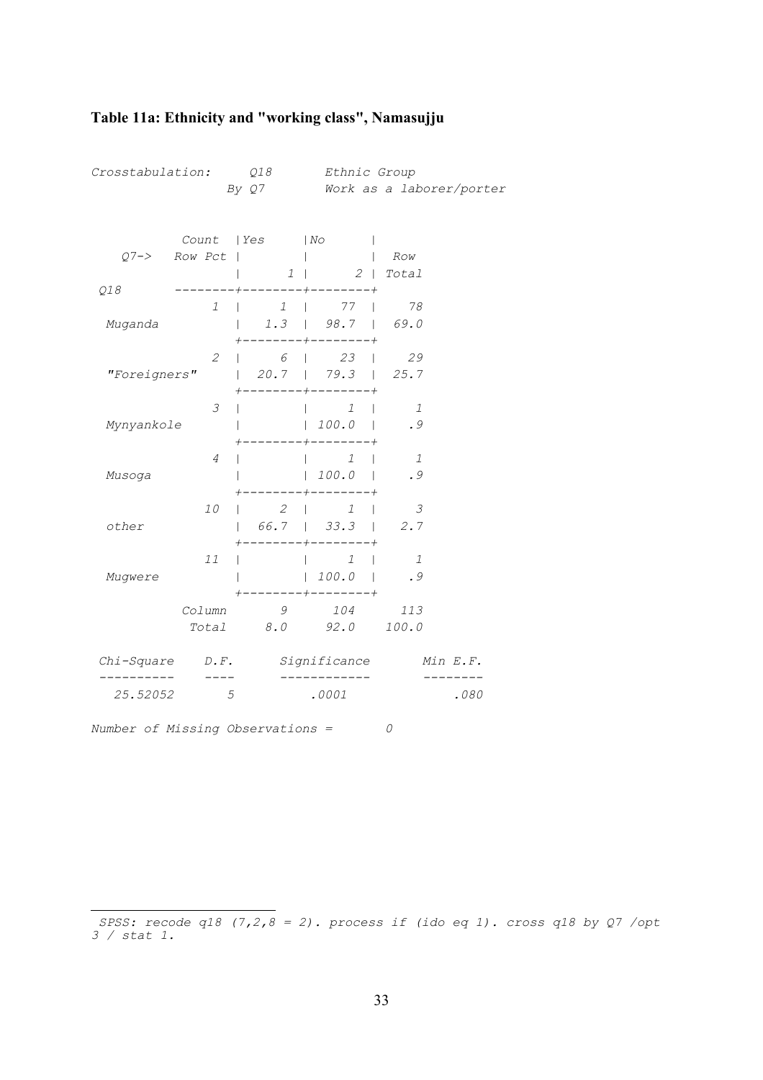| Crosstabulation: Q18 |                               | By Q7                                                  | Ethnic Group                                          | Work as a laborer/porter |      |
|----------------------|-------------------------------|--------------------------------------------------------|-------------------------------------------------------|--------------------------|------|
|                      | Count   Yes<br>$Q7->$ Row Pct |                                                        | $\mid$ No<br>$1$   $2$   $Total$                      | Row                      |      |
| Q18                  | $\mathcal{I}$                 | $\mathbb{R}^n$ and $\mathbb{R}^n$                      | $---+------+------+$<br>$1 \quad   \quad 77$          | 78                       |      |
| Muganda              |                               |                                                        | $1.3$   98.7   69.0                                   |                          |      |
| "Foreigners"         | $\mathcal{Z}$                 |                                                        | $6 \mid 23 \mid$<br>$-+ - - - - - - -$                | 29                       |      |
| Mynyankole           | 3                             |                                                        | $\begin{array}{ccc} & 1 & \end{array}$<br> 100.0      | $\mathbf{1}$<br>.9       |      |
| Musoga               | 4                             |                                                        | $\mathcal{I}$<br> 100.0                               | 1<br>. 9                 |      |
| other                | 10                            | $\begin{array}{ccc} \vert & 2 & \vert & 1 \end{array}$ | 66.7   33.3   2.7<br>----+--------+                   | $\overline{3}$           |      |
| Mugwere              | 11                            | $\mathbf{L}$                                           | $1 \quad \square$<br> 100.0 <br>$--- + --- - --- - +$ | 1<br>. 9                 |      |
|                      | Column                        | 9                                                      | 104 113<br>Total 8.0 92.0 100.0                       |                          |      |
| $Chi-Square$ $D.F.$  |                               |                                                        | Significance                                          | Min E.F.                 |      |
| 25.52052             | 5                             |                                                        | .0001                                                 |                          | .080 |

## <span id="page-35-0"></span>**Table 11a: Ethnicity and "working class", Namasujj[u](#page-35-1)**

<span id="page-35-1"></span>i  *SPSS: recode q18 (7,2,8 = 2). process if (ido eq 1). cross q18 by Q7 /opt 3 / stat 1.*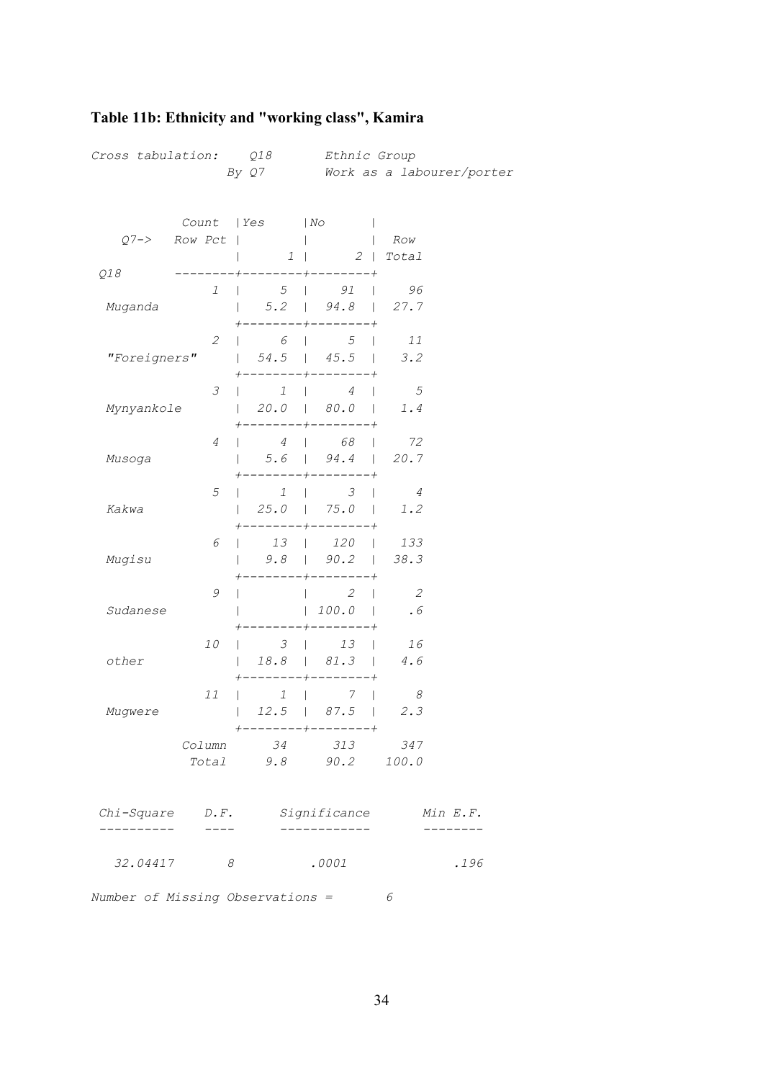| Cross tabulation: Q18            |                             |                          | Ethnic Group                        |                                       |  |  |
|----------------------------------|-----------------------------|--------------------------|-------------------------------------|---------------------------------------|--|--|
|                                  |                             | By Q7                    |                                     | Work as a labourer/porter             |  |  |
|                                  |                             |                          |                                     |                                       |  |  |
|                                  |                             | Count   Yes   No         |                                     |                                       |  |  |
| $O7 - >$                         | Row Pct                     |                          | $\mathbf{L}$                        | Row                                   |  |  |
|                                  |                             | $1 \mid$                 | $2$   Total                         |                                       |  |  |
| Q18                              |                             |                          |                                     |                                       |  |  |
|                                  | 1                           | 5 <sup>5</sup><br>$\Box$ | 91<br>$\mathbf{I}$                  | 96                                    |  |  |
| Muganda                          |                             | $\mathbf{L}$             | $5.2$   $94.8$   27.7               |                                       |  |  |
|                                  |                             |                          |                                     |                                       |  |  |
|                                  | $\mathcal{L}_{\mathcal{L}}$ | $\overline{6}$           | $\overline{5}$                      | 11                                    |  |  |
| "Foreigners"                     |                             | $54.5$                   | $45.5$                              | 3.2                                   |  |  |
|                                  | $\mathcal S$                | $\overline{1}$           | $4 \mid$<br>$\perp$                 | $5^{\circ}$                           |  |  |
| Mynyankole                       |                             |                          | $20.0$   $80.0$                     | 1.4                                   |  |  |
|                                  |                             |                          |                                     |                                       |  |  |
|                                  | $\overline{4}$              | $\overline{4}$           | 68<br>$\mathbf{I}$                  | 72                                    |  |  |
| Musoga                           |                             |                          | $5.6$   94.4   20.7                 |                                       |  |  |
|                                  |                             |                          | ------                              |                                       |  |  |
|                                  | $\mathfrak s$               | $\overline{1}$<br>$\Box$ | $\frac{3}{ }$                       | $\overline{4}$                        |  |  |
| Kakwa                            |                             | 25.0<br>$\mathbf{1}$     | $75.0$                              | 1.2                                   |  |  |
|                                  | 6                           | 13                       | 120<br>$\mathbf{L}$<br>$\mathbf{I}$ | 133                                   |  |  |
| Mugisu                           |                             |                          | $9.8$   $90.2$                      | 38.3                                  |  |  |
|                                  |                             |                          |                                     |                                       |  |  |
|                                  | 9                           |                          | $\overline{2}$<br>$\mathbf{I}$      | $\overline{\phantom{a}}$              |  |  |
| Sudanese                         |                             |                          | 100.0                               | .6                                    |  |  |
|                                  |                             |                          |                                     |                                       |  |  |
|                                  | 10                          | 3                        | 13<br>$\mathbf{I}$<br>18.8   81.3   | 16<br>$4\,.$ $6\,$                    |  |  |
| other                            |                             |                          |                                     |                                       |  |  |
|                                  | 11                          | $\mathcal{I}$            | 7<br>$\mathbf{L}$                   | $\mathcal{B}$                         |  |  |
| Mugwere                          |                             |                          | $12.5$   87.5                       | 2.3                                   |  |  |
|                                  |                             |                          | --------+--------+                  |                                       |  |  |
|                                  |                             |                          | Column 34 313 347                   |                                       |  |  |
|                                  |                             |                          | Total 9.8 90.2 100.0                |                                       |  |  |
|                                  |                             |                          |                                     |                                       |  |  |
|                                  |                             |                          |                                     | Chi-Square D.F. Significance Min E.F. |  |  |
| _______                          | $\frac{1}{2}$               |                          | -----------                         |                                       |  |  |
|                                  |                             |                          |                                     |                                       |  |  |
| 32.04417                         | 8                           |                          | .0001                               | .196                                  |  |  |
|                                  |                             |                          |                                     |                                       |  |  |
| Number of Missing Observations = |                             |                          |                                     | 6                                     |  |  |

# <span id="page-36-0"></span>**Table 11b: Ethnicity and "working class", Kamira**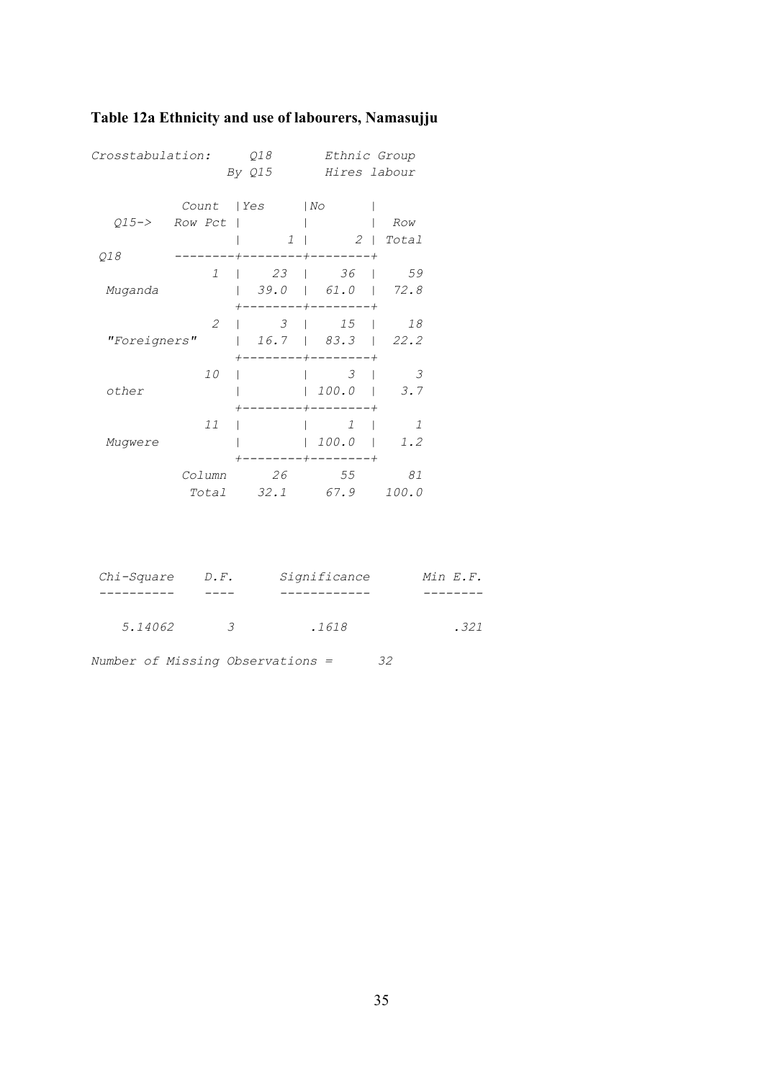<span id="page-37-0"></span>

| Table 12a Ethnicity and use of labourers, Namasujju |  |  |
|-----------------------------------------------------|--|--|
|-----------------------------------------------------|--|--|

| Crosstabulation: |                             | Q18           |                                              | Ethnic Group  |  |  |
|------------------|-----------------------------|---------------|----------------------------------------------|---------------|--|--|
|                  |                             | By Q15        | Hires labour                                 |               |  |  |
|                  | Count                       | l Yes         | NO                                           |               |  |  |
| $015 - >$        | Row Pct                     |               |                                              | Row           |  |  |
|                  |                             | $\mathcal{I}$ | $2-1$                                        | Total         |  |  |
| Q18              | 1                           | 23            | $^{+}$<br>36<br>$\mathbf{1}$<br>$\mathbf{I}$ | 59            |  |  |
| Muganda          |                             | 39.0          | $\begin{bmatrix} 61.0 \end{bmatrix}$         | 72.8          |  |  |
|                  | $\mathcal{L}_{\mathcal{L}}$ | 3             | 15                                           | 18            |  |  |
| "Foreigners"     |                             | 16.7          | 83.3                                         | 22.2          |  |  |
|                  | 10                          |               | 3                                            | 3             |  |  |
| other            |                             |               | 100.0<br>$^{+}$                              | 3.7           |  |  |
|                  | 11                          |               | $\mathcal{I}$                                | $\mathcal{I}$ |  |  |
| Mugwere          |                             |               | 100.0                                        | 1.2           |  |  |
|                  | Column                      | 26            | 55                                           | 81            |  |  |
|                  | Total                       | 32.1          | 67.9                                         | 100.0         |  |  |
|                  |                             |               |                                              |               |  |  |
|                  |                             |               |                                              |               |  |  |

| Chi-Square | $D \cdot F$ . | Significance | Min E.F. |
|------------|---------------|--------------|----------|
|            |               |              |          |
| 5.14062    | $\mathcal{R}$ | .1618        | .321     |

|  |  |  | Number of Missing Observations = |  | 32 |
|--|--|--|----------------------------------|--|----|
|--|--|--|----------------------------------|--|----|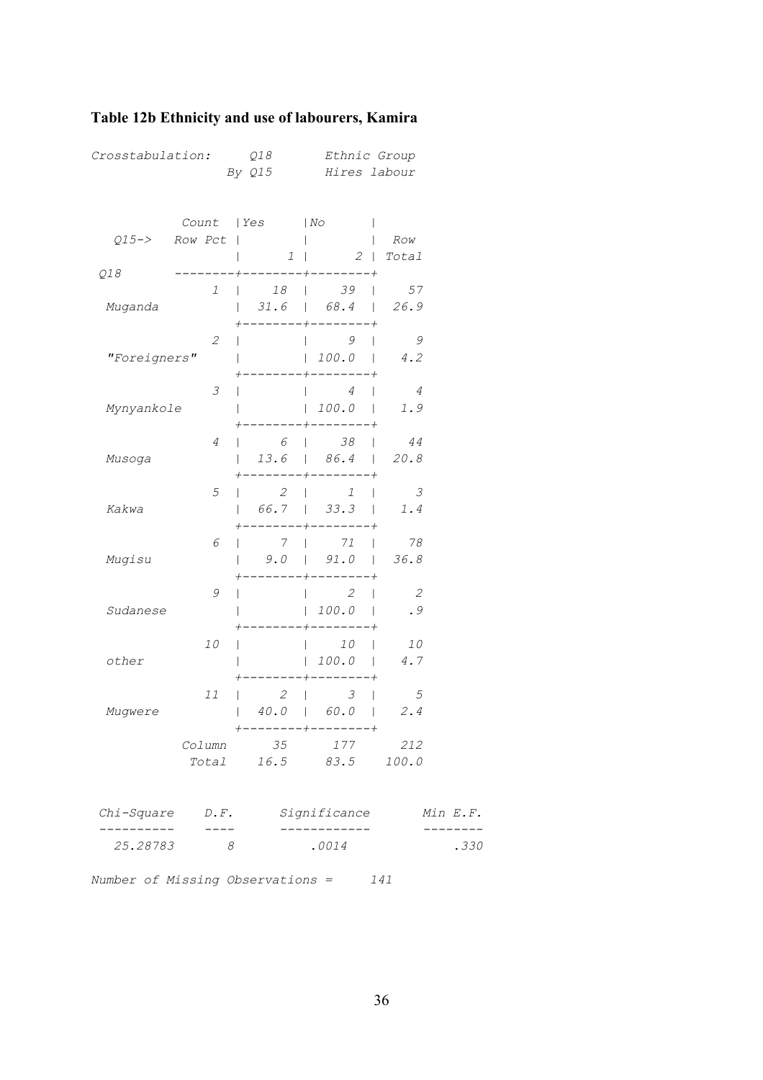## <span id="page-38-0"></span>**Table 12b Ethnicity and use of labourers, Kamira**

| Crosstabulation:                 |               | Q18<br>By Q15               | Ethnic Group<br>Hires labour                                                                 |                                |          |
|----------------------------------|---------------|-----------------------------|----------------------------------------------------------------------------------------------|--------------------------------|----------|
|                                  |               | Count   Yes                 | $ N\circ$                                                                                    |                                |          |
| $Q15->$                          | Row Pct       |                             |                                                                                              | Row                            |          |
| Q18                              |               | $1 \mid$<br>--+--------+--- |                                                                                              | $2$   Total                    |          |
| Muganda                          | 1             | $\mathbf{I}$                | 18   39<br>$\mathbf{L}$<br>$ $ 31.6   68.4   26.9                                            | 57                             |          |
| "Foreigners"                     | $\mathcal{Z}$ |                             | $\overline{9}$<br>$\mathsf{I}$<br>100.0<br>-------                                           | 9<br>4.2                       |          |
| Mynyankole                       | 3             |                             | $\overline{4}$<br> 100.0                                                                     | $\overline{4}$<br>1.9          |          |
| Musoga                           | 4             | 6                           | --------<br>$\begin{array}{ccc} \vert & & 38 \end{array}$<br>$\mathbf{L}$<br>$13.6$   $86.4$ | 44<br>20.8                     |          |
| Kakwa                            | $\sqrt{5}$    |                             | $2 \mid$<br>$\mathcal{I}$<br>$\mathbf{L}$<br>66.7   33.3                                     | $\overline{3}$<br>$1.4$        |          |
| Mugisu                           | 6             | $\overline{7}$              | $\begin{array}{ccc} \end{array}$ 71<br>L<br>$9.0$   $91.0$   $36.8$                          | 78                             |          |
| Sudanese                         | 9             |                             | $\overline{2}$<br>$\mathbf{I}$<br> 100.0                                                     | $\overline{\phantom{a}}$<br>.9 |          |
| other                            | 10            |                             | 10<br>L<br>L<br>100.0                                                                        | 10<br>4.7                      |          |
| Mugwere                          | 11            | 2                           | $\mathcal{S}$<br>$\mathbf{1}$<br>$\mathbf{I}$<br>$40.0$   $60.0$                             | $5^{\circ}$<br>2.4             |          |
|                                  | Column        | 35                          | -----+--------+<br>177<br>Total 16.5 83.5 100.0                                              | 212                            |          |
| $Chi-Square$ $D.F.$              |               |                             | Significance                                                                                 |                                | Min E.F. |
| 25.28783                         | ----<br>8     |                             | .0014                                                                                        |                                | .330     |
| Number of Missing Observations = |               |                             |                                                                                              | 141                            |          |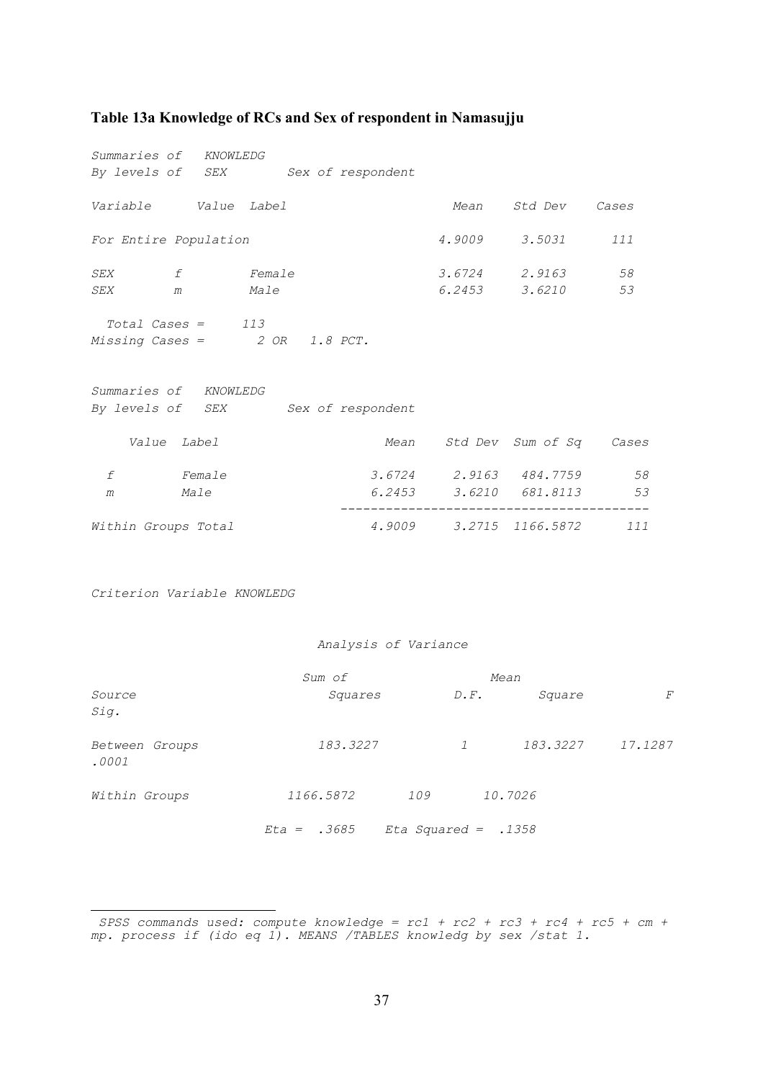#### <span id="page-39-0"></span>**Table 13a Knowledge of RCs and Sex of respondent in Namasujj[u](#page-39-1)**

| Summaries of KNOWLEDG |                                                                                                                                  |                                    |  |      |                              |     |  |  |
|-----------------------|----------------------------------------------------------------------------------------------------------------------------------|------------------------------------|--|------|------------------------------|-----|--|--|
|                       |                                                                                                                                  | By levels of SEX Sex of respondent |  |      |                              |     |  |  |
| Variable Value Label  |                                                                                                                                  |                                    |  | Mean | Std Dev Cases                |     |  |  |
| For Entire Population |                                                                                                                                  |                                    |  |      | 4.9009 3.5031                | 111 |  |  |
| SEX f Female          |                                                                                                                                  |                                    |  |      | 3.6724 2.9163                | 58  |  |  |
| SEX                   | m Male                                                                                                                           |                                    |  |      | 6.2453 3.6210                | 53  |  |  |
|                       | $Total \textit{ Cases} = 113$<br>Missing Cases = $2 OR 1.8 PCT$ .<br>Summaries of KNOWLEDG<br>By levels of SEX Sex of respondent |                                    |  |      |                              |     |  |  |
|                       | Value Label                                                                                                                      |                                    |  |      | Mean Std Dev Sum of Sq Cases |     |  |  |
| f Female              |                                                                                                                                  |                                    |  |      | 3.6724 2.9163 484.7759       | 58  |  |  |
| m                     | <i>Male</i>                                                                                                                      |                                    |  |      | 6.2453 3.6210 681.8113       | 53  |  |  |
| Within Groups Total   |                                                                                                                                  |                                    |  |      | 4.9009 3.2715 1166.5872      | 111 |  |  |

*Criterion Variable KNOWLEDG* 

i

 *Analysis of Variance* 

|                         | Sum of        |                       |               | Mean     |         |  |
|-------------------------|---------------|-----------------------|---------------|----------|---------|--|
| Source<br>Sig.          | Squares       |                       | $D \cdot F$ . | Square   | F       |  |
| Between Groups<br>.0001 | 183.3227      |                       | $\mathcal{I}$ | 183.3227 | 17.1287 |  |
| Within Groups           | 1166.5872     | 109                   |               | 10.7026  |         |  |
|                         | $Eta = .3685$ | Eta Squared = $.1358$ |               |          |         |  |

<span id="page-39-1"></span>*SPSS commands used: compute knowledge = rc1 + rc2 + rc3 + rc4 + rc5 + cm + mp. process if (ido eq 1). MEANS /TABLES knowledg by sex /stat 1.*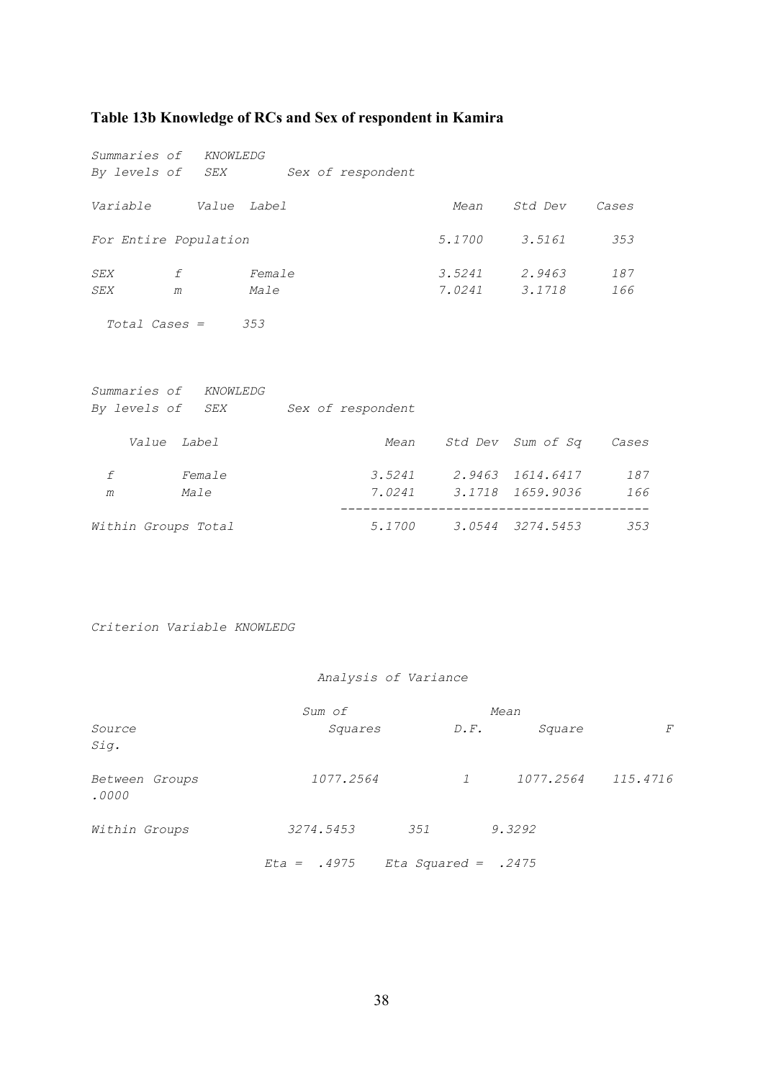### <span id="page-40-0"></span>**Table 13b Knowledge of RCs and Sex of respondent in Kamira**

| Summaries of KNOWLEDG |                                                                                             |               |                                    |      |                              |     |  |  |
|-----------------------|---------------------------------------------------------------------------------------------|---------------|------------------------------------|------|------------------------------|-----|--|--|
|                       |                                                                                             |               | By levels of SEX Sex of respondent |      |                              |     |  |  |
| Variable Value Label  |                                                                                             |               |                                    | Mean | Std Dev Cases                |     |  |  |
| For Entire Population |                                                                                             |               |                                    |      | 5.1700 3.5161                | 353 |  |  |
| SEX                   | f                                                                                           | <i>Female</i> |                                    |      | 3.5241 2.9463                | 187 |  |  |
| SEX<br>m              |                                                                                             | <i>Male</i>   |                                    |      | 7.0241 3.1718                | 166 |  |  |
|                       | $Total \textit{Cases} = 353$<br>Summaries of KNOWLEDG<br>By levels of SEX Sex of respondent |               |                                    |      |                              |     |  |  |
|                       | Value Label                                                                                 |               |                                    |      | Mean Std Dev Sum of Sq Cases |     |  |  |
| f                     | Female                                                                                      |               |                                    |      | 3.5241 2.9463 1614.6417      | 187 |  |  |
| m                     | <i>Male</i>                                                                                 |               |                                    |      | 7.0241 3.1718 1659.9036 166  |     |  |  |
| Within Groups Total   |                                                                                             |               |                                    |      | 5.1700 3.0544 3274.5453      | 353 |  |  |

*Criterion Variable KNOWLEDG* 

#### *Analysis of Variance*

|                         | Sum of        |                       | Mean              |           |          |  |
|-------------------------|---------------|-----------------------|-------------------|-----------|----------|--|
| Source<br>Sig.          | Squares       |                       | $D \cdot F \cdot$ | Square    | F        |  |
| Between Groups<br>.0000 | 1077.2564     |                       | $\mathcal{I}$     | 1077.2564 | 115.4716 |  |
| Within Groups           | 3274.5453     | 351                   | 9.3292            |           |          |  |
|                         | $Eta = .4975$ | Eta Squared = $.2475$ |                   |           |          |  |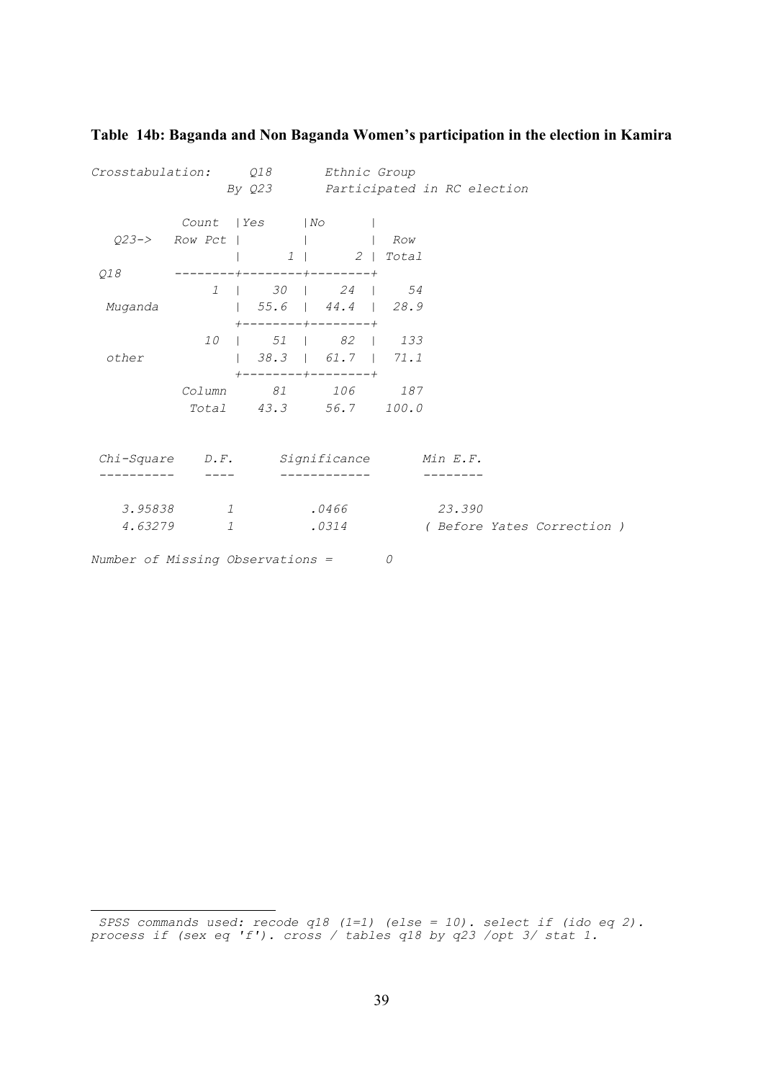| Crosstabulation: Q18 |                                       | By Q23 Participated in RC election                        | <i>Ethnic Group</i>   |        |                             |  |
|----------------------|---------------------------------------|-----------------------------------------------------------|-----------------------|--------|-----------------------------|--|
|                      |                                       | Count   Yes   No                                          |                       |        |                             |  |
|                      | $Q23->$ Row Pct       Row             |                                                           |                       |        |                             |  |
|                      |                                       |                                                           | $1 \mid 2 \mid Total$ |        |                             |  |
| Q18                  |                                       | $------+---+------+---------+$                            |                       |        |                             |  |
|                      |                                       | 1   30   24   54                                          |                       |        |                             |  |
| Muganda              |                                       | $\vert$ 55.6   44.4   28.9                                |                       |        |                             |  |
|                      |                                       | $+ - - - - - - - + - - - - - - - +$<br>10   51   82   133 |                       |        |                             |  |
|                      |                                       |                                                           |                       |        |                             |  |
| other                |                                       | $+$ - - - - - - - - + - - - - - - - - +                   |                       |        |                             |  |
|                      |                                       | Column 81 106 187                                         |                       |        |                             |  |
|                      |                                       | Total 43.3 56.7 100.0                                     |                       |        |                             |  |
|                      |                                       |                                                           |                       |        |                             |  |
|                      | Chi-Square D.F. Significance Min E.F. |                                                           |                       |        |                             |  |
|                      |                                       |                                                           |                       |        |                             |  |
|                      |                                       |                                                           |                       |        |                             |  |
| 3.95838              | 1                                     |                                                           | .0466                 | 23.390 |                             |  |
| 4.63279              | $\mathcal{I}$                         |                                                           | .0314                 |        | ( Before Yates Correction ) |  |
|                      |                                       |                                                           |                       |        |                             |  |

#### <span id="page-41-0"></span>**Table 14b: Baganda and Non Baganda Women's participation in the election in Kamir[a](#page-41-1)**

<span id="page-41-1"></span>i  *SPSS commands used: recode q18 (1=1) (else = 10). select if (ido eq 2). process if (sex eq 'f'). cross / tables q18 by q23 /opt 3/ stat 1.*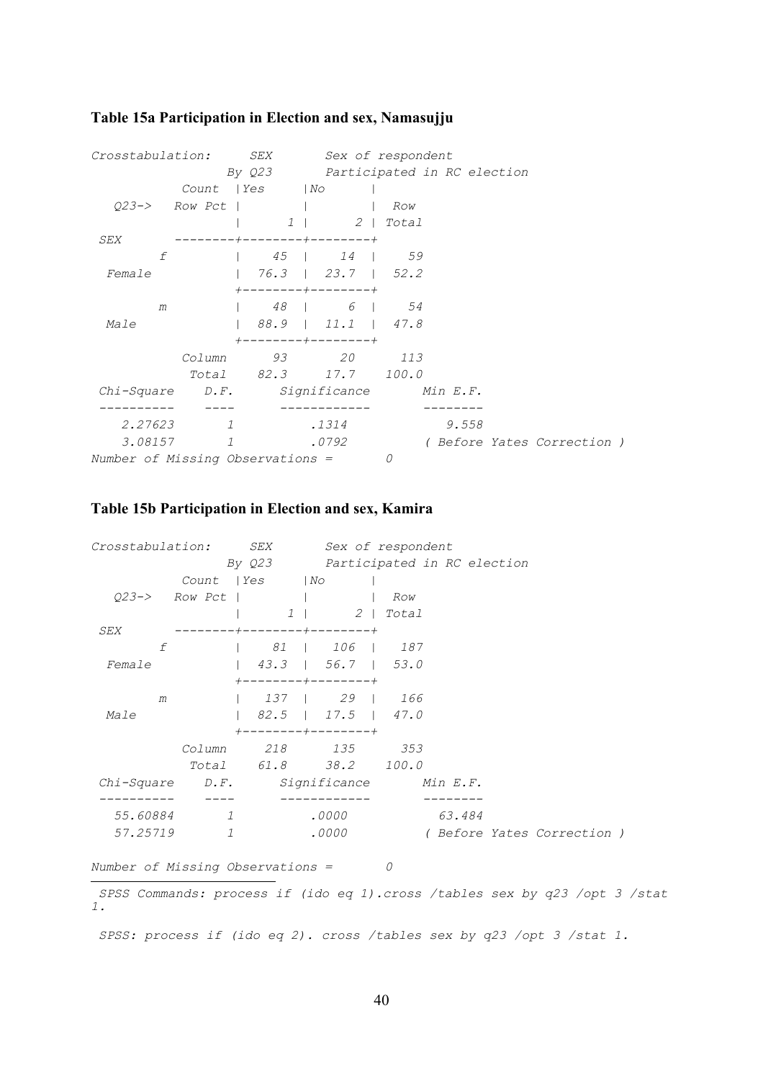| Crosstabulation:                        |                | <i>SEX</i>                              | Sex of respondent |     |       |                           |  |
|-----------------------------------------|----------------|-----------------------------------------|-------------------|-----|-------|---------------------------|--|
|                                         |                | By Q23 Participated in RC election      |                   |     |       |                           |  |
|                                         |                | Count   Yes   No                        |                   |     |       |                           |  |
|                                         |                | $023 \rightarrow$ Row Pct               |                   | Row |       |                           |  |
|                                         |                |                                         | 1   2   Total     |     |       |                           |  |
| SEX                                     |                | --------+--------+-------+              |                   |     |       |                           |  |
| f                                       |                | 1 45 1 14 59                            |                   |     |       |                           |  |
| Female                                  |                |                                         |                   |     |       |                           |  |
|                                         |                | $+$ - - - - - - - - + - - - - - - - - + |                   |     |       |                           |  |
| m                                       |                | $1 \t 48 \t 6 \t 54$                    |                   |     |       |                           |  |
| Male                                    |                | $188.9$ $11.1$ $47.8$                   |                   |     |       |                           |  |
|                                         |                | $+$ - - - - - - - - + - - - - - - - - + |                   |     |       |                           |  |
|                                         |                | Column 93 20 113                        |                   |     |       |                           |  |
|                                         |                | Total 82.3 17.7 100.0                   |                   |     |       |                           |  |
| Chi-Square D.F. Significance Min E.F.   |                |                                         |                   |     |       |                           |  |
|                                         |                |                                         |                   |     |       |                           |  |
| 2.27623                                 | $\overline{1}$ |                                         | .1314             |     | 9.558 |                           |  |
|                                         | 3.08157 1      |                                         | .0792             |     |       | (Before Yates Correction) |  |
| <i>Number of Missing Observations =</i> |                |                                         |                   | 0   |       |                           |  |

## <span id="page-42-0"></span>**Table 15a Participation in Election and sex, Namasujj[u](#page-42-1)**

## **Table 15b Participation in Election and sex, Kamir[a](#page-42-2)**

| Crosstabulation: SEX                  |            |                                         | Sex of respondent |   |                                 |                                                                            |
|---------------------------------------|------------|-----------------------------------------|-------------------|---|---------------------------------|----------------------------------------------------------------------------|
|                                       |            | By Q23 Participated in RC election      |                   |   |                                 |                                                                            |
|                                       |            | Count   Yes   No                        |                   |   |                                 |                                                                            |
|                                       |            | $Q23->$ Row Pct       Row               |                   |   |                                 |                                                                            |
|                                       |            |                                         | 1   2   Total     |   |                                 |                                                                            |
| SEX                                   |            | $------+---+------+---------+$          |                   |   |                                 |                                                                            |
|                                       |            | f   81   106   187                      |                   |   |                                 |                                                                            |
| Female                                |            |                                         |                   |   |                                 |                                                                            |
|                                       |            | $+ - - - - - - - + - - - - - - - +$     |                   |   |                                 |                                                                            |
| m                                     |            | 137   29   166                          |                   |   |                                 |                                                                            |
| <i>Male</i>                           |            |                                         |                   |   |                                 |                                                                            |
|                                       |            | $+$ - - - - - - - - + - - - - - - - - + |                   |   |                                 |                                                                            |
|                                       |            | Column 218 135 353                      |                   |   |                                 |                                                                            |
|                                       |            | Total 61.8 38.2 100.0                   |                   |   |                                 |                                                                            |
| Chi-Square D.F. Significance Min E.F. |            |                                         |                   |   |                                 |                                                                            |
|                                       |            |                                         |                   |   |                                 |                                                                            |
|                                       | 55.60884 1 |                                         | $.0000$ 63.484    |   |                                 |                                                                            |
|                                       | 57.25719 1 |                                         |                   |   | .0000 (Before Yates Correction) |                                                                            |
|                                       |            |                                         |                   |   |                                 |                                                                            |
| Number of Missing Observations =      |            |                                         |                   | 0 |                                 |                                                                            |
|                                       |            |                                         |                   |   |                                 | SPSS Commands: process if (ido eq 1).cross /tables sex by q23 /opt 3 /stat |
| 1.                                    |            |                                         |                   |   |                                 |                                                                            |

<span id="page-42-2"></span><span id="page-42-1"></span> *SPSS: process if (ido eq 2). cross /tables sex by q23 /opt 3 /stat 1.*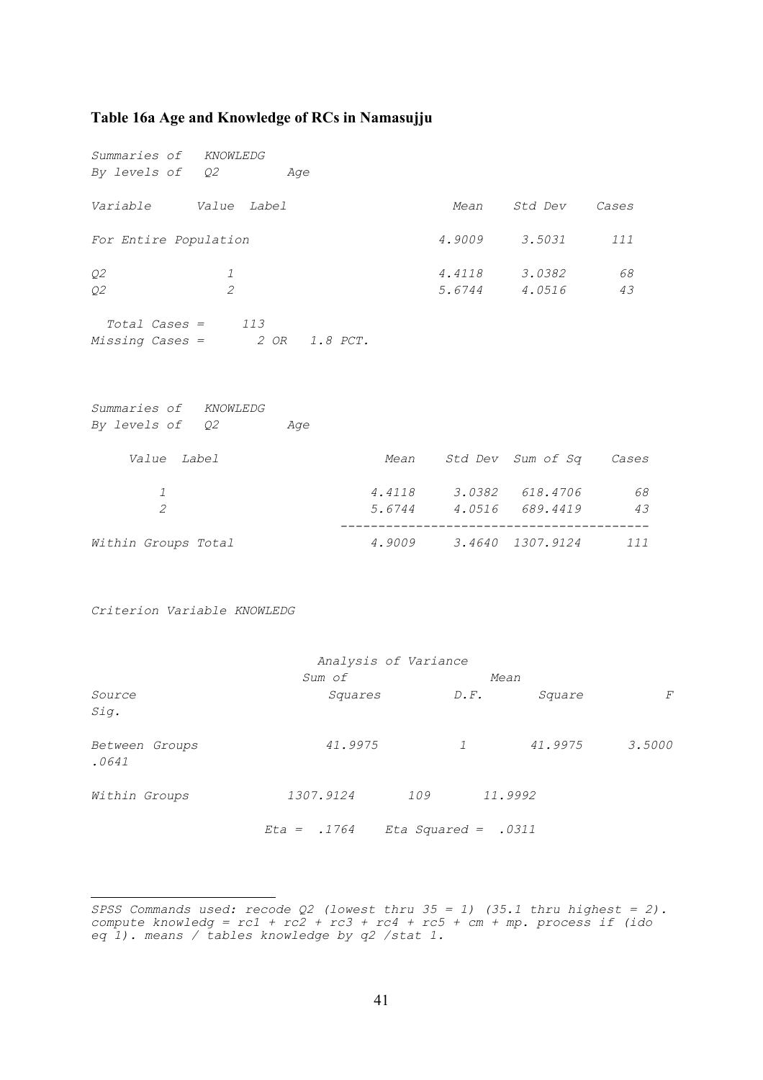#### <span id="page-43-0"></span>**Table 16a Age and Knowledge of RCs in Namasujj[u](#page-43-1)**

*Summaries of KNOWLEDG By levels of Q2 Age Variable Value Label Mean Std Dev Cases For Entire Population 4.9009 3.5031 111 Q2 1 4.4118 3.0382 68 Q2 2 5.6744 4.0516 43 Total Cases = 113 Missing Cases = 2 OR 1.8 PCT. Summaries of KNOWLEDG By levels of Q2 Age Value Label Mean Std Dev Sum of Sq Cases 1 4.4118 3.0382 618.4706 68 2 5.6744 4.0516 689.4419 43 -----------------------------------------* 

*Within Groups Total 4.9009 3.4640 1307.9124 111* 

*Criterion Variable KNOWLEDG* 

| Analysis of Variance    |               |                     |         |        |  |  |  |
|-------------------------|---------------|---------------------|---------|--------|--|--|--|
|                         | Sum of        |                     | Mean    |        |  |  |  |
| Source<br>Sig.          | Squares       | $D \cdot F$ .       | Square  | F      |  |  |  |
| Between Groups<br>.0641 | 41.9975       | $\mathcal{I}$       | 41.9975 | 3.5000 |  |  |  |
| Within Groups           | 1307.9124     | 109                 | 11.9992 |        |  |  |  |
|                         | $Eta = .1764$ | Eta Squared = .0311 |         |        |  |  |  |

<span id="page-43-1"></span><sup>÷,</sup> *SPSS Commands used: recode Q2 (lowest thru 35 = 1) (35.1 thru highest = 2). compute knowledg = rc1 + rc2 + rc3 + rc4 + rc5 + cm + mp. process if (ido eq 1). means / tables knowledge by q2 /stat 1.*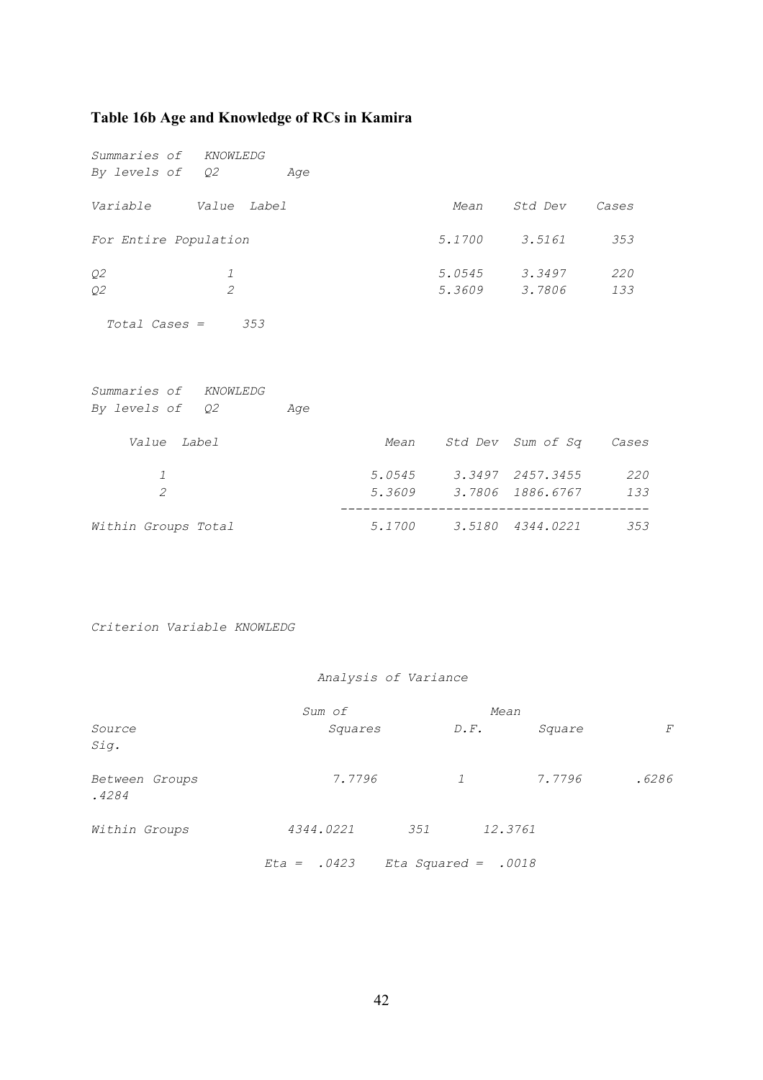#### <span id="page-44-0"></span>**Table 16b Age and Knowledge of RCs in Kamira**

*Summaries of KNOWLEDG By levels of Q2 Age Variable Value Label Mean Std Dev Cases For Entire Population 5.1700 3.5161 353 Q2 1 5.0545 3.3497 220 Q2 2 5.3609 3.7806 133 Total Cases = 353 Summaries of KNOWLEDG By levels of Q2 Age Value Label Mean Std Dev Sum of Sq Cases 1 5.0545 3.3497 2457.3455 220 2 5.3609 3.7806 1886.6767 133 ----------------------------------------- Within Groups Total 5.1700 3.5180 4344.0221 353* 

*Criterion Variable KNOWLEDG* 

#### *Analysis of Variance*

|                         | Sum of        |                     | Mean              |         |       |  |
|-------------------------|---------------|---------------------|-------------------|---------|-------|--|
| Source<br>Sig.          | Squares       |                     | $D \cdot F \cdot$ | Square  | F     |  |
| Between Groups<br>.4284 | 7.7796        |                     | $\mathcal{I}$     | 7.7796  | .6286 |  |
| Within Groups           | 4344.0221     | 351                 |                   | 12.3761 |       |  |
|                         | $Eta = .0423$ | Eta Squared = .0018 |                   |         |       |  |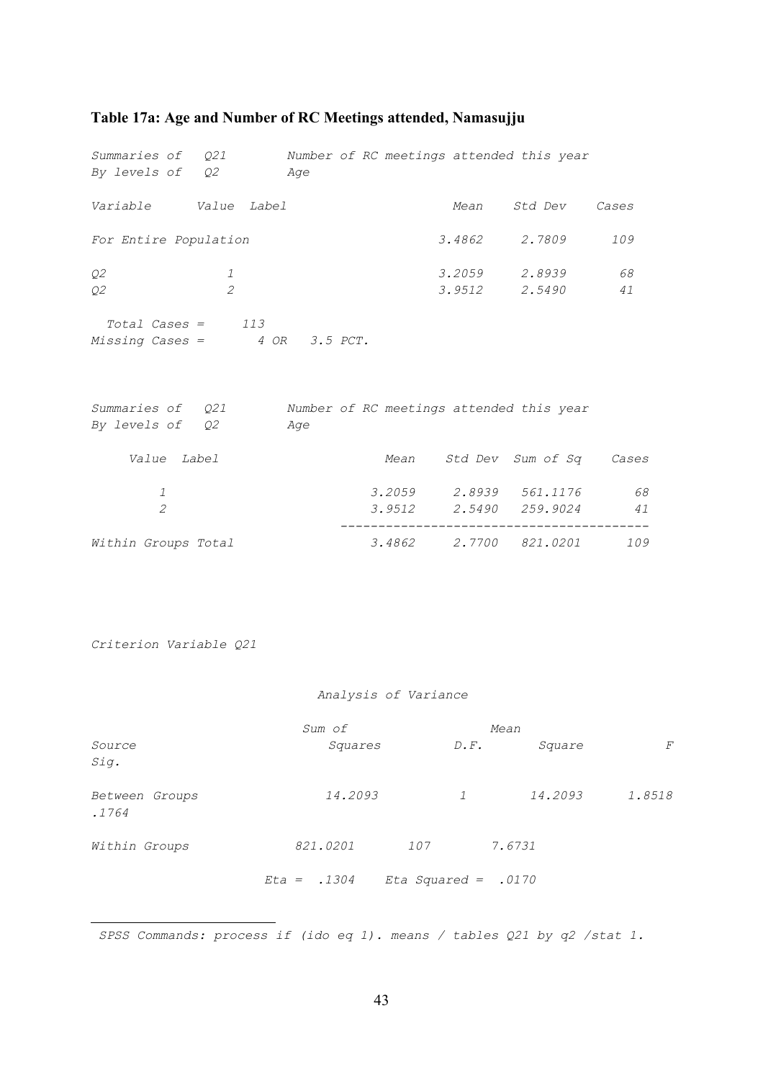## <span id="page-45-0"></span>**Table 17a: Age and Number of RC Meetings attended, Namasujj[u](#page-45-1)**

| Summaries of Q21<br>By levels of Q2                             |                | Age      | Number of RC meetings attended this year |                       |                        |          |
|-----------------------------------------------------------------|----------------|----------|------------------------------------------|-----------------------|------------------------|----------|
| Variable Value Label                                            |                |          |                                          | Mean                  | Std Dev                | Cases    |
| For Entire Population                                           |                |          |                                          | 3.4862                | 2.7809                 | 109      |
| Q2                                                              | 1              |          |                                          | $3.2059$ 2.8939       |                        | 68       |
| Q2                                                              | $\overline{2}$ |          |                                          |                       | $3.9512$ $2.5490$      | 41       |
| $Total \textit{Cases} = 113$<br>Missing Cases = $4 OR 3.5 PCT.$ |                |          |                                          |                       |                        |          |
| <i>Summaries of Q21</i><br>By levels of Q2                      |                | Age      | Number of RC meetings attended this year |                       |                        |          |
| Value Label                                                     |                |          | Mean                                     |                       | Std Dev Sum of Sq      | Cases    |
| $\mathcal{I}$                                                   |                |          |                                          |                       | 3.2059 2.8939 561.1176 | 68       |
| $\overline{2}$                                                  |                |          | 3.9512                                   |                       | 2.5490 259.9024        | 41       |
| Within Groups Total                                             |                |          | 3.4862                                   |                       | 2.7700 821.0201        | 109      |
| Criterion Variable Q21                                          |                |          |                                          |                       |                        |          |
|                                                                 |                |          | Analysis of Variance                     |                       |                        |          |
| Source<br>Sig.                                                  |                | Sum of   | Squares                                  | Mean<br>$D \cdot F$ . | Square                 | $\cal F$ |
| Between Groups<br>.1764                                         |                |          | 14.2093                                  | 1                     | 14.2093                | 1.8518   |
| Within Groups                                                   |                | 821.0201 |                                          | 107 7.6731            |                        |          |
|                                                                 |                |          | $Eta = .1304$ $Eta$ Squared = .0170      |                       |                        |          |

<span id="page-45-1"></span> *SPSS Commands: process if (ido eq 1). means / tables Q21 by q2 /stat 1.*

i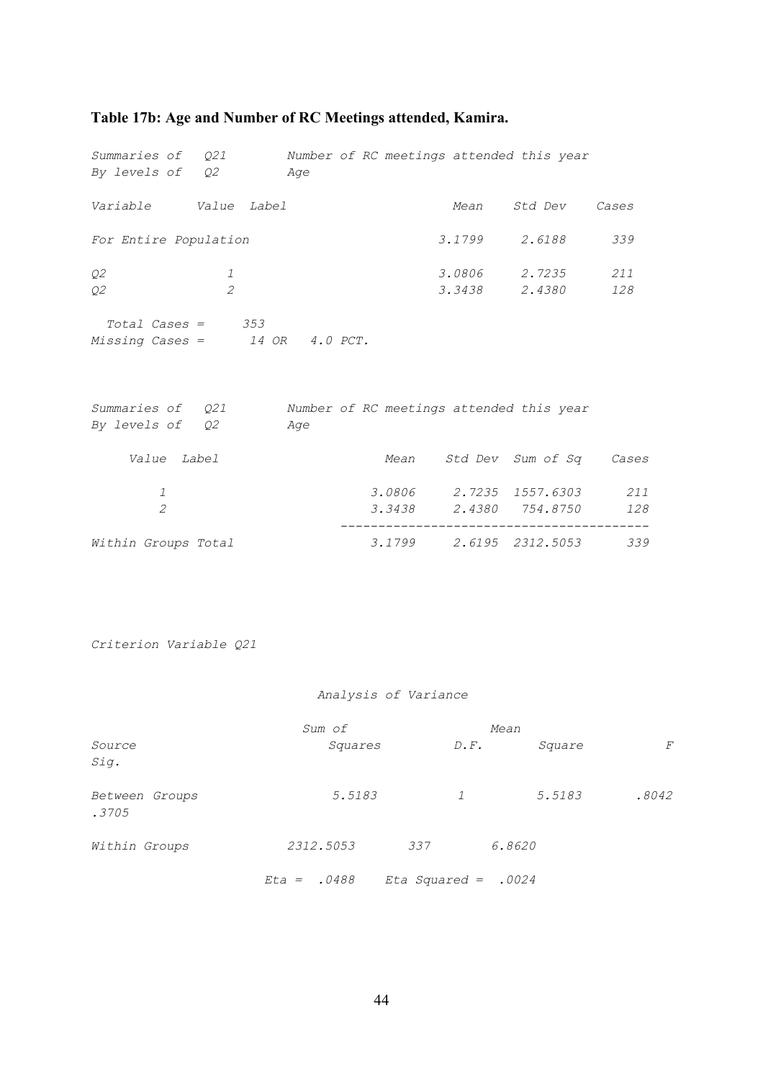## <span id="page-46-0"></span>**Table 17b: Age and Number of RC Meetings attended, Kamira.**

| Summaries of Q21<br>By levels of Q2                                            |                                 | Age | Number of RC meetings attended this year                  |                                        |     |
|--------------------------------------------------------------------------------|---------------------------------|-----|-----------------------------------------------------------|----------------------------------------|-----|
| Variable Value Label                                                           |                                 |     |                                                           | Mean Std Dev Cases                     |     |
| For Entire Population                                                          |                                 |     |                                                           | 3.1799 2.6188                          | 339 |
| Q2<br>Q2                                                                       | $\mathcal{I}$<br>$\overline{2}$ |     |                                                           | 3.0806 2.7235 211<br>3.3438 2.4380 128 |     |
| $Total \textit{Cases} = 353$<br>Missing Cases = $14$ OR $4.0$ PCT.             |                                 |     |                                                           |                                        |     |
| Summaries of $Q21$ Number of RC meetings attended this year<br>By levels of Q2 |                                 | Age |                                                           |                                        |     |
| Value Label                                                                    |                                 |     | Mean Std Dev Sum of Sq Cases                              |                                        |     |
| 1<br>$\overline{2}$                                                            |                                 |     | 3.0806 2.7235 1557.6303 211<br>3.3438 2.4380 754.8750 128 |                                        |     |
| Within Groups Total                                                            |                                 |     | $    -$<br>3.1799 2.6195 2312.5053 339                    |                                        |     |
|                                                                                |                                 |     |                                                           |                                        |     |
| Criterion Variable Q21                                                         |                                 |     |                                                           |                                        |     |

#### *Analysis of Variance*

|                         | Sum of        |                       |        | Mean  |  |  |
|-------------------------|---------------|-----------------------|--------|-------|--|--|
| Source<br>Sig.          | Squares       | $D \cdot F$ .         | Square | F     |  |  |
| Between Groups<br>.3705 | 5.5183        | $\mathcal{I}$         | 5.5183 | .8042 |  |  |
| Within Groups           | 2312.5053     | 337                   | 6.8620 |       |  |  |
|                         | $Eta = .0488$ | Eta Squared = $.0024$ |        |       |  |  |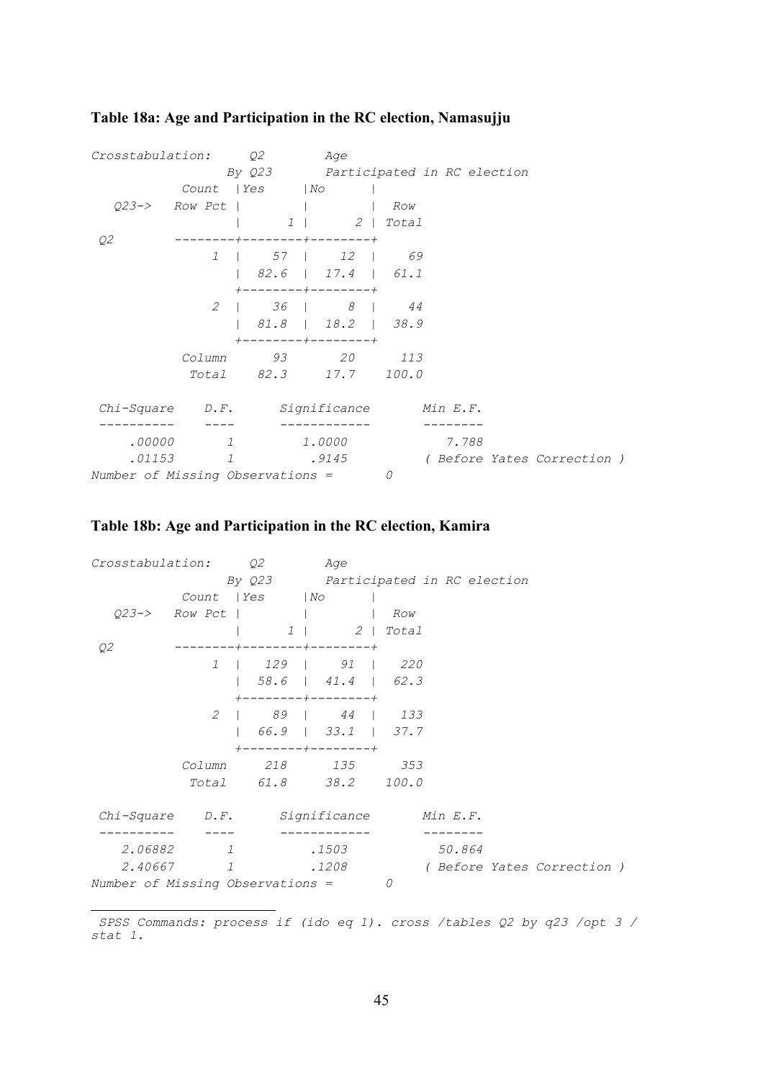#### *Crosstabulation: Q2 Age By Q23 Participated in RC election Count |Yes |No | Q23-> Row Pct | | | Row | 1 | 2 | Total Q2 --------+--------+--------+ 1 | 57 | 12 | 69 | 82.6 | 17.4 | 61.1 +--------+--------+ 2 | 36 | 8 | 44 | 81.8 | 18.2 | 38.9 +--------+--------+ Column 93 20 113 Total 82.3 17.7 100.0 Chi-Square D.F. Significance Min E.F. ---------- ---- ------------ -------- .00000 1 1.0000 7.788 .01153 1 .9145 ( Before Yates Correction ) Number of Missing Observations = 0*

#### <span id="page-47-0"></span>**Table 18a: Age and Participation in the RC election, Namasujj[u](#page-47-1)**

#### **Table 18b: Age and Participation in the RC election, Kamira**

| Crosstabulation:                      |                | Q2                                       | Age                                      |     |        |                           |  |
|---------------------------------------|----------------|------------------------------------------|------------------------------------------|-----|--------|---------------------------|--|
|                                       |                | By Q23 Participated in RC election       |                                          |     |        |                           |  |
|                                       |                | Count   Yes   No                         |                                          |     |        |                           |  |
|                                       |                | 023-> Row Pct   I                        |                                          | Row |        |                           |  |
|                                       |                |                                          | 1   2   Total                            |     |        |                           |  |
| Q <sub>2</sub>                        |                | -+--------+--------+                     |                                          |     |        |                           |  |
|                                       |                | 1   129   91   220                       |                                          |     |        |                           |  |
|                                       |                |                                          | $58.6$   $41.4$   62.3                   |     |        |                           |  |
|                                       |                | +--------+--------+<br>2   89   44   133 |                                          |     |        |                           |  |
|                                       |                |                                          | 66.9   33.1   37.7<br>--------+--------+ |     |        |                           |  |
|                                       | Column         | 218 135 353                              |                                          |     |        |                           |  |
|                                       |                | Total 61.8 38.2 100.0                    |                                          |     |        |                           |  |
| Chi-Square D.F. Significance Min E.F. |                |                                          |                                          |     |        |                           |  |
|                                       |                |                                          |                                          |     |        |                           |  |
| 2.06882                               | $\overline{1}$ |                                          | .1503                                    |     | 50.864 |                           |  |
| 2.40667                               | 1              |                                          | .1208                                    |     |        | (Before Yates Correction) |  |
| Number of Missing Observations =      |                |                                          |                                          | 0   |        |                           |  |

<span id="page-47-1"></span>i  *SPSS Commands: process if (ido eq 1). cross /tables Q2 by q23 /opt 3 / stat 1.*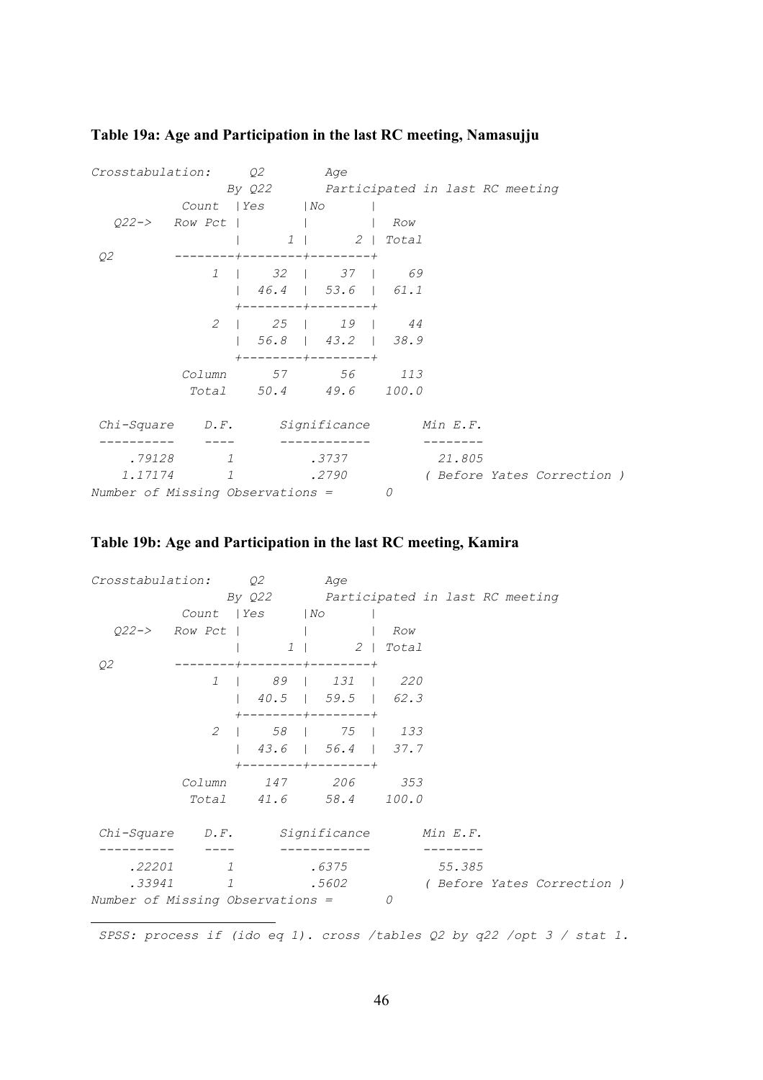| Crosstabulation:                            | Q2                                                                                   | Age                   |   |        |                           |  |
|---------------------------------------------|--------------------------------------------------------------------------------------|-----------------------|---|--------|---------------------------|--|
|                                             | By Q22 Participated in last RC meeting                                               |                       |   |        |                           |  |
|                                             | Count   Yes   No                                                                     |                       |   |        |                           |  |
|                                             | $Q22->$ Row Pct       Row                                                            |                       |   |        |                           |  |
|                                             |                                                                                      | $1 \mid 2 \mid Total$ |   |        |                           |  |
| Q2                                          | $-+ - - - - - - - - + - - - - - - - - +$                                             |                       |   |        |                           |  |
|                                             | 1   32   37   69                                                                     |                       |   |        |                           |  |
|                                             | $\begin{array}{ c c c c c c c c } \hline \end{array}$ 46.4   53.6   61.1             |                       |   |        |                           |  |
|                                             | $+ - - - - - - - - + - - - - - - - +$                                                |                       |   |        |                           |  |
|                                             | 2   25   19   44                                                                     |                       |   |        |                           |  |
|                                             | $\begin{array}{ c c c c c c c c c } \hline 56.8 & 43.2 & 38.9 \\ \hline \end{array}$ |                       |   |        |                           |  |
|                                             | $+ - - - - - - - + - - - - - - - +$                                                  |                       |   |        |                           |  |
|                                             | Column 57 56 113                                                                     |                       |   |        |                           |  |
|                                             | Total 50.4 49.6 100.0                                                                |                       |   |        |                           |  |
| $Chi-Square$ $D.F.$ Significance $Min E.F.$ |                                                                                      |                       |   |        |                           |  |
|                                             |                                                                                      |                       |   |        |                           |  |
| .79128                                      | $\mathcal{I}$                                                                        | .3737                 |   | 21.805 |                           |  |
| 1.17174                                     | $\mathbf{1}$                                                                         | .2790                 |   |        | (Before Yates Correction) |  |
| <i>Number of Missing Observations =</i>     |                                                                                      |                       | 0 |        |                           |  |

## <span id="page-48-0"></span>**Table 19a: Age and Participation in the last RC meeting, Namasujj[u](#page-48-1)**

## **Table 19b: Age and Participation in the last RC meeting, Kamira**

| Crosstabulation:                 |               | Q2                                  | Age                                                        |     |          |                                    |  |
|----------------------------------|---------------|-------------------------------------|------------------------------------------------------------|-----|----------|------------------------------------|--|
|                                  |               | By Q22                              | Participated in last RC meeting                            |     |          |                                    |  |
|                                  |               | Count   Yes   No                    |                                                            |     |          |                                    |  |
| $022 \rightarrow$ Row Pct        |               | and the contract of the contract of |                                                            | Row |          |                                    |  |
|                                  |               |                                     | $1 \mid 2 \mid \text{Total}$                               |     |          |                                    |  |
| Q2                               |               |                                     | --------+--------+                                         |     |          |                                    |  |
|                                  | $\mathcal{I}$ |                                     | 89   131   220                                             |     |          |                                    |  |
|                                  |               |                                     | $40.5$   59.5   62.3                                       |     |          |                                    |  |
|                                  |               |                                     | $+ - - - - - - - - + - - - - - - - +$<br>2   58   75   133 |     |          |                                    |  |
|                                  |               |                                     | 43.6   56.4   37.7<br>$-----+------+$                      |     |          |                                    |  |
|                                  | Column        | 147 206                             |                                                            | 353 |          |                                    |  |
|                                  |               |                                     | Total 41.6 58.4 100.0                                      |     |          |                                    |  |
| Chi-Square                       |               |                                     | D.F. Significance                                          |     | Min E.F. |                                    |  |
| .22201                           | $\mathcal{I}$ |                                     | .6375                                                      |     | 55.385   |                                    |  |
| .33941                           | $\mathcal{I}$ |                                     | .5602                                                      |     |          | <i>( Before Yates Correction )</i> |  |
| Number of Missing Observations = |               |                                     |                                                            | 0   |          |                                    |  |

<span id="page-48-1"></span>i  *SPSS: process if (ido eq 1). cross /tables Q2 by q22 /opt 3 / stat 1.*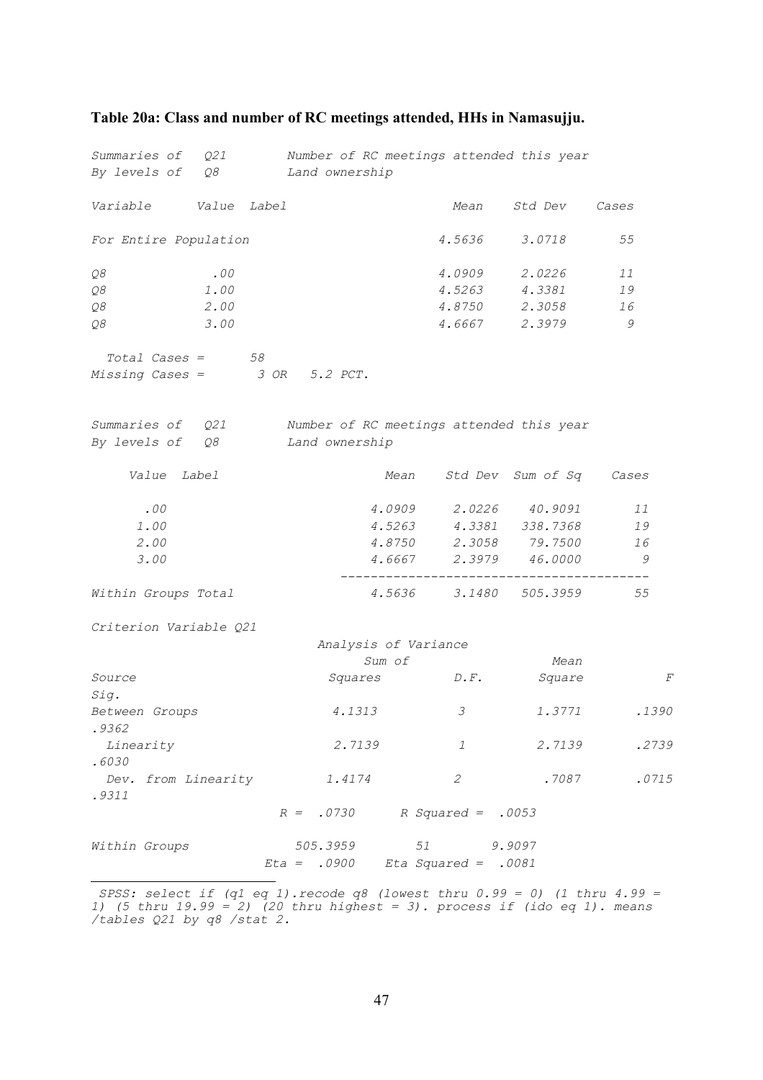# *Summaries of Q21 Number of RC meetings attended this year By levels of Q8 Land ownership Variable Value Label Mean Std Dev Cases For Entire Population 4.5636 3.0718 55 Q8 .00 4.0909 2.0226 11 Q8 1.00 4.5263 4.3381 19 Q8 2.00 4.8750 2.3058 16 Q8 3.00 4.6667 2.3979 9 Total Cases =* 58<br>*issing Cases =* 3 OR 5.2 PCT.  $Missing Cases =$ *Summaries of Q21 Number of RC meetings attended this year By levels of Q8 Land ownership Value Label Mean Std Dev Sum of Sq Cases .00 4.0909 2.0226 40.9091 11 1.00 4.5263 4.3381 338.7368 19 2.00 4.8750 2.3058 79.7500 16 3.00 4.6667 2.3979 46.0000 9 ----------------------------------------- Within Groups Total 4.5636 3.1480 505.3959 55 Criterion Variable Q21 Analysis of Variance Sum of Mean Source Squares D.F. Square F Sig. Between Groups 4.1313 3 1.3771 .1390 .9362 Linearity 2.7139 1 2.7139 .2739 .6030 Dev. from Linearity 1.4174 2 .7087 .0715 .9311 R = .0730 R Squared = .0053 Within Groups 505.3959 51 9.9097 Eta = .0900 Eta Squared = .0081*  ÷,

#### <span id="page-49-0"></span>**Table 20a: Class and number of RC meetings attended, HHs in Namasujj[u.](#page-49-1)**

<span id="page-49-1"></span> *SPSS: select if (q1 eq 1).recode q8 (lowest thru 0.99 = 0) (1 thru 4.99 = 1) (5 thru 19.99 = 2) (20 thru highest = 3). process if (ido eq 1). means /tables Q21 by q8 /stat 2.*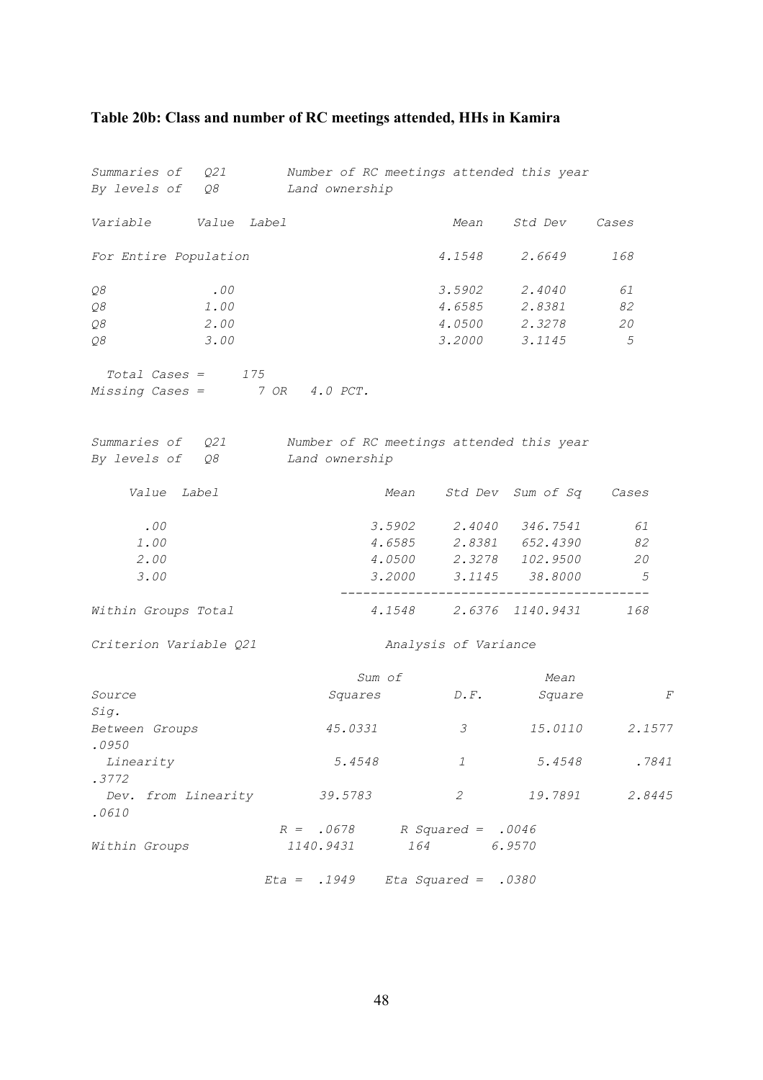# <span id="page-50-0"></span>**Table 20b: Class and number of RC meetings attended, HHs in Kamira**

| Summaries of Q21                     |      |                | Number of RC meetings attended this year |                       |                         |             |
|--------------------------------------|------|----------------|------------------------------------------|-----------------------|-------------------------|-------------|
| By levels of Q8                      |      | Land ownership |                                          |                       |                         |             |
| Variable Value Label                 |      |                |                                          | Mean                  | Std Dev Cases           |             |
| For Entire Population                |      |                |                                          | 4.1548                | 2.6649                  | 168         |
| ${\cal Q}8$                          | .00  |                |                                          | $3.5902$ 2.4040       |                         | 61          |
| Q8                                   | 1.00 |                |                                          |                       | 4.6585 2.8381           | 82          |
| Q8                                   | 2.00 |                |                                          |                       | 4.0500 2.3278           | 20          |
| Q8                                   | 3.00 |                |                                          |                       | 3.2000 3.1145           | $5^{\circ}$ |
| $Total \textit{Cases} = 175$         |      |                |                                          |                       |                         |             |
| $Missing Cases = 7 OR 4.0 PCT.$      |      |                |                                          |                       |                         |             |
|                                      |      |                |                                          |                       |                         |             |
| Summaries of Q21                     |      |                | Number of RC meetings attended this year |                       |                         |             |
| By levels of Q8                      |      | Land ownership |                                          |                       |                         |             |
| Value Label                          |      |                | Mean                                     |                       | Std Dev Sum of Sq       | Cases       |
| .00                                  |      |                | 3.5902                                   |                       | 2.4040 346.7541         | 61          |
| 1.00                                 |      |                | 4.6585                                   |                       | 2.8381 652.4390         | 82          |
| 2.00                                 |      |                |                                          |                       | 4.0500 2.3278 102.9500  | 20          |
| 3.00                                 |      |                |                                          |                       | 3.2000 3.1145 38.8000   | $5^{\circ}$ |
| Within Groups Total                  |      |                |                                          |                       | 4.1548 2.6376 1140.9431 | 168         |
| Criterion Variable Q21               |      |                |                                          | Analysis of Variance  |                         |             |
|                                      |      |                | Sum of                                   |                       | Mean                    |             |
| Source                               |      |                | Squares                                  | $D$ . $F$ .           | Square                  | F           |
| Sig.                                 |      |                |                                          |                       |                         |             |
| Between Groups                       |      |                | 45.0331                                  | $\mathcal{S}$         | <i>15.0110</i>          | 2.1577      |
| .0950<br>Linearity                   |      |                | 5.4548                                   | 1                     | 5.4548                  | .7841       |
| .3772                                |      |                |                                          |                       |                         |             |
| Dev. from Linearity 39.5783<br>.0610 |      |                |                                          | $\mathcal{Z}$         | 19.7891                 | 2.8445      |
|                                      |      | $R = .0678$    |                                          | R Squared = .0046     |                         |             |
| Within Groups                        |      | 1140.9431      | 164                                      |                       | 6.9570                  |             |
|                                      |      | $Eta = .1949$  |                                          | Eta Squared = $.0380$ |                         |             |

48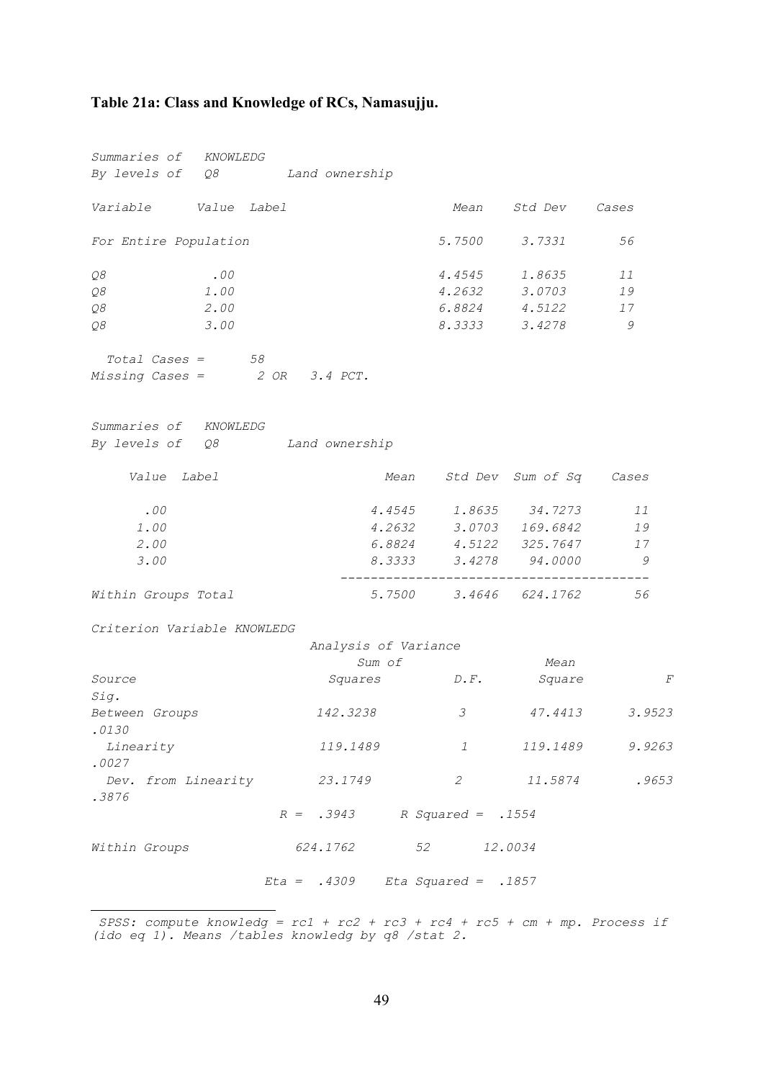#### <span id="page-51-0"></span>**Table 21a: Class and Knowledge of RCs, Namasujj[u.](#page-51-1)**

*Summaries of KNOWLEDG By levels of Q8 Land ownership Variable Value Label Mean Std Dev Cases For Entire Population 5.7500 3.7331 56 Q8 .00 4.4545 1.8635 11 Q8 1.00 4.2632 3.0703 19 Q8 2.00 6.8824 4.5122 17 Q8 3.00 8.3333 3.4278 9 Total Cases = 58 Missing Cases = 2 OR 3.4 PCT. Summaries of KNOWLEDG By levels of Q8 Land ownership Value Label Mean Std Dev Sum of Sq Cases .00 4.4545 1.8635 34.7273 11 1.00 4.2632 3.0703 169.6842 19 2.00 6.8824 4.5122 325.7647 17 3.00 8.3333 3.4278 94.0000 9 ----------------------------------------- Within Groups Total 5.7500 3.4646 624.1762 56 Criterion Variable KNOWLEDG Analysis of Variance Sum of Mean Source Squares D.F. Square F Sig. Between Groups 142.3238 3 47.4413 3.9523 .0130 Linearity 119.1489 1 119.1489 9.9263 .0027 Dev. from Linearity 23.1749 2 11.5874 .9653 .3876 R = .3943 R Squared = .1554 Within Groups 624.1762 52 12.0034 Eta = .4309 Eta Squared = .1857* 

<span id="page-51-1"></span> *SPSS: compute knowledg = rc1 + rc2 + rc3 + rc4 + rc5 + cm + mp. Process if (ido eq 1). Means /tables knowledg by q8 /stat 2.*

i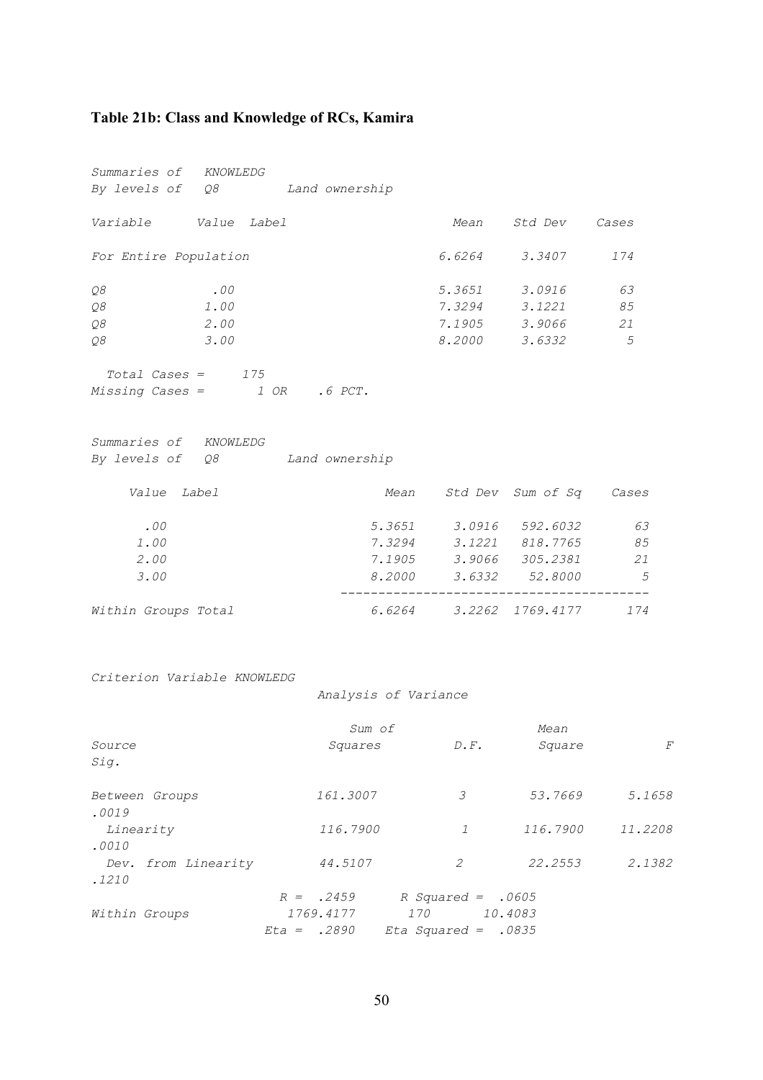## <span id="page-52-0"></span>**Table 21b: Class and Knowledge of RCs, Kamira**

| Summaries of KNOWLEDG            |        |               |                              |                |
|----------------------------------|--------|---------------|------------------------------|----------------|
| By levels of Q8 Land ownership   |        |               |                              |                |
| Variable Value Label             |        | Mean          | Std Dev Cases                |                |
| For Entire Population            |        |               | 6.6264 3.3407                | 174            |
| .00<br>Q8                        |        |               | 5.3651 3.0916                | 63             |
| Q8<br>1.00                       |        |               | 7.3294 3.1221                | 85             |
| Q8<br>2.00                       |        |               | 7.1905 3.9066                | 21             |
| Q8<br>3.00                       |        | 8.2000 3.6332 |                              | 5              |
| $Total \textit{Cases} = 175$     |        |               |                              |                |
| $Missing Cases =$ $1 OR$ .6 PCT. |        |               |                              |                |
|                                  |        |               |                              |                |
| Summaries of KNOWLEDG            |        |               |                              |                |
| By levels of Q8 Land ownership   |        |               |                              |                |
| Value Label                      |        |               | Mean Std Dev Sum of Sq Cases |                |
| .00                              |        |               | 5.3651 3.0916 592.6032       | 63             |
| 1.00                             | 7.3294 |               | 3.1221 818.7765              | 85             |
| 2.00                             |        |               | 7.1905 3.9066 305.2381       | 21             |
| 3.00                             | 8.2000 |               | 3.6332 52.8000               | $\overline{5}$ |
| Within Groups Total              | 6.6264 |               | 3.2262 1769.4177             | 174            |

*Criterion Variable KNOWLEDG* 

 *Analysis of Variance* 

|                         | Sum of      |                       | Mean     |         |
|-------------------------|-------------|-----------------------|----------|---------|
| Source                  | Squares     | $D \cdot F$ .         | Square   | F       |
| Sig.                    |             |                       |          |         |
| Between Groups<br>.0019 | 161.3007    | 3                     | 53.7669  | 5.1658  |
| Linearity               | 116.7900    | $\mathcal{I}$         | 116.7900 | 11.2208 |
| .0010                   |             |                       |          |         |
| Dev. from Linearity     | 44.5107     | 2                     | 22.2553  | 2.1382  |
| .1210                   |             |                       |          |         |
|                         | $R = .2459$ | R Squared = $.0605$   |          |         |
| Within Groups           | 1769.4177   | 170                   | 10.4083  |         |
|                         | $Et = 2890$ | Eta Squared = $.0835$ |          |         |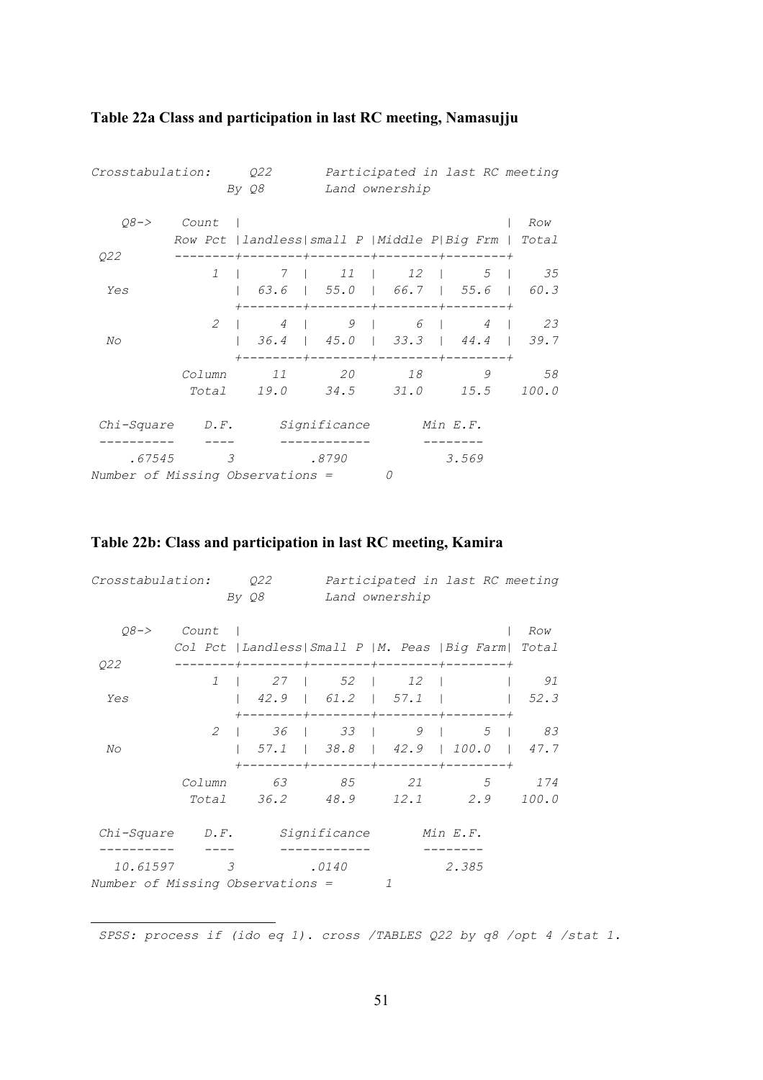| Crosstabulation:<br>Q22<br>By Q8           |                |                   |                   | Participated in last RC meeting<br>Land ownership       |          |                      |  |
|--------------------------------------------|----------------|-------------------|-------------------|---------------------------------------------------------|----------|----------------------|--|
| $08 - >$<br>Q22                            | Count          |                   |                   | Row Pct   landless  small P   Middle P  Big Frm   Total |          | Row                  |  |
|                                            |                | $1 \quad \square$ |                   | 7   11   12                                             |          | $5 \quad   \quad 35$ |  |
| Yes                                        |                |                   |                   | +--------+--------+--------+-------+                    |          |                      |  |
|                                            | 2              |                   | $4 \quad \square$ | $9 \mid 6 \mid$                                         | $4 \mid$ | 23                   |  |
| No                                         |                |                   |                   | +--------+--------+--------+-------+                    |          |                      |  |
|                                            | Column         | 11                | 20                |                                                         | 9        | 58                   |  |
|                                            |                |                   |                   | Total 19.0 34.5 31.0 15.5                               |          | 100.0                |  |
| Chi-Square                                 | $D \cdot F$ .  |                   | Significance      |                                                         | Min E.F. |                      |  |
| .67545<br>Number of Missing Observations = | $\overline{3}$ |                   | .8790             |                                                         | 3.569    |                      |  |

## <span id="page-53-0"></span>**Table 22a Class and participation in last RC meeting, Namasujj[u](#page-53-1)**

## **Table 22b: Class and participation in last RC meeting, Kamira**

| Crosstabulation:                             |                 | 022<br>By Q8   |              | Participated in last RC meeting<br>Land ownership |                                                                                            |              |  |
|----------------------------------------------|-----------------|----------------|--------------|---------------------------------------------------|--------------------------------------------------------------------------------------------|--------------|--|
| $08 - >$<br>Q22                              | Count           |                |              |                                                   | Col Pct   Landless  Small P   M. Peas   Big Farm  Total<br>----+--------+--------+-------+ | Row          |  |
| Yes                                          |                 | 1   27   52    |              | $12 \quad \square$                                |                                                                                            | 91<br>52.3   |  |
| No                                           | 2               |                |              | +--------+--------+--------+-----                 | $1 \t36 \t33 \t9 \t5 \t83$                                                                 |              |  |
|                                              | Column<br>Total | 36.2 48.9 12.1 | 63 85        | 21                                                | +--------+---------+---------+-------+<br>.5<br>2.9                                        | 174<br>100.0 |  |
| Chi-Square D.F.                              |                 |                | Significance |                                                   | Min E.F.                                                                                   |              |  |
| 10.61597<br>Number of Missing Observations = | 3               |                | .0140        | 7                                                 | 2.385                                                                                      |              |  |

<span id="page-53-1"></span>i  *SPSS: process if (ido eq 1). cross /TABLES Q22 by q8 /opt 4 /stat 1.*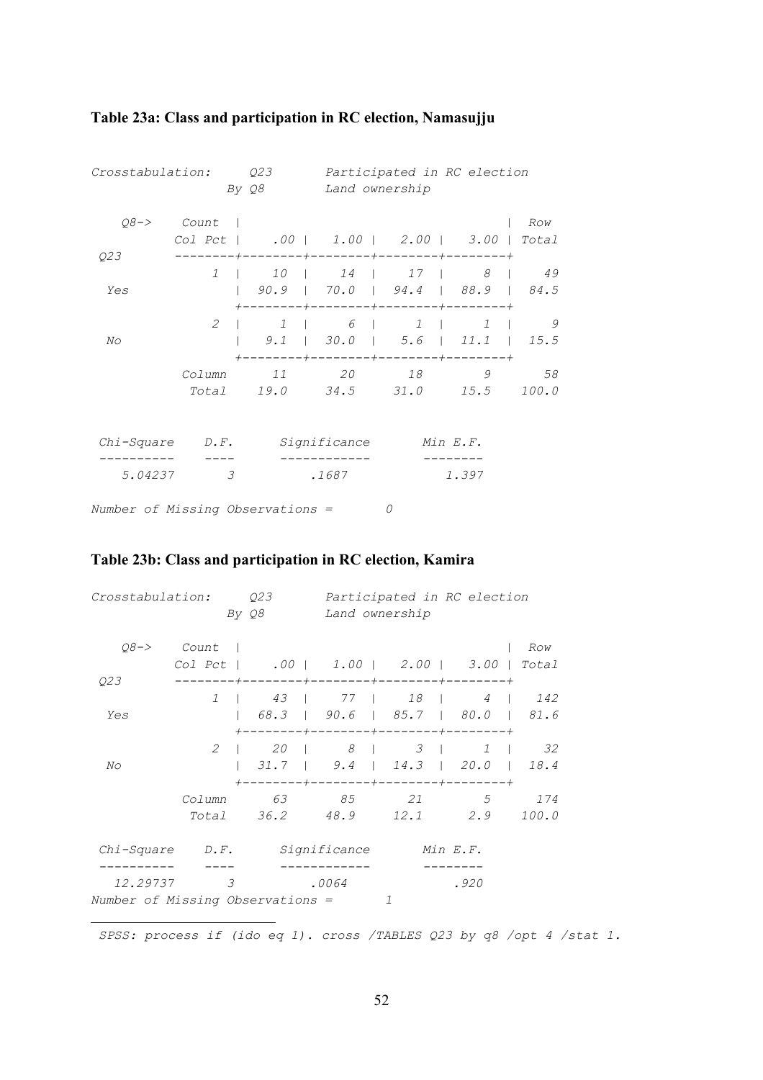| Crosstabulation:                 |               | Q23          |       |                                                                                                                                       | Participated in RC election |                |  |
|----------------------------------|---------------|--------------|-------|---------------------------------------------------------------------------------------------------------------------------------------|-----------------------------|----------------|--|
|                                  |               | By Q8        |       | Land ownership                                                                                                                        |                             |                |  |
| $08 - >$                         | Count         |              |       |                                                                                                                                       |                             | Row            |  |
|                                  |               |              |       | Col Pct   .00   1.00   2.00   3.00   Total                                                                                            |                             |                |  |
| Q23                              | $\mathcal{I}$ |              |       | 10111411718149                                                                                                                        |                             |                |  |
| Yes                              |               |              |       | $90.9$   $70.0$   $94.4$   $88.9$   $84.5$                                                                                            |                             |                |  |
|                                  | $\mathcal{L}$ |              |       | +--------+--------+--------+-------+<br>$1 \quad \begin{array}{c} 6 \quad \end{array}$ $1 \quad \begin{array}{c} 1 \quad \end{array}$ |                             | $\overline{9}$ |  |
| No                               |               |              |       | $9.1$   30.0   5.6   11.1   15.5<br>-------+--------+--------+-------+                                                                |                             |                |  |
|                                  | Column        | 11           |       | 20 18                                                                                                                                 | 9                           | 58             |  |
|                                  |               |              |       | Total 19.0 34.5 31.0 15.5                                                                                                             |                             | 100.0          |  |
|                                  |               |              |       |                                                                                                                                       |                             |                |  |
| $Chi-Square$ $D.F.$              |               | Significance |       |                                                                                                                                       | Min E.F.                    |                |  |
| 5.04237                          | 3             |              | .1687 |                                                                                                                                       | 1.397                       |                |  |
| Number of Missing Observations = |               |              |       | 0                                                                                                                                     |                             |                |  |

## <span id="page-54-0"></span>**Table 23a: Class and participation in RC election, Namasujj[u](#page-54-1)**

## **Table 23b: Class and participation in RC election, Kamira**

i

| Q23<br>Crosstabulation:<br>By Q8             |                  |                               | Participated in RC election<br>Land ownership |                                                                   |                               |              |  |
|----------------------------------------------|------------------|-------------------------------|-----------------------------------------------|-------------------------------------------------------------------|-------------------------------|--------------|--|
| $08 - >$                                     | Count<br>Col Pct |                               |                                               | $.00$   1.00   2.00   3.00  <br>-------+--------+-------+-------+ |                               | Row<br>Total |  |
| Q23<br>Yes                                   | $\mathcal{I}$    | 43                            | 77                                            | 18  <br>68.3   90.6   85.7   80.0   81.6                          | $\overline{4}$                | 142          |  |
| No                                           | 2                | $--- + --- -$<br>20<br>$31.7$ | $8 \quad \square$                             | $--- +--- ---- +--- ---- ---- +$<br>$9.4$   $14.3$   $20.0$       | $3 \mid$<br>$1 \quad \square$ | 32<br>18.4   |  |
|                                              | Column<br>Total  | 63<br>36.2 48.9               | 85                                            | -------+--------+--------+-------+<br>21                          | 5<br>12.1 2.9                 | 174<br>100.0 |  |
| Chi-Square                                   | $D \cdot F$ .    |                               | Significance                                  |                                                                   | Min E.F.                      |              |  |
| 12.29737<br>Number of Missing Observations = | 3                |                               | .0064                                         | 1                                                                 | .920                          |              |  |

<span id="page-54-1"></span> *SPSS: process if (ido eq 1). cross /TABLES Q23 by q8 /opt 4 /stat 1.*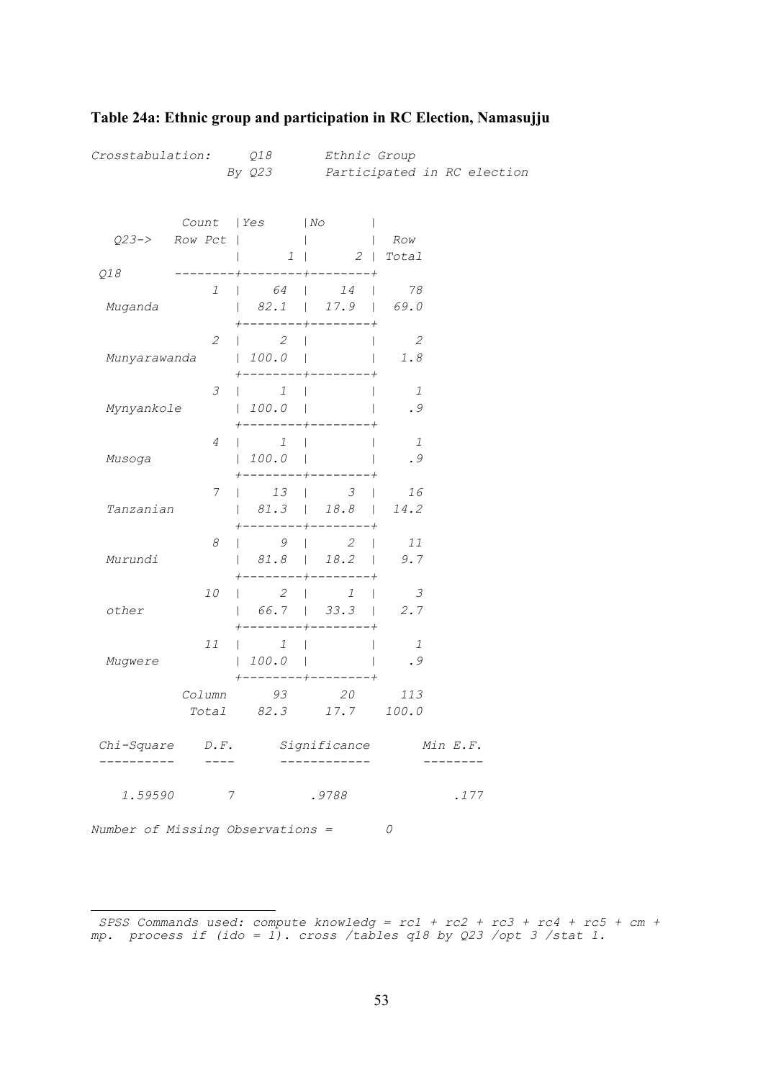| 1.59590<br>Number of Missing Observations = | 7               |                                                                                              | .9788                                                                                                                     | 0                     | .177                        |
|---------------------------------------------|-----------------|----------------------------------------------------------------------------------------------|---------------------------------------------------------------------------------------------------------------------------|-----------------------|-----------------------------|
| Chi-Square D.F.<br>---------                |                 |                                                                                              | Significance<br>-----------                                                                                               |                       | Min E.F.                    |
|                                             |                 | Column 93                                                                                    | 20<br>Total 82.3 17.7 100.0                                                                                               | 113                   |                             |
| Mugwere                                     | 11              | 1<br>$\mathbf{L}$<br> 100.0                                                                  | $\mathbf{L}$<br>-----+--------+                                                                                           | $\overline{1}$<br>.9  |                             |
| other                                       | 10              | $2 \mid$                                                                                     | $1 \quad \vert$<br>$\begin{array}{ c c c c c c c c } \hline \quad & 66.7 & \quad   & 33.3 & \quad   \ \hline \end{array}$ | $\overline{3}$<br>2.7 |                             |
| Murundi                                     | 8               |                                                                                              | $\begin{array}{ccc} \vert & 9 \vert & 2 \vert \end{array}$<br>81.8   18.2  <br>$+ - - - - - - - +$                        | 11<br>9.7             |                             |
| Tanzanian                                   | 7               | $\begin{array}{ccc} \vert & 13 \end{array}$<br>------                                        | $\mathcal{S}$<br>  81.3   18.8   14.2<br>$- - - - - - -$                                                                  | 16<br>and the state   |                             |
| Musoga                                      | 4               | $\begin{array}{ccc} & & 1 \end{array}$<br> 100.0                                             | $\mathbf{I}$                                                                                                              | $\mathbf{1}$<br>.9    |                             |
| Mynyankole                                  | 3               | $\begin{array}{ccc} \n & 1 \n \end{array}$<br>$\vert$ 100.0<br>$+$ - - - - - - - - + - - - - |                                                                                                                           | $\overline{1}$<br>.9  |                             |
| Munyarawanda                                | 2               | $\begin{array}{ccc} \vert & 2 \end{array}$<br>$\vert$ 100.0 $\vert$                          | $\mathbf{L}$<br>+--------+--------+                                                                                       | 2<br>1.8              |                             |
| Muganda                                     | $\mathcal{I}$   | $\begin{array}{ccc} \vert & 64 \end{array}$<br>-------+                                      | 14<br>$\mathbf{I}$<br>  82.1   17.9   69.0                                                                                | 78                    |                             |
| Q18                                         | $Q23->$ Row Pct | Count   Yes                                                                                  | No<br>$1 \quad  $<br>$- - + - - - - - - - - + - - - - - - - - +$                                                          | Row<br>$2$   Total    |                             |
| Crosstabulation: Q18                        |                 | By Q23                                                                                       | Ethnic Group                                                                                                              |                       | Participated in RC election |

### <span id="page-55-0"></span>**Table 24a: Ethnic group and participation in RC Election, Namasujj[u](#page-55-1)**

<span id="page-55-1"></span>i  *SPSS Commands used: compute knowledg = rc1 + rc2 + rc3 + rc4 + rc5 + cm + mp. process if (ido = 1). cross /tables q18 by Q23 /opt 3 /stat 1.*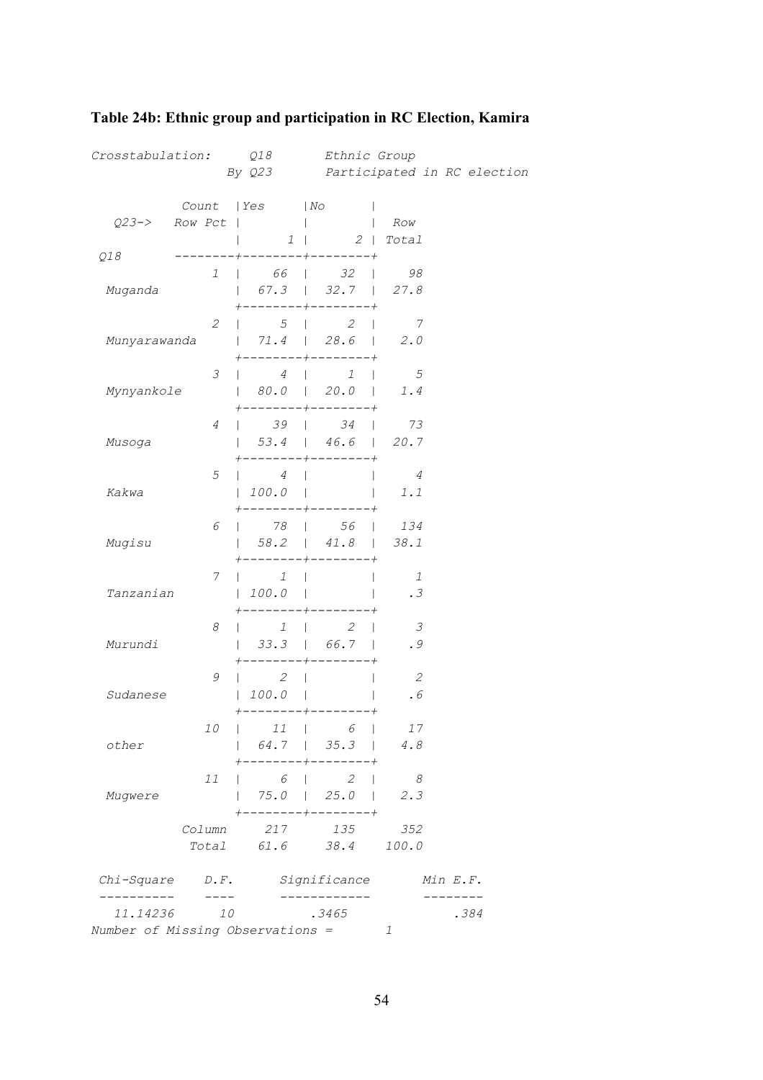| Crosstabulation: Q18             |                                                                                                                                                                                                                                                                                                                                                                                                    | By Q23                                  |                                                                                                                         | Ethnic Group<br>Participated in RC election |          |  |
|----------------------------------|----------------------------------------------------------------------------------------------------------------------------------------------------------------------------------------------------------------------------------------------------------------------------------------------------------------------------------------------------------------------------------------------------|-----------------------------------------|-------------------------------------------------------------------------------------------------------------------------|---------------------------------------------|----------|--|
|                                  |                                                                                                                                                                                                                                                                                                                                                                                                    |                                         |                                                                                                                         |                                             |          |  |
|                                  | $Q23->$ Row Pct                                                                                                                                                                                                                                                                                                                                                                                    | Count   Yes   No                        |                                                                                                                         | Row                                         |          |  |
|                                  |                                                                                                                                                                                                                                                                                                                                                                                                    |                                         | 1   2   Total                                                                                                           |                                             |          |  |
| Q18                              |                                                                                                                                                                                                                                                                                                                                                                                                    |                                         | ---+--------+--------+                                                                                                  |                                             |          |  |
|                                  | $\mathcal{I}$                                                                                                                                                                                                                                                                                                                                                                                      |                                         | $\begin{array}{ c c c c c c c c } \hline \quad & 66 & \quad 32 & \quad 98 \ \hline \end{array}$                         |                                             |          |  |
| Muganda                          |                                                                                                                                                                                                                                                                                                                                                                                                    |                                         | $\begin{array}{ c c c c c c c c c } \hline &67.3 & & 32.7 & & 27.8 \ \hline \end{array}$<br>$+ - - - - - - - +$         |                                             |          |  |
|                                  | $\mathcal{Z}$                                                                                                                                                                                                                                                                                                                                                                                      |                                         | $\begin{array}{ccccccc} \vert & & & 5 & \vert & & & 2 & \vert \end{array}$                                              | $\overline{7}$                              |          |  |
| Munyarawanda                     |                                                                                                                                                                                                                                                                                                                                                                                                    |                                         | 71.4   28.6   2.0                                                                                                       |                                             |          |  |
|                                  |                                                                                                                                                                                                                                                                                                                                                                                                    |                                         | $+ - - - - - - -$                                                                                                       |                                             |          |  |
|                                  | 3                                                                                                                                                                                                                                                                                                                                                                                                  | $\begin{array}{ccc} \hline \end{array}$ | $\begin{array}{ccc} \end{array}$                                                                                        | $\overline{5}$                              |          |  |
| Mynyankole                       |                                                                                                                                                                                                                                                                                                                                                                                                    |                                         | 80.0   20.0   1.4<br>-----+--------+                                                                                    |                                             |          |  |
|                                  | 4                                                                                                                                                                                                                                                                                                                                                                                                  |                                         | $39$   $34$                                                                                                             | 73                                          |          |  |
| Musoga                           |                                                                                                                                                                                                                                                                                                                                                                                                    |                                         | $\vert$ 53.4   46.6   20.7                                                                                              |                                             |          |  |
|                                  |                                                                                                                                                                                                                                                                                                                                                                                                    |                                         |                                                                                                                         |                                             |          |  |
| Kakwa                            | 5                                                                                                                                                                                                                                                                                                                                                                                                  | $\begin{array}{ccc} \hline \end{array}$ | $100.0$ $1.1$                                                                                                           | $\overline{4}$                              |          |  |
|                                  |                                                                                                                                                                                                                                                                                                                                                                                                    |                                         | --------+--------+                                                                                                      |                                             |          |  |
|                                  | 6                                                                                                                                                                                                                                                                                                                                                                                                  |                                         | $\begin{array}{ c c c c c c c c c } \hline \end{array}$ 78   56   134                                                   |                                             |          |  |
| Mugisu                           |                                                                                                                                                                                                                                                                                                                                                                                                    |                                         | $\vert$ 58.2   41.8   38.1                                                                                              |                                             |          |  |
|                                  | 7.                                                                                                                                                                                                                                                                                                                                                                                                 | $\begin{array}{ccc} \end{array}$        | --------+--------+                                                                                                      | $\overline{1}$                              |          |  |
| Tanzanian                        |                                                                                                                                                                                                                                                                                                                                                                                                    | 100.0                                   |                                                                                                                         | .3                                          |          |  |
|                                  |                                                                                                                                                                                                                                                                                                                                                                                                    |                                         |                                                                                                                         |                                             |          |  |
|                                  | 8                                                                                                                                                                                                                                                                                                                                                                                                  | $1 \quad  $<br>$\mathbf{L}$             | 2<br>$\Box$                                                                                                             | 3                                           |          |  |
| Murundi                          |                                                                                                                                                                                                                                                                                                                                                                                                    |                                         | $\vert$ 33.3   66.7  <br>$--- +$                                                                                        | .9                                          |          |  |
|                                  | 9                                                                                                                                                                                                                                                                                                                                                                                                  | $\begin{array}{ccc} \end{array}$        | $\mathbf{I}$                                                                                                            | $\overline{2}$                              |          |  |
| Sudanese                         |                                                                                                                                                                                                                                                                                                                                                                                                    | 100.0                                   |                                                                                                                         | .6                                          |          |  |
|                                  |                                                                                                                                                                                                                                                                                                                                                                                                    |                                         | $--+--------+$                                                                                                          |                                             |          |  |
|                                  | 10                                                                                                                                                                                                                                                                                                                                                                                                 |                                         | $11$   6                                                                                                                | 17                                          |          |  |
| other                            |                                                                                                                                                                                                                                                                                                                                                                                                    |                                         | $\begin{array}{ c c c c c c c c } \hline &64.7 & \text{\quad} & 35.3 & \text{\quad} \\ \hline \end{array}$<br>--------+ | 4.8                                         |          |  |
|                                  | 11                                                                                                                                                                                                                                                                                                                                                                                                 |                                         | $6 \quad 2$                                                                                                             | $\sim$ 8                                    |          |  |
| Muqwere                          |                                                                                                                                                                                                                                                                                                                                                                                                    |                                         | 75.0   25.0                                                                                                             | 2.3                                         |          |  |
|                                  |                                                                                                                                                                                                                                                                                                                                                                                                    | -----                                   | $+$ - - - - - - - +                                                                                                     |                                             |          |  |
|                                  | Column                                                                                                                                                                                                                                                                                                                                                                                             |                                         | 217 135<br>Total 61.6 38.4 100.0                                                                                        | 352                                         |          |  |
|                                  |                                                                                                                                                                                                                                                                                                                                                                                                    |                                         |                                                                                                                         |                                             |          |  |
|                                  |                                                                                                                                                                                                                                                                                                                                                                                                    |                                         | Chi-Square D.F. Significance                                                                                            |                                             | Min E.F. |  |
| 11.14236                         | $\frac{1}{2} \frac{1}{2} \frac{1}{2} \frac{1}{2} \frac{1}{2} \frac{1}{2} \frac{1}{2} \frac{1}{2} \frac{1}{2} \frac{1}{2} \frac{1}{2} \frac{1}{2} \frac{1}{2} \frac{1}{2} \frac{1}{2} \frac{1}{2} \frac{1}{2} \frac{1}{2} \frac{1}{2} \frac{1}{2} \frac{1}{2} \frac{1}{2} \frac{1}{2} \frac{1}{2} \frac{1}{2} \frac{1}{2} \frac{1}{2} \frac{1}{2} \frac{1}{2} \frac{1}{2} \frac{1}{2} \frac{$<br>10 |                                         | .3465                                                                                                                   |                                             | .384     |  |
| Number of Missing Observations = |                                                                                                                                                                                                                                                                                                                                                                                                    |                                         |                                                                                                                         | 1                                           |          |  |

# <span id="page-56-0"></span>**Table 24b: Ethnic group and participation in RC Election, Kamira**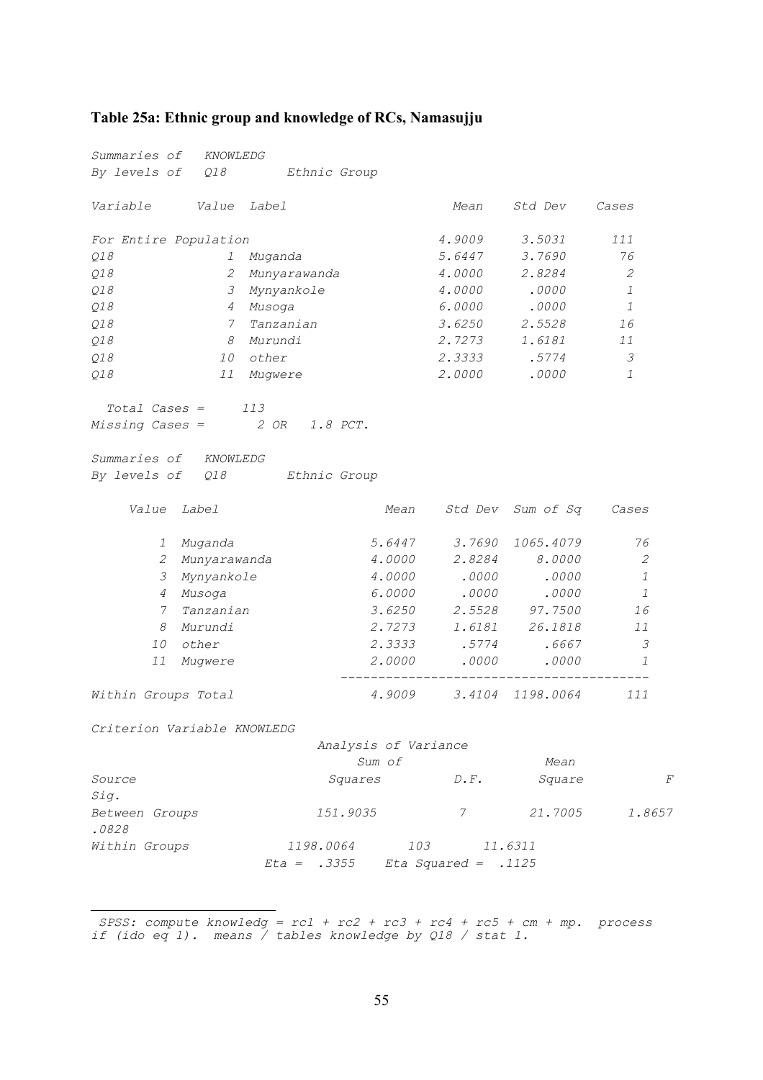### <span id="page-57-0"></span>**Table 25a: Ethnic group and knowledge of RCs, Namasujj[u](#page-57-1)**

| <i>Summaries of</i>         | KNOWLEDG                     |                                   |                      |               |                         |               |   |
|-----------------------------|------------------------------|-----------------------------------|----------------------|---------------|-------------------------|---------------|---|
|                             |                              | By levels of Q18 Ethnic Group     |                      |               |                         |               |   |
| Variable                    | <i>Value Label</i>           |                                   |                      | Mean          | Std Dev                 | Cases         |   |
| For Entire Population       |                              |                                   |                      | 4.9009        | 3.5031                  | 111           |   |
| Q18                         | 1                            | Muganda                           |                      | 5.6447        | 3.7690                  | 76            |   |
| Q18                         | 2                            | Munyarawanda                      |                      | 4.0000        | 2.8284                  | 2             |   |
| Q18                         | $\mathcal{Z}$                | Mynyankole                        |                      | 4.0000        | .0000                   | $\mathcal{I}$ |   |
| Q18                         | 4                            | Musoga                            |                      | 6.0000        | .0000                   | 1             |   |
| Q18                         | $7\overline{ }$              | Tanzanian                         |                      | 3.6250        | 2.5528                  | 16            |   |
| Q18                         | 8                            | Murundi                           |                      | 2.7273        | 1.6181                  | 11            |   |
| Q18                         | 10                           | other                             |                      | 2.3333        | .5774                   | 3             |   |
| Q18                         | 11                           | Mugwere                           |                      | 2.0000        | .0000                   | 1             |   |
| Summaries of KNOWLEDG       | $Total \textit{Cases} = 113$ | Missing Cases = $2 OR 1.8 PCT$ .  |                      |               |                         |               |   |
|                             |                              | By levels of Q18 Ethnic Group     |                      |               |                         |               |   |
| Value Label                 |                              |                                   | Mean                 |               | Std Dev Sum of Sq       | Cases         |   |
|                             | 1 Muganda                    |                                   | 5.6447               | 3.7690        | 1065.4079               | 76            |   |
|                             | 2 Munyarawanda               |                                   | 4.0000               |               | 2.8284 8.0000           | 2             |   |
| 3                           | Mynyankole                   |                                   |                      |               | 4.0000 .0000 .0000      | 1             |   |
|                             | 4 Musoga                     |                                   | 6.0000               | .0000         | .0000                   | 1             |   |
| 7                           | Tanzanian                    |                                   | 3.6250               |               | 2.5528 97.7500          | 16            |   |
| 8                           | Murundi                      |                                   | 2.7273               |               | 1.6181 26.1818          | 11            |   |
| <i>10</i>                   | other                        |                                   | 2.3333               | .5774         | .6667                   | 3             |   |
| 11                          | Mugwere                      |                                   |                      | 2.0000.0000   | .0000                   | 1             |   |
| Within Groups Total         |                              |                                   |                      |               | 4.9009 3.4104 1198.0064 | 111           |   |
| Criterion Variable KNOWLEDG |                              |                                   |                      |               |                         |               |   |
|                             |                              |                                   | Analysis of Variance |               |                         |               |   |
|                             |                              |                                   | Sum of               |               | Mean                    |               |   |
| Source<br>Sig.              |                              | Squares                           |                      | $D \cdot F$ . | Square                  |               | F |
| Between Groups<br>.0828     |                              | 151.9035                          |                      | 7             | 21.7005                 | 1.8657        |   |
| Within Groups               |                              | 1198.0064                         |                      | 103           | 11.6311                 |               |   |
|                             |                              | $Eta = .3355$ Eta Squared = .1125 |                      |               |                         |               |   |
|                             |                              |                                   |                      |               |                         |               |   |

<span id="page-57-1"></span> *SPSS: compute knowledg = rc1 + rc2 + rc3 + rc4 + rc5 + cm + mp. process if (ido eq 1). means / tables knowledge by Q18 / stat 1.*

i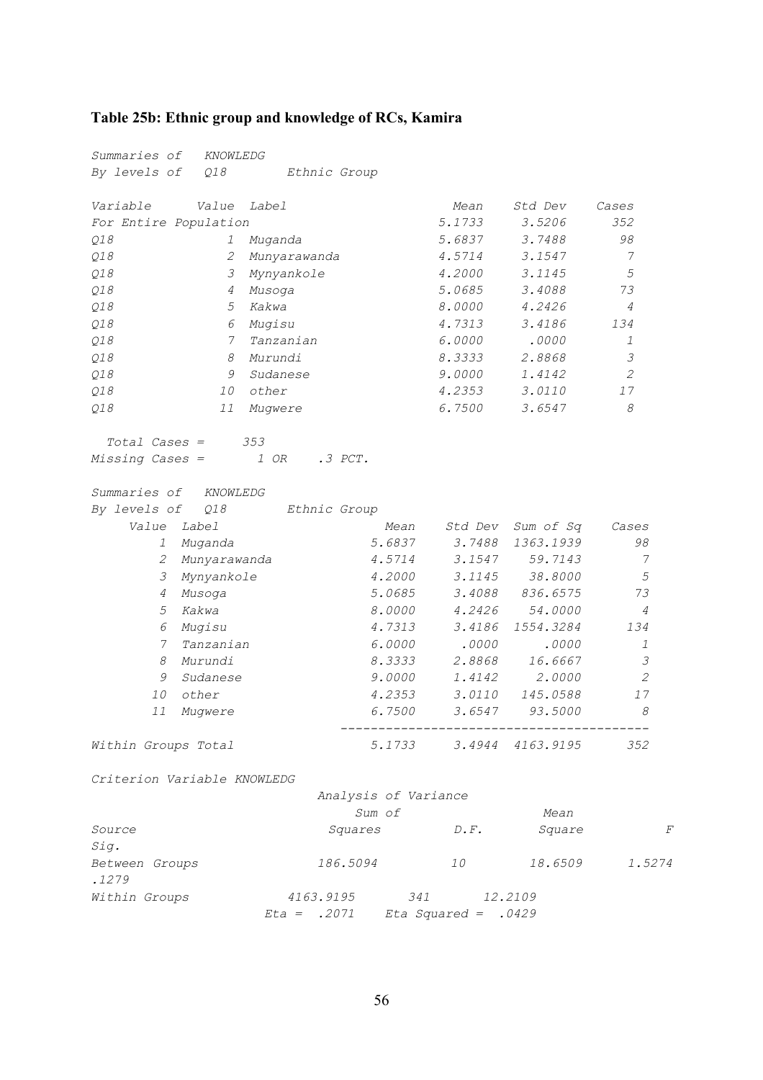## <span id="page-58-0"></span>**Table 25b: Ethnic group and knowledge of RCs, Kamira**

| <i>Summaries of</i>         | KNOWLEDG             |                      |               |                         |                |   |
|-----------------------------|----------------------|----------------------|---------------|-------------------------|----------------|---|
| By levels of<br>Q18         | Ethnic Group         |                      |               |                         |                |   |
| Variable<br>Value           | <i>Label</i>         |                      | Mean          | Std Dev                 | Cases          |   |
| For Entire Population       |                      |                      | 5.1733        | 3.5206                  | 352            |   |
| Q18<br>I                    | Muganda              |                      | 5.6837        | 3.7488                  | 98             |   |
| Q18<br>2                    | Munyarawanda         |                      | 4.5714        | 3.1547                  | 7              |   |
| Q18<br>3                    | Mynyankole           |                      | 4.2000        | 3.1145                  | 5              |   |
| Q18<br>4                    | Musoga               |                      | 5.0685        | 3.4088                  | 73             |   |
| Q18<br>5                    | Kakwa                |                      | 8.0000        | 4.2426                  | 4              |   |
| Q18<br>6                    | Mugisu               |                      | 4.7313        | 3.4186                  | 134            |   |
| Q18                         | 7<br>Tanzanian       |                      | 6.0000        | .0000                   | 1              |   |
| 8<br>Q18                    | Murundi              |                      | 8.3333        | 2.8868                  | $\mathcal{S}$  |   |
| 9<br>Q18                    | Sudanese             |                      | 9.0000        | 1.4142                  | 2              |   |
| Q18<br>10                   | other                |                      | 4.2353        | 3.0110                  | 17             |   |
| 11<br>Q18                   | Mugwere              |                      | 6.7500        | 3.6547                  | 8              |   |
| <i>Total Cases =</i>        | 353                  |                      |               |                         |                |   |
| Missing Cases =             | 1 OR<br>$.3$ $PCT$ . |                      |               |                         |                |   |
| <i>Summaries of</i>         | KNOWLEDG             |                      |               |                         |                |   |
| By levels of<br>Q18         | Ethnic Group         |                      |               |                         |                |   |
| Value<br>Label              |                      | Mean                 | Std Dev       | Sum of Sq               | Cases          |   |
| 1<br>Muganda                |                      | 5.6837               | 3.7488        | 1363.1939               | 98             |   |
| 2<br>Munyarawanda           |                      | 4.5714               | 3.1547        | 59.7143                 | 7              |   |
| 3<br>Mynyankole             |                      | 4.2000               | 3.1145        | 38.8000                 | 5              |   |
| 4<br>Musoga                 |                      | 5.0685               | 3.4088        | 836.6575                | 73             |   |
| Kakwa<br>5                  |                      | 8.0000               | 4.2426        | 54.0000                 | $\overline{4}$ |   |
| Mugisu<br>6                 |                      | 4.7313               | 3.4186        | 1554.3284               | 134            |   |
| 7<br>Tanzanian              |                      | 6.0000               | .0000         | .0000                   | $\mathcal{I}$  |   |
| 8<br>Murundi                |                      | 8.3333               | 2.8868        | 16.6667                 | 3              |   |
| 9<br>Sudanese               |                      | 9.0000               | 1.4142        | 2.0000                  | 2              |   |
| 10<br>other                 |                      | 4.2353               | 3.0110        | 145.0588                | 17             |   |
| 11<br>Mugwere               |                      | 6.7500               | 3.6547        | 93.5000                 | 8              |   |
| Within Groups Total         |                      |                      |               | 5.1733 3.4944 4163.9195 | 352            |   |
| Criterion Variable KNOWLEDG |                      |                      |               |                         |                |   |
|                             |                      | Analysis of Variance |               |                         |                |   |
|                             |                      | Sum of               |               | Mean                    |                |   |
| <i>Source</i><br>Sig.       |                      | Squares              | $D \cdot F$ . | Square                  |                | F |

| $\sim$ $  \sim$ |           |     |         |        |
|-----------------|-----------|-----|---------|--------|
| Between Groups  | 186.5094  | 1 O | 18.6509 | 1.5274 |
| .1279           |           |     |         |        |
| Within Groups   | 4163.9195 | 341 | 12.2109 |        |

 *Eta = .2071 Eta Squared = .0429*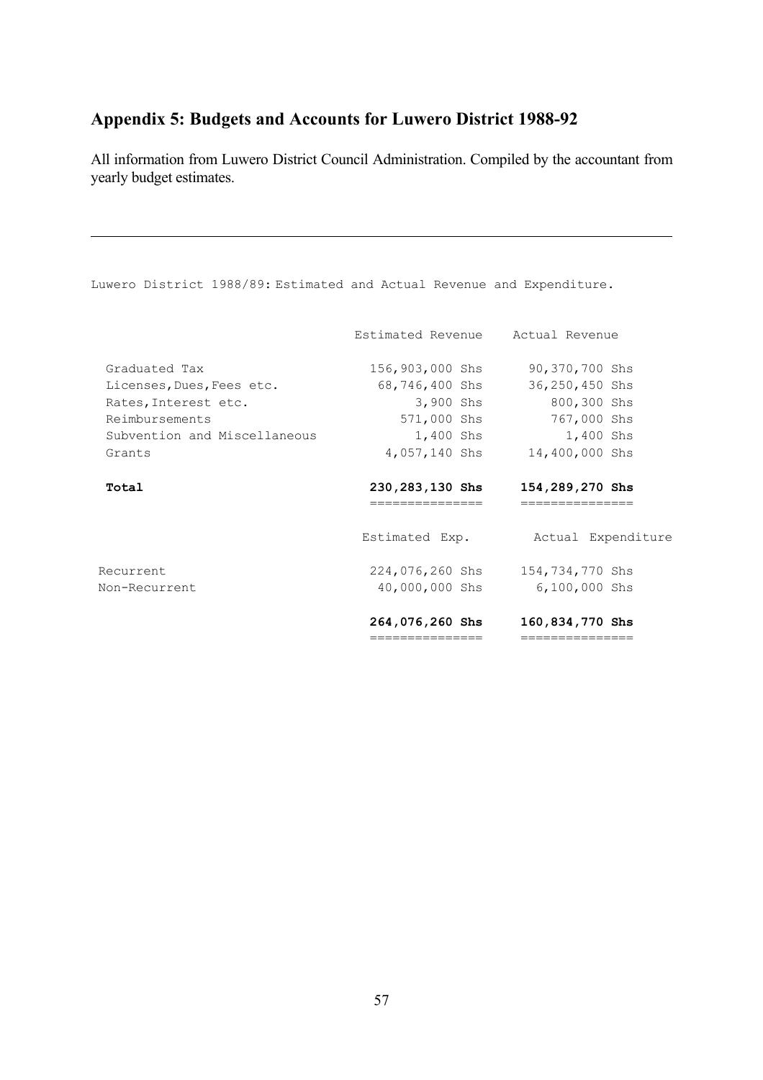# <span id="page-59-0"></span>**Appendix 5: Budgets and Accounts for Luwero District 1988-92**

All information from Luwero District Council Administration. Compiled by the accountant from yearly budget estimates.

| Luwero District 1988/89: Estimated and Actual Revenue and Expenditure. |                                     |                                    |
|------------------------------------------------------------------------|-------------------------------------|------------------------------------|
|                                                                        | Estimated Revenue Actual Revenue    |                                    |
| Graduated Tax                                                          | 156,903,000 Shs                     | 90,370,700 Shs                     |
| Licenses, Dues, Fees etc.                                              | 68,746,400 Shs                      | 36,250,450 Shs                     |
| Rates, Interest etc.                                                   | 3,900 Shs                           | 800,300 Shs                        |
| Reimbursements                                                         |                                     | 571,000 Shs 767,000 Shs            |
| Subvention and Miscellaneous                                           |                                     | 1,400 Shs 1,400 Shs                |
| Grants                                                                 | 4,057,140 Shs                       | 14,400,000 Shs                     |
| Total                                                                  | 230,283,130 Shs<br>---------------- | 154,289,270 Shs<br>--------------- |
|                                                                        | Estimated Exp.                      | Actual Expenditure                 |
| Recurrent                                                              | 224,076,260 Shs                     | 154,734,770 Shs                    |
| Non-Recurrent                                                          | 40,000,000 Shs                      | $6,100,000$ Shs                    |
|                                                                        | 264,076,260 Shs                     | 160,834,770 Shs                    |
|                                                                        | ===============                     | ===============                    |

#### 57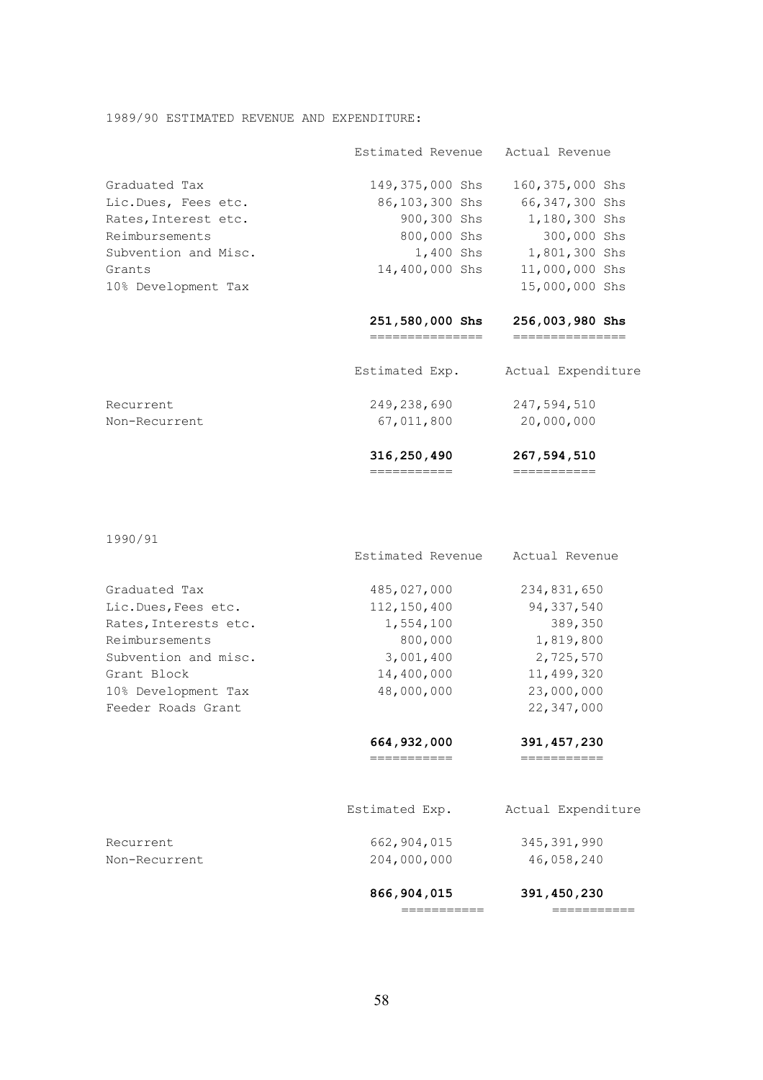#### 1989/90 ESTIMATED REVENUE AND EXPENDITURE:

|                      | Estimated Revenue Actual Revenue |                    |
|----------------------|----------------------------------|--------------------|
| Graduated Tax        | 149,375,000 Shs                  | 160,375,000 Shs    |
| Lic.Dues, Fees etc.  | 86,103,300 Shs                   | 66,347,300 Shs     |
| Rates, Interest etc. | 900,300 Shs                      | 1,180,300 Shs      |
| Reimbursements       | 800,000 Shs                      | 300,000 Shs        |
| Subvention and Misc. | 1,400 Shs                        | 1,801,300 Shs      |
| Grants               | 14,400,000 Shs                   | 11,000,000 Shs     |
| 10% Development Tax  |                                  | 15,000,000 Shs     |
|                      | 251,580,000 Shs<br>-----------   | 256,003,980 Shs    |
|                      | Estimated Exp.                   | Actual Expenditure |
| Recurrent            | 249.238.690                      | 247.594.510        |

| 20,000,000  |  |
|-------------|--|
| 247,594,510 |  |
|             |  |

=========== ===========

1990/91

|                       | Estimated Revenue           | Actual Revenue            |
|-----------------------|-----------------------------|---------------------------|
| Graduated Tax         | 485,027,000                 | 234,831,650               |
| Lic.Dues, Fees etc.   | 112, 150, 400               | 94,337,540                |
| Rates, Interests etc. | 1,554,100                   | 389,350                   |
| Reimbursements        | 800,000                     | 1,819,800                 |
| Subvention and misc.  | 3,001,400                   | 2,725,570                 |
| Grant Block           | 14,400,000                  | 11,499,320                |
| 10% Development Tax   | 48,000,000                  | 23,000,000                |
| Feeder Roads Grant    |                             | 22,347,000                |
|                       | 664, 932, 000               | 391, 457, 230             |
|                       | ===========                 | ===========               |
|                       | Estimated Exp.              | Actual Expenditure        |
| Recurrent             | 662,904,015                 | 345, 391, 990             |
| Non-Recurrent         | 204,000,000                 | 46,058,240                |
|                       | 866, 904, 015<br>========== | 391,450,230<br>========== |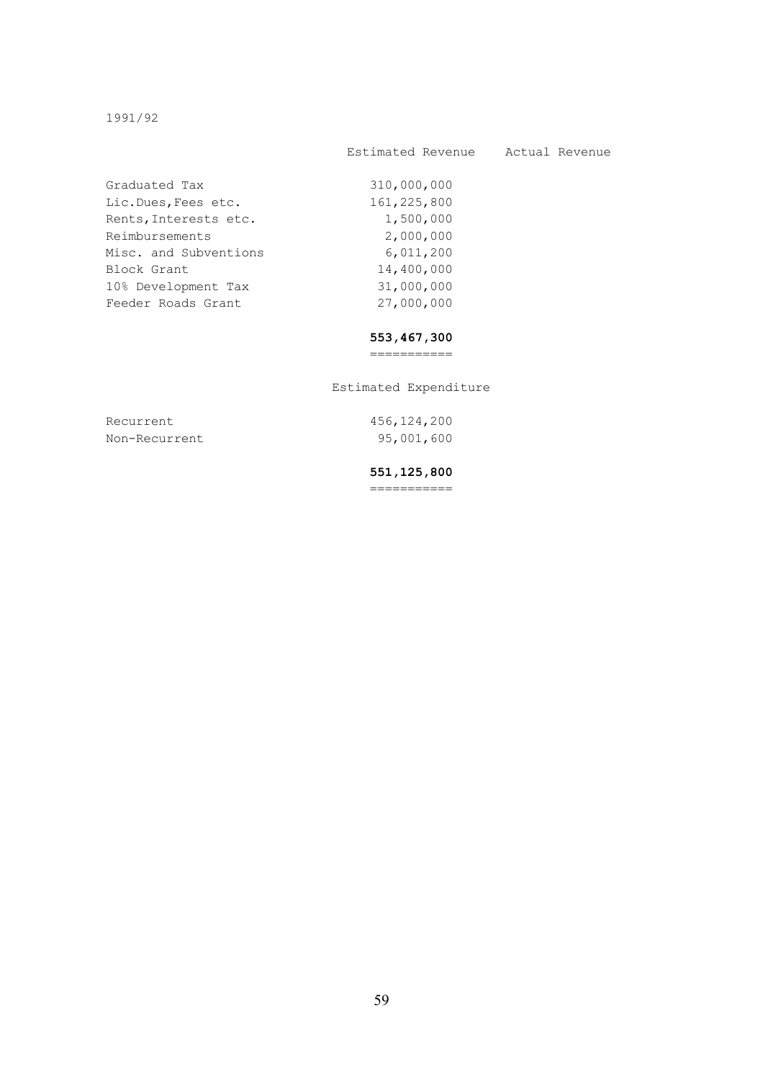1991/92

#### Estimated Revenue Actual Revenue

| Graduated Tax         | 310,000,000 |
|-----------------------|-------------|
| Lic.Dues, Fees etc.   | 161,225,800 |
| Rents, Interests etc. | 1,500,000   |
| Reimbursements        | 2,000,000   |
| Misc. and Subventions | 6,011,200   |
| Block Grant           | 14,400,000  |
| 10% Development Tax   | 31,000,000  |
| Feeder Roads Grant    | 27,000,000  |
|                       |             |

#### **553,467,300**

===========

Estimated Expenditure

 Recurrent 456,124,200 Non-Recurrent 95,001,600

#### **551,125,800**

===========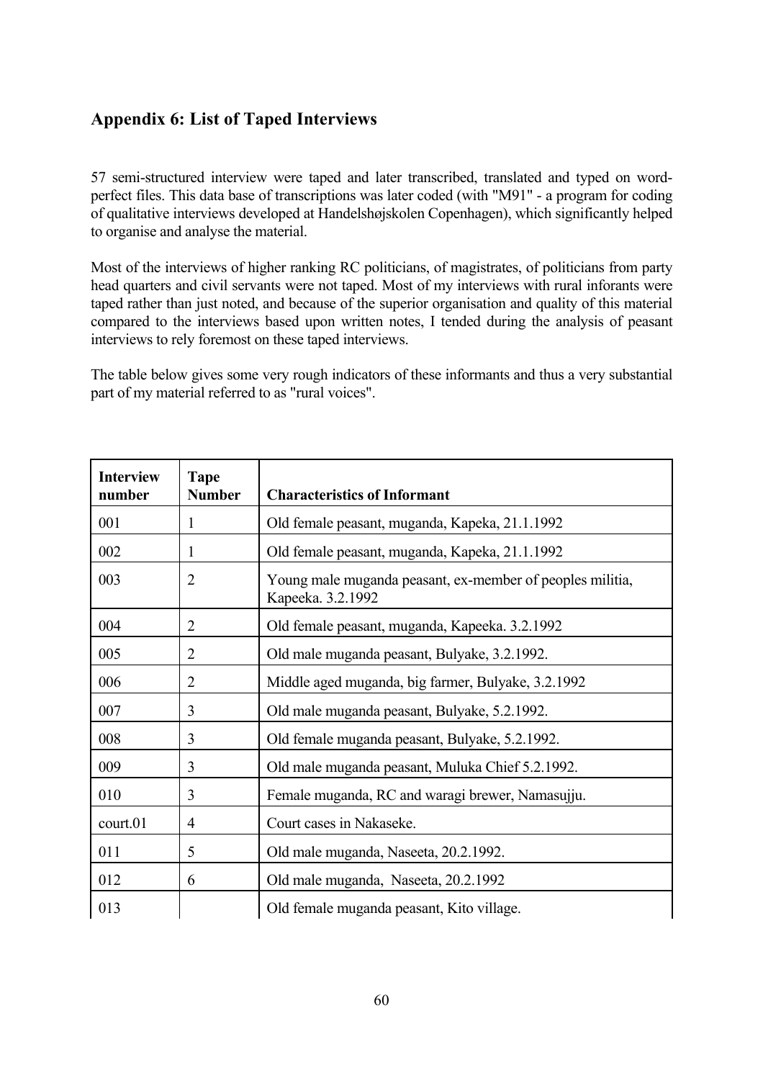## <span id="page-62-0"></span>**Appendix 6: List of Taped Interviews**

57 semi-structured interview were taped and later transcribed, translated and typed on wordperfect files. This data base of transcriptions was later coded (with "M91" - a program for coding of qualitative interviews developed at Handelshøjskolen Copenhagen), which significantly helped to organise and analyse the material.

Most of the interviews of higher ranking RC politicians, of magistrates, of politicians from party head quarters and civil servants were not taped. Most of my interviews with rural inforants were taped rather than just noted, and because of the superior organisation and quality of this material compared to the interviews based upon written notes, I tended during the analysis of peasant interviews to rely foremost on these taped interviews.

The table below gives some very rough indicators of these informants and thus a very substantial part of my material referred to as "rural voices".

| <b>Interview</b><br>number | <b>Tape</b><br><b>Number</b> | <b>Characteristics of Informant</b>                                            |
|----------------------------|------------------------------|--------------------------------------------------------------------------------|
| 001                        | 1                            | Old female peasant, muganda, Kapeka, 21.1.1992                                 |
| 002                        | 1                            | Old female peasant, muganda, Kapeka, 21.1.1992                                 |
| 003                        | $\overline{2}$               | Young male muganda peasant, ex-member of peoples militia,<br>Kapeeka. 3.2.1992 |
| 004                        | $\overline{2}$               | Old female peasant, muganda, Kapeeka. 3.2.1992                                 |
| 005                        | $\overline{2}$               | Old male muganda peasant, Bulyake, 3.2.1992.                                   |
| 006                        | $\overline{2}$               | Middle aged muganda, big farmer, Bulyake, 3.2.1992                             |
| 007                        | 3                            | Old male muganda peasant, Bulyake, 5.2.1992.                                   |
| 008                        | 3                            | Old female muganda peasant, Bulyake, 5.2.1992.                                 |
| 009                        | 3                            | Old male muganda peasant, Muluka Chief 5.2.1992.                               |
| 010                        | 3                            | Female muganda, RC and waragi brewer, Namasujju.                               |
| court.01                   | $\overline{4}$               | Court cases in Nakaseke.                                                       |
| 011                        | 5                            | Old male muganda, Naseeta, 20.2.1992.                                          |
| 012                        | 6                            | Old male muganda, Naseeta, 20.2.1992                                           |
| 013                        |                              | Old female muganda peasant, Kito village.                                      |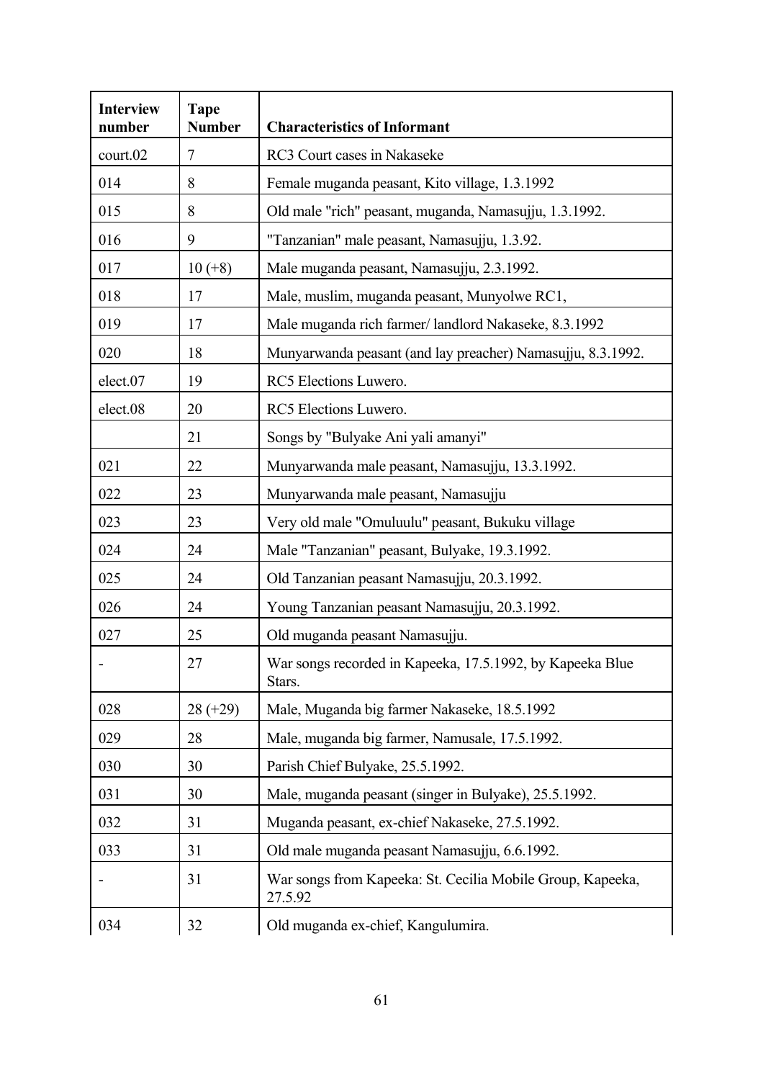| <b>Interview</b><br>number | <b>Tape</b><br><b>Number</b> | <b>Characteristics of Informant</b>                                   |
|----------------------------|------------------------------|-----------------------------------------------------------------------|
| court.02                   | $\tau$                       | RC3 Court cases in Nakaseke                                           |
| 014                        | 8                            | Female muganda peasant, Kito village, 1.3.1992                        |
| 015                        | 8                            | Old male "rich" peasant, muganda, Namasujju, 1.3.1992.                |
| 016                        | 9                            | "Tanzanian" male peasant, Namasujju, 1.3.92.                          |
| 017                        | $10 (+8)$                    | Male muganda peasant, Namasujju, 2.3.1992.                            |
| 018                        | 17                           | Male, muslim, muganda peasant, Munyolwe RC1,                          |
| 019                        | 17                           | Male muganda rich farmer/landlord Nakaseke, 8.3.1992                  |
| 020                        | 18                           | Munyarwanda peasant (and lay preacher) Namasujju, 8.3.1992.           |
| elect.07                   | 19                           | RC5 Elections Luwero.                                                 |
| elect.08                   | 20                           | RC5 Elections Luwero.                                                 |
|                            | 21                           | Songs by "Bulyake Ani yali amanyi"                                    |
| 021                        | 22                           | Munyarwanda male peasant, Namasujju, 13.3.1992.                       |
| 022                        | 23                           | Munyarwanda male peasant, Namasujju                                   |
| 023                        | 23                           | Very old male "Omuluulu" peasant, Bukuku village                      |
| 024                        | 24                           | Male "Tanzanian" peasant, Bulyake, 19.3.1992.                         |
| 025                        | 24                           | Old Tanzanian peasant Namasujju, 20.3.1992.                           |
| 026                        | 24                           | Young Tanzanian peasant Namasujju, 20.3.1992.                         |
| 027                        | 25                           | Old muganda peasant Namasujju.                                        |
|                            | 27                           | War songs recorded in Kapeeka, 17.5.1992, by Kapeeka Blue<br>Stars.   |
| 028                        | $28 (+29)$                   | Male, Muganda big farmer Nakaseke, 18.5.1992                          |
| 029                        | 28                           | Male, muganda big farmer, Namusale, 17.5.1992.                        |
| 030                        | 30                           | Parish Chief Bulyake, 25.5.1992.                                      |
| 031                        | 30                           | Male, muganda peasant (singer in Bulyake), 25.5.1992.                 |
| 032                        | 31                           | Muganda peasant, ex-chief Nakaseke, 27.5.1992.                        |
| 033                        | 31                           | Old male muganda peasant Namasujju, 6.6.1992.                         |
|                            | 31                           | War songs from Kapeeka: St. Cecilia Mobile Group, Kapeeka,<br>27.5.92 |
| 034                        | 32                           | Old muganda ex-chief, Kangulumira.                                    |